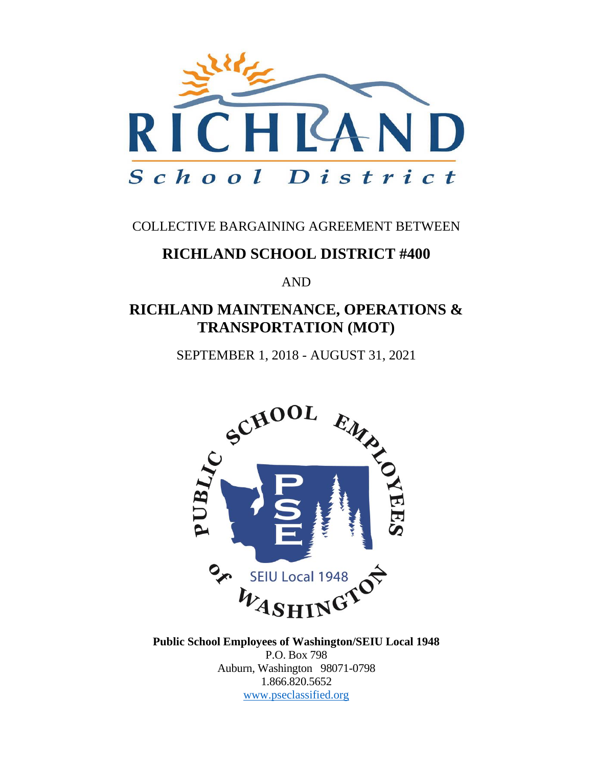

### COLLECTIVE BARGAINING AGREEMENT BETWEEN

### **RICHLAND SCHOOL DISTRICT #400**

AND

### **RICHLAND MAINTENANCE, OPERATIONS & TRANSPORTATION (MOT)**

SEPTEMBER 1, 2018 - AUGUST 31, 2021



**Public School Employees of Washington/SEIU Local 1948** P.O. Box 798 Auburn, Washington 98071-0798 1.866.820.5652 [www.pseclassified.org](http://www.pseclassified.org/)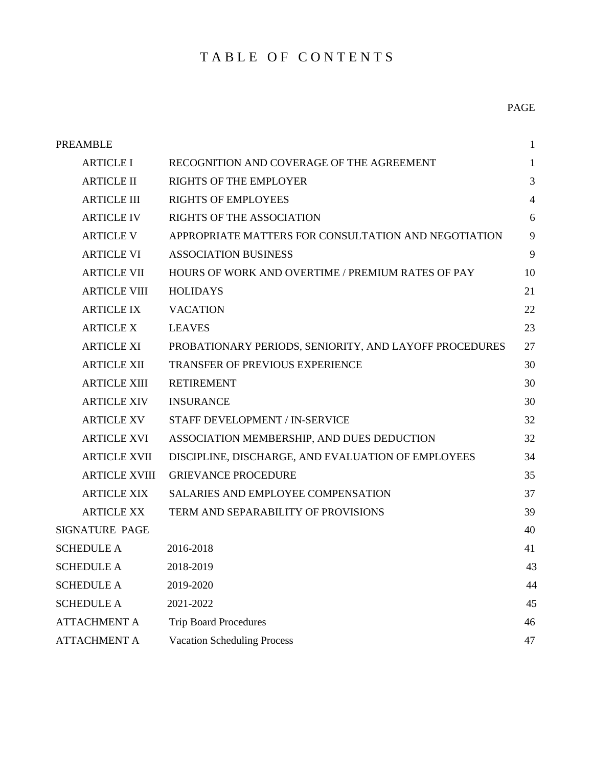### TABLE OF CONTENTS

| <b>PREAMBLE</b><br>$\mathbf{1}$ |                                                        |                |  |
|---------------------------------|--------------------------------------------------------|----------------|--|
| <b>ARTICLE I</b>                | RECOGNITION AND COVERAGE OF THE AGREEMENT              | $\mathbf{1}$   |  |
| <b>ARTICLE II</b>               | <b>RIGHTS OF THE EMPLOYER</b>                          | 3              |  |
| <b>ARTICLE III</b>              | <b>RIGHTS OF EMPLOYEES</b>                             | $\overline{4}$ |  |
| <b>ARTICLE IV</b>               | <b>RIGHTS OF THE ASSOCIATION</b>                       | 6              |  |
| <b>ARTICLE V</b>                | APPROPRIATE MATTERS FOR CONSULTATION AND NEGOTIATION   | 9              |  |
| <b>ARTICLE VI</b>               | <b>ASSOCIATION BUSINESS</b>                            | 9              |  |
| <b>ARTICLE VII</b>              | HOURS OF WORK AND OVERTIME / PREMIUM RATES OF PAY      | 10             |  |
| <b>ARTICLE VIII</b>             | <b>HOLIDAYS</b>                                        | 21             |  |
| <b>ARTICLE IX</b>               | <b>VACATION</b>                                        | 22             |  |
| <b>ARTICLE X</b>                | <b>LEAVES</b>                                          | 23             |  |
| <b>ARTICLE XI</b>               | PROBATIONARY PERIODS, SENIORITY, AND LAYOFF PROCEDURES | 27             |  |
| <b>ARTICLE XII</b>              | <b>TRANSFER OF PREVIOUS EXPERIENCE</b>                 | 30             |  |
| <b>ARTICLE XIII</b>             | <b>RETIREMENT</b>                                      | 30             |  |
| <b>ARTICLE XIV</b>              | <b>INSURANCE</b>                                       | 30             |  |
| <b>ARTICLE XV</b>               | STAFF DEVELOPMENT / IN-SERVICE                         | 32             |  |
| <b>ARTICLE XVI</b>              | ASSOCIATION MEMBERSHIP, AND DUES DEDUCTION             | 32             |  |
| <b>ARTICLE XVII</b>             | DISCIPLINE, DISCHARGE, AND EVALUATION OF EMPLOYEES     | 34             |  |
| <b>ARTICLE XVIII</b>            | <b>GRIEVANCE PROCEDURE</b>                             | 35             |  |
| <b>ARTICLE XIX</b>              | <b>SALARIES AND EMPLOYEE COMPENSATION</b>              | 37             |  |
| <b>ARTICLE XX</b>               | TERM AND SEPARABILITY OF PROVISIONS                    | 39             |  |
| <b>SIGNATURE PAGE</b>           |                                                        | 40             |  |
| <b>SCHEDULE A</b>               | 2016-2018                                              | 41             |  |
| <b>SCHEDULE A</b>               | 2018-2019                                              | 43             |  |
| <b>SCHEDULE A</b>               | 2019-2020                                              | 44             |  |
| <b>SCHEDULE A</b>               | 2021-2022                                              | 45             |  |
| <b>ATTACHMENT A</b>             | <b>Trip Board Procedures</b>                           | 46             |  |
| <b>ATTACHMENT A</b>             | <b>Vacation Scheduling Process</b>                     | 47             |  |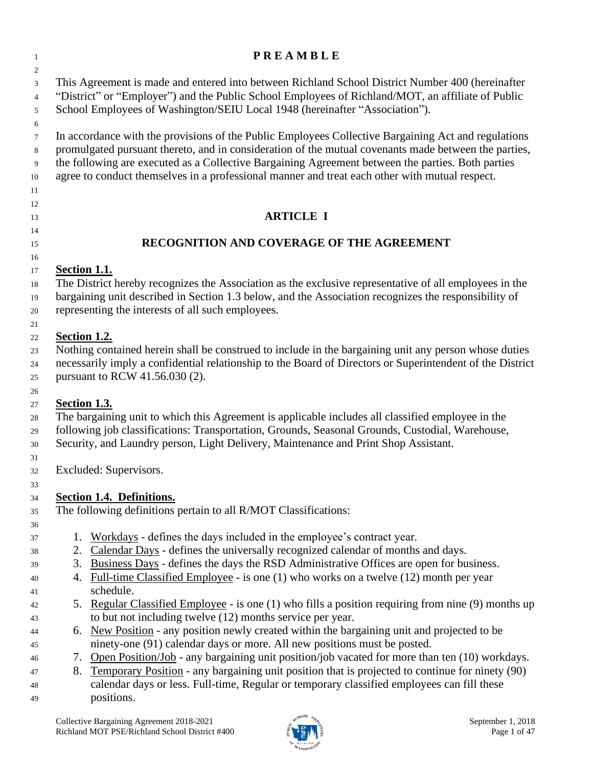### **P R E A M B L E**

 This Agreement is made and entered into between Richland School District Number 400 (hereinafter "District" or "Employer") and the Public School Employees of Richland/MOT, an affiliate of Public School Employees of Washington/SEIU Local 1948 (hereinafter "Association").

 In accordance with the provisions of the Public Employees Collective Bargaining Act and regulations promulgated pursuant thereto, and in consideration of the mutual covenants made between the parties, the following are executed as a Collective Bargaining Agreement between the parties. Both parties agree to conduct themselves in a professional manner and treat each other with mutual respect.

### 

### **ARTICLE I**

### 

### **RECOGNITION AND COVERAGE OF THE AGREEMENT**

#### **Section 1.1.**

 The District hereby recognizes the Association as the exclusive representative of all employees in the bargaining unit described in Section 1.3 below, and the Association recognizes the responsibility of representing the interests of all such employees.

### **Section 1.2.**

 Nothing contained herein shall be construed to include in the bargaining unit any person whose duties necessarily imply a confidential relationship to the Board of Directors or Superintendent of the District pursuant to RCW 41.56.030 (2).

### 

### **Section 1.3.**

 The bargaining unit to which this Agreement is applicable includes all classified employee in the following job classifications: Transportation, Grounds, Seasonal Grounds, Custodial, Warehouse,

Security, and Laundry person, Light Delivery, Maintenance and Print Shop Assistant.

Excluded: Supervisors.

### **Section 1.4. Definitions.**

The following definitions pertain to all R/MOT Classifications:

### 1. Workdays - defines the days included in the employee's contract year.

- 2. Calendar Days defines the universally recognized calendar of months and days.
- 3. Business Days defines the days the RSD Administrative Offices are open for business.
- 4. Full-time Classified Employee is one (1) who works on a twelve (12) month per year schedule.
- 5. Regular Classified Employee is one (1) who fills a position requiring from nine (9) months up to but not including twelve (12) months service per year.
- 6. New Position any position newly created within the bargaining unit and projected to be ninety-one (91) calendar days or more. All new positions must be posted.
- 7. Open Position/Job any bargaining unit position/job vacated for more than ten (10) workdays.
- 8. Temporary Position any bargaining unit position that is projected to continue for ninety (90) calendar days or less. Full-time, Regular or temporary classified employees can fill these positions.

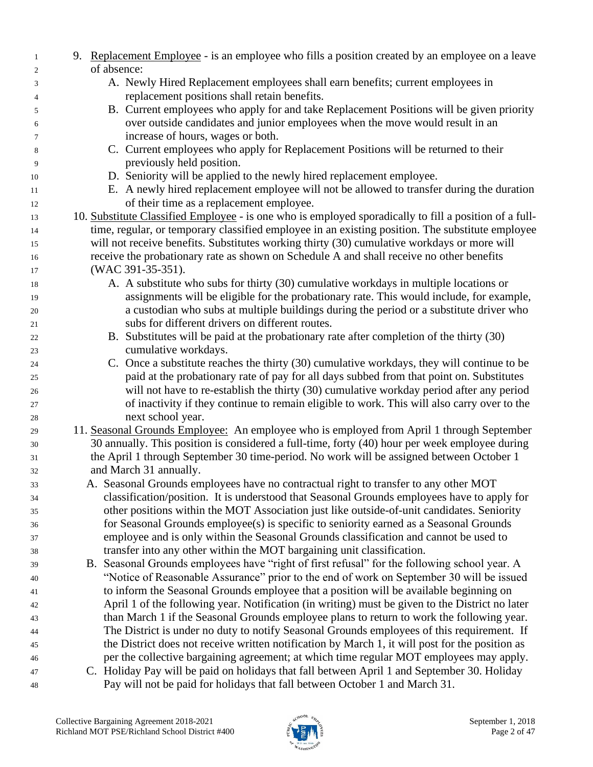| $\mathbf{1}$   | 9. Replacement Employee - is an employee who fills a position created by an employee on a leave        |
|----------------|--------------------------------------------------------------------------------------------------------|
| $\mathfrak{2}$ | of absence:                                                                                            |
| 3              | A. Newly Hired Replacement employees shall earn benefits; current employees in                         |
| 4              | replacement positions shall retain benefits.                                                           |
| 5              | B. Current employees who apply for and take Replacement Positions will be given priority               |
| 6              | over outside candidates and junior employees when the move would result in an                          |
| $\tau$         | increase of hours, wages or both.                                                                      |
| 8              | C. Current employees who apply for Replacement Positions will be returned to their                     |
| 9              | previously held position.                                                                              |
| 10             | D. Seniority will be applied to the newly hired replacement employee.                                  |
| 11             | E. A newly hired replacement employee will not be allowed to transfer during the duration              |
| 12             | of their time as a replacement employee.                                                               |
| 13             | 10. Substitute Classified Employee - is one who is employed sporadically to fill a position of a full- |
| 14             | time, regular, or temporary classified employee in an existing position. The substitute employee       |
| 15             | will not receive benefits. Substitutes working thirty (30) cumulative workdays or more will            |
| 16             | receive the probationary rate as shown on Schedule A and shall receive no other benefits               |
| 17             | (WAC 391-35-351).                                                                                      |
| 18             | A. A substitute who subs for thirty (30) cumulative workdays in multiple locations or                  |
| 19             | assignments will be eligible for the probationary rate. This would include, for example,               |
| 20             | a custodian who subs at multiple buildings during the period or a substitute driver who                |
| 21             | subs for different drivers on different routes.                                                        |
| 22             | B. Substitutes will be paid at the probationary rate after completion of the thirty (30)               |
| 23             | cumulative workdays.                                                                                   |
| 24             | C. Once a substitute reaches the thirty (30) cumulative workdays, they will continue to be             |
| 25             | paid at the probationary rate of pay for all days subbed from that point on. Substitutes               |
| 26             | will not have to re-establish the thirty (30) cumulative workday period after any period               |
| 27             | of inactivity if they continue to remain eligible to work. This will also carry over to the            |
| 28             | next school year.                                                                                      |
| 29             | 11. Seasonal Grounds Employee: An employee who is employed from April 1 through September              |
| 30             | 30 annually. This position is considered a full-time, forty (40) hour per week employee during         |
| 31             | the April 1 through September 30 time-period. No work will be assigned between October 1               |
| 32             | and March 31 annually.                                                                                 |
| 33             | A. Seasonal Grounds employees have no contractual right to transfer to any other MOT                   |
| 34             | classification/position. It is understood that Seasonal Grounds employees have to apply for            |
| 35             | other positions within the MOT Association just like outside-of-unit candidates. Seniority             |
| 36             | for Seasonal Grounds employee(s) is specific to seniority earned as a Seasonal Grounds                 |
| 37             | employee and is only within the Seasonal Grounds classification and cannot be used to                  |
| 38             | transfer into any other within the MOT bargaining unit classification.                                 |
| 39             | B. Seasonal Grounds employees have "right of first refusal" for the following school year. A           |
| 40             | "Notice of Reasonable Assurance" prior to the end of work on September 30 will be issued               |
| 41             | to inform the Seasonal Grounds employee that a position will be available beginning on                 |
| 42             | April 1 of the following year. Notification (in writing) must be given to the District no later        |
| 43             | than March 1 if the Seasonal Grounds employee plans to return to work the following year.              |
| 44             | The District is under no duty to notify Seasonal Grounds employees of this requirement. If             |
| 45             | the District does not receive written notification by March 1, it will post for the position as        |
| 46             | per the collective bargaining agreement; at which time regular MOT employees may apply.                |
| 47             | C. Holiday Pay will be paid on holidays that fall between April 1 and September 30. Holiday            |
| 48             | Pay will not be paid for holidays that fall between October 1 and March 31.                            |

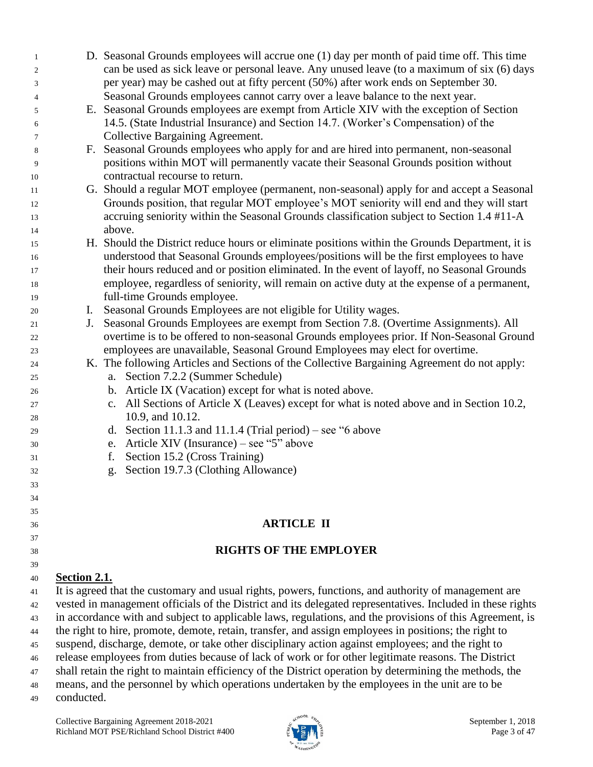| $\mathbf{1}$ |                                                                                                          | D. Seasonal Grounds employees will accrue one (1) day per month of paid time off. This time                |
|--------------|----------------------------------------------------------------------------------------------------------|------------------------------------------------------------------------------------------------------------|
| 2            |                                                                                                          | can be used as sick leave or personal leave. Any unused leave (to a maximum of six (6) days                |
| 3            |                                                                                                          | per year) may be cashed out at fifty percent (50%) after work ends on September 30.                        |
| 4            |                                                                                                          | Seasonal Grounds employees cannot carry over a leave balance to the next year.                             |
| 5            |                                                                                                          | E. Seasonal Grounds employees are exempt from Article XIV with the exception of Section                    |
| 6            |                                                                                                          | 14.5. (State Industrial Insurance) and Section 14.7. (Worker's Compensation) of the                        |
| 7            |                                                                                                          | Collective Bargaining Agreement.                                                                           |
| 8            |                                                                                                          | F. Seasonal Grounds employees who apply for and are hired into permanent, non-seasonal                     |
| 9            |                                                                                                          | positions within MOT will permanently vacate their Seasonal Grounds position without                       |
| 10           |                                                                                                          | contractual recourse to return.                                                                            |
| 11           |                                                                                                          | G. Should a regular MOT employee (permanent, non-seasonal) apply for and accept a Seasonal                 |
| 12           |                                                                                                          | Grounds position, that regular MOT employee's MOT seniority will end and they will start                   |
| 13           |                                                                                                          | accruing seniority within the Seasonal Grounds classification subject to Section 1.4 #11-A                 |
| 14           |                                                                                                          | above.                                                                                                     |
| 15           |                                                                                                          | H. Should the District reduce hours or eliminate positions within the Grounds Department, it is            |
| 16           |                                                                                                          | understood that Seasonal Grounds employees/positions will be the first employees to have                   |
| 17           |                                                                                                          | their hours reduced and or position eliminated. In the event of layoff, no Seasonal Grounds                |
| 18           |                                                                                                          | employee, regardless of seniority, will remain on active duty at the expense of a permanent,               |
| 19           |                                                                                                          | full-time Grounds employee.                                                                                |
| 20           | I.                                                                                                       | Seasonal Grounds Employees are not eligible for Utility wages.                                             |
| 21           | J.                                                                                                       | Seasonal Grounds Employees are exempt from Section 7.8. (Overtime Assignments). All                        |
| 22           |                                                                                                          | overtime is to be offered to non-seasonal Grounds employees prior. If Non-Seasonal Ground                  |
| 23           |                                                                                                          | employees are unavailable, Seasonal Ground Employees may elect for overtime.                               |
| 24           |                                                                                                          | K. The following Articles and Sections of the Collective Bargaining Agreement do not apply:                |
| 25           |                                                                                                          | a. Section 7.2.2 (Summer Schedule)                                                                         |
| 26           |                                                                                                          | b. Article IX (Vacation) except for what is noted above.                                                   |
| 27           |                                                                                                          | c. All Sections of Article X (Leaves) except for what is noted above and in Section 10.2,                  |
| 28           |                                                                                                          | 10.9, and 10.12.                                                                                           |
| 29           |                                                                                                          | d. Section 11.1.3 and 11.1.4 (Trial period) – see "6 above                                                 |
| 30           |                                                                                                          | Article XIV (Insurance) – see "5" above<br>e.                                                              |
| 31           |                                                                                                          | Section 15.2 (Cross Training)<br>f.                                                                        |
| 32           |                                                                                                          | Section 19.7.3 (Clothing Allowance)<br>g.                                                                  |
| 33           |                                                                                                          |                                                                                                            |
| 34           |                                                                                                          |                                                                                                            |
| 35           |                                                                                                          | <b>ARTICLE II</b>                                                                                          |
| 36           |                                                                                                          |                                                                                                            |
| 37           |                                                                                                          | <b>RIGHTS OF THE EMPLOYER</b>                                                                              |
| 38           |                                                                                                          |                                                                                                            |
| 39<br>40     | Section 2.1.                                                                                             |                                                                                                            |
| 41           |                                                                                                          | It is agreed that the customary and usual rights, powers, functions, and authority of management are       |
| 42           |                                                                                                          | vested in management officials of the District and its delegated representatives. Included in these rights |
| 43           | in accordance with and subject to applicable laws, regulations, and the provisions of this Agreement, is |                                                                                                            |
| 44           | the right to hire, promote, demote, retain, transfer, and assign employees in positions; the right to    |                                                                                                            |
| 45           |                                                                                                          | suspend, discharge, demote, or take other disciplinary action against employees; and the right to          |
| 46           |                                                                                                          | release employees from duties because of lack of work or for other legitimate reasons. The District        |
| 47           |                                                                                                          | shall retain the right to maintain efficiency of the District operation by determining the methods, the    |
| 48           |                                                                                                          | means, and the personnel by which operations undertaken by the employees in the unit are to be             |
|              |                                                                                                          |                                                                                                            |

conducted.

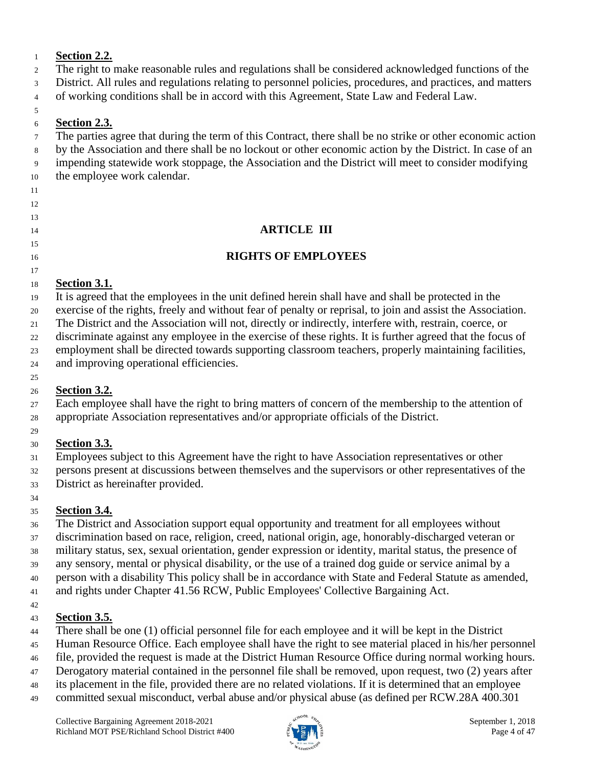### **Section 2.2.**

- The right to make reasonable rules and regulations shall be considered acknowledged functions of the
- District. All rules and regulations relating to personnel policies, procedures, and practices, and matters
- of working conditions shall be in accord with this Agreement, State Law and Federal Law.

#### **Section 2.3.**

 The parties agree that during the term of this Contract, there shall be no strike or other economic action by the Association and there shall be no lockout or other economic action by the District. In case of an

impending statewide work stoppage, the Association and the District will meet to consider modifying

- the employee work calendar.
- 

### 

### 

**ARTICLE III**

### 

**RIGHTS OF EMPLOYEES**

### 

### **Section 3.1.**

It is agreed that the employees in the unit defined herein shall have and shall be protected in the

exercise of the rights, freely and without fear of penalty or reprisal, to join and assist the Association.

The District and the Association will not, directly or indirectly, interfere with, restrain, coerce, or

discriminate against any employee in the exercise of these rights. It is further agreed that the focus of

 employment shall be directed towards supporting classroom teachers, properly maintaining facilities, and improving operational efficiencies.

#### **Section 3.2.**

 Each employee shall have the right to bring matters of concern of the membership to the attention of appropriate Association representatives and/or appropriate officials of the District.

### **Section 3.3.**

Employees subject to this Agreement have the right to have Association representatives or other

persons present at discussions between themselves and the supervisors or other representatives of the

District as hereinafter provided.

### 

### **Section 3.4.**

The District and Association support equal opportunity and treatment for all employees without

discrimination based on race, religion, creed, national origin, age, honorably-discharged veteran or

military status, sex, sexual orientation, gender expression or identity, marital status, the presence of

any sensory, mental or physical disability, or the use of a trained dog guide or service animal by a

person with a disability This policy shall be in accordance with State and Federal Statute as amended,

and rights under Chapter 41.56 RCW, Public Employees' Collective Bargaining Act.

### 

### **Section 3.5.**

- There shall be one (1) official personnel file for each employee and it will be kept in the District
- Human Resource Office. Each employee shall have the right to see material placed in his/her personnel
- file, provided the request is made at the District Human Resource Office during normal working hours.
- Derogatory material contained in the personnel file shall be removed, upon request, two (2) years after
- its placement in the file, provided there are no related violations. If it is determined that an employee
- committed sexual misconduct, verbal abuse and/or physical abuse (as defined per RCW.28A 400.301

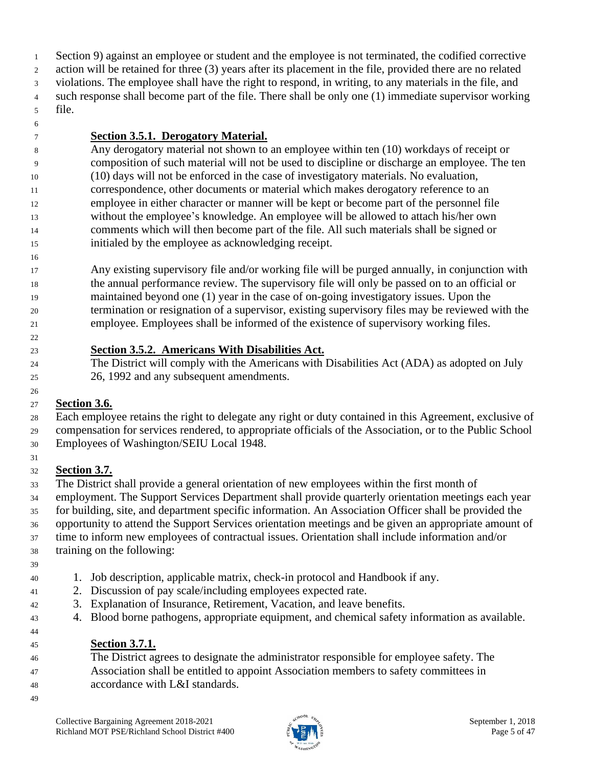Section 9) against an employee or student and the employee is not terminated, the codified corrective action will be retained for three (3) years after its placement in the file, provided there are no related violations. The employee shall have the right to respond, in writing, to any materials in the file, and such response shall become part of the file. There shall be only one (1) immediate supervisor working file.

### **Section 3.5.1. Derogatory Material.**

 Any derogatory material not shown to an employee within ten (10) workdays of receipt or composition of such material will not be used to discipline or discharge an employee. The ten (10) days will not be enforced in the case of investigatory materials. No evaluation, correspondence, other documents or material which makes derogatory reference to an employee in either character or manner will be kept or become part of the personnel file without the employee's knowledge. An employee will be allowed to attach his/her own comments which will then become part of the file. All such materials shall be signed or initialed by the employee as acknowledging receipt.

 Any existing supervisory file and/or working file will be purged annually, in conjunction with the annual performance review. The supervisory file will only be passed on to an official or maintained beyond one (1) year in the case of on-going investigatory issues. Upon the termination or resignation of a supervisor, existing supervisory files may be reviewed with the employee. Employees shall be informed of the existence of supervisory working files.

#### **Section 3.5.2. Americans With Disabilities Act.**

 The District will comply with the Americans with Disabilities Act (ADA) as adopted on July 26, 1992 and any subsequent amendments.

### **Section 3.6.**

 Each employee retains the right to delegate any right or duty contained in this Agreement, exclusive of compensation for services rendered, to appropriate officials of the Association, or to the Public School Employees of Washington/SEIU Local 1948.

#### **Section 3.7.**

 The District shall provide a general orientation of new employees within the first month of employment. The Support Services Department shall provide quarterly orientation meetings each year for building, site, and department specific information. An Association Officer shall be provided the opportunity to attend the Support Services orientation meetings and be given an appropriate amount of time to inform new employees of contractual issues. Orientation shall include information and/or

training on the following:

- 
- 1. Job description, applicable matrix, check-in protocol and Handbook if any.
- 2. Discussion of pay scale/including employees expected rate.
- 3. Explanation of Insurance, Retirement, Vacation, and leave benefits.
- 4. Blood borne pathogens, appropriate equipment, and chemical safety information as available.
- 

### **Section 3.7.1.**

- The District agrees to designate the administrator responsible for employee safety. The
- Association shall be entitled to appoint Association members to safety committees in
- accordance with L&I standards.
- 

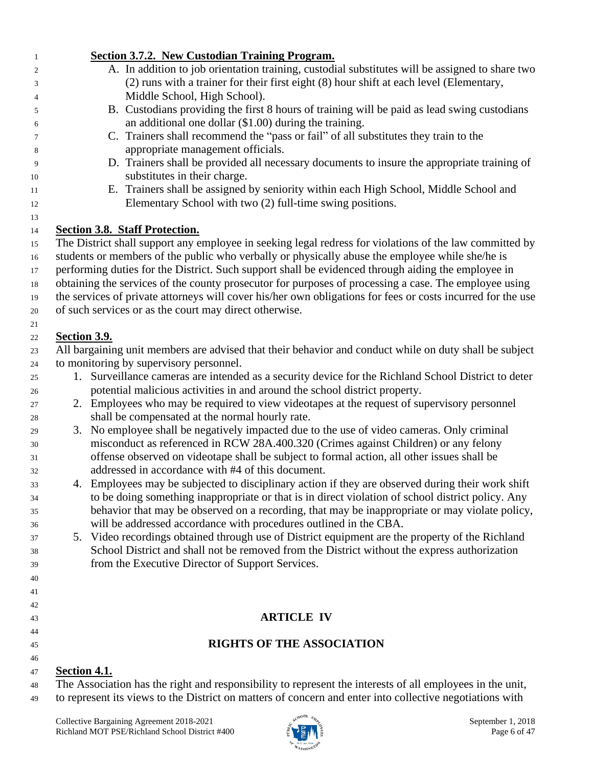| 1              | <b>Section 3.7.2. New Custodian Training Program.</b>                                                                                                               |
|----------------|---------------------------------------------------------------------------------------------------------------------------------------------------------------------|
| $\overline{c}$ | A. In addition to job orientation training, custodial substitutes will be assigned to share two                                                                     |
| 3              | (2) runs with a trainer for their first eight (8) hour shift at each level (Elementary,                                                                             |
| 4              | Middle School, High School).                                                                                                                                        |
| 5              | B. Custodians providing the first 8 hours of training will be paid as lead swing custodians                                                                         |
| 6              | an additional one dollar $(\$1.00)$ during the training.                                                                                                            |
| 7              | C. Trainers shall recommend the "pass or fail" of all substitutes they train to the                                                                                 |
| 8              | appropriate management officials.                                                                                                                                   |
| 9              | D. Trainers shall be provided all necessary documents to insure the appropriate training of                                                                         |
| 10             | substitutes in their charge.                                                                                                                                        |
| 11             | E. Trainers shall be assigned by seniority within each High School, Middle School and                                                                               |
| 12             | Elementary School with two (2) full-time swing positions.                                                                                                           |
| 13             |                                                                                                                                                                     |
| 14             | <b>Section 3.8. Staff Protection.</b><br>The District shall support any employee in seeking legal redress for violations of the law committed by                    |
| 15<br>16       | students or members of the public who verbally or physically abuse the employee while she/he is                                                                     |
| $17\,$         | performing duties for the District. Such support shall be evidenced through aiding the employee in                                                                  |
| 18             | obtaining the services of the county prosecutor for purposes of processing a case. The employee using                                                               |
| 19             | the services of private attorneys will cover his/her own obligations for fees or costs incurred for the use                                                         |
| 20             | of such services or as the court may direct otherwise.                                                                                                              |
| 21             |                                                                                                                                                                     |
| 22             | <b>Section 3.9.</b>                                                                                                                                                 |
| 23             | All bargaining unit members are advised that their behavior and conduct while on duty shall be subject                                                              |
| 24             | to monitoring by supervisory personnel.                                                                                                                             |
| 25             | 1. Surveillance cameras are intended as a security device for the Richland School District to deter                                                                 |
| 26             | potential malicious activities in and around the school district property.                                                                                          |
| 27             | 2. Employees who may be required to view videotapes at the request of supervisory personnel                                                                         |
| 28             | shall be compensated at the normal hourly rate.                                                                                                                     |
| 29             | 3. No employee shall be negatively impacted due to the use of video cameras. Only criminal                                                                          |
| 30             | misconduct as referenced in RCW 28A.400.320 (Crimes against Children) or any felony                                                                                 |
| 31             | offense observed on videotape shall be subject to formal action, all other issues shall be                                                                          |
| 32             | addressed in accordance with #4 of this document.                                                                                                                   |
| 33             | 4. Employees may be subjected to disciplinary action if they are observed during their work shift                                                                   |
| 34             | to be doing something inappropriate or that is in direct violation of school district policy. Any                                                                   |
| 35             | behavior that may be observed on a recording, that may be inappropriate or may violate policy,<br>will be addressed accordance with procedures outlined in the CBA. |
| 36<br>37       | 5. Video recordings obtained through use of District equipment are the property of the Richland                                                                     |
| 38             | School District and shall not be removed from the District without the express authorization                                                                        |
| 39             | from the Executive Director of Support Services.                                                                                                                    |
| 40             |                                                                                                                                                                     |
| 41             |                                                                                                                                                                     |
| 42             |                                                                                                                                                                     |
| 43             | <b>ARTICLE IV</b>                                                                                                                                                   |
| 44             |                                                                                                                                                                     |
| 45             | <b>RIGHTS OF THE ASSOCIATION</b>                                                                                                                                    |
| 46             |                                                                                                                                                                     |
| 47             | <b><u>Section 4.1.</u></b>                                                                                                                                          |
| 48             | The Association has the right and responsibility to represent the interests of all employees in the unit,                                                           |
| 49             | to represent its views to the District on matters of concern and enter into collective negotiations with                                                            |

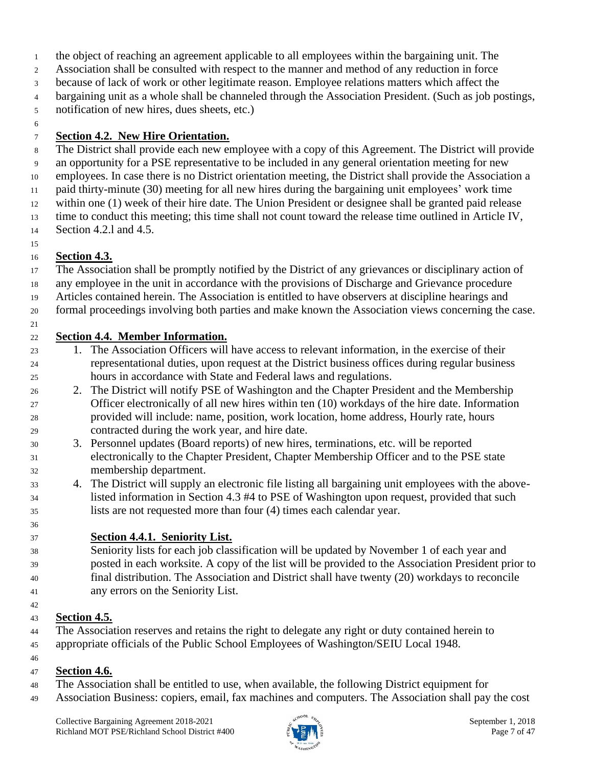- the object of reaching an agreement applicable to all employees within the bargaining unit. The
- Association shall be consulted with respect to the manner and method of any reduction in force
- because of lack of work or other legitimate reason. Employee relations matters which affect the
- bargaining unit as a whole shall be channeled through the Association President. (Such as job postings,
- notification of new hires, dues sheets, etc.)
- 

### **Section 4.2. New Hire Orientation.**

- The District shall provide each new employee with a copy of this Agreement. The District will provide an opportunity for a PSE representative to be included in any general orientation meeting for new employees. In case there is no District orientation meeting, the District shall provide the Association a paid thirty-minute (30) meeting for all new hires during the bargaining unit employees' work time within one (1) week of their hire date. The Union President or designee shall be granted paid release time to conduct this meeting; this time shall not count toward the release time outlined in Article IV,
- Section 4.2.l and 4.5.
- **Section 4.3.**
- The Association shall be promptly notified by the District of any grievances or disciplinary action of
- any employee in the unit in accordance with the provisions of Discharge and Grievance procedure
- Articles contained herein. The Association is entitled to have observers at discipline hearings and
- formal proceedings involving both parties and make known the Association views concerning the case.
- **Section 4.4. Member Information.**
- 1. The Association Officers will have access to relevant information, in the exercise of their representational duties, upon request at the District business offices during regular business hours in accordance with State and Federal laws and regulations.
- 2. The District will notify PSE of Washington and the Chapter President and the Membership Officer electronically of all new hires within ten (10) workdays of the hire date. Information provided will include: name, position, work location, home address, Hourly rate, hours contracted during the work year, and hire date.
- 3. Personnel updates (Board reports) of new hires, terminations, etc. will be reported electronically to the Chapter President, Chapter Membership Officer and to the PSE state membership department.
- 4. The District will supply an electronic file listing all bargaining unit employees with the above- listed information in Section 4.3 #4 to PSE of Washington upon request, provided that such lists are not requested more than four (4) times each calendar year.
- **Section 4.4.1. Seniority List.**
- Seniority lists for each job classification will be updated by November 1 of each year and posted in each worksite. A copy of the list will be provided to the Association President prior to final distribution. The Association and District shall have twenty (20) workdays to reconcile any errors on the Seniority List.
- **Section 4.5.**
- The Association reserves and retains the right to delegate any right or duty contained herein to appropriate officials of the Public School Employees of Washington/SEIU Local 1948.
- 

### **Section 4.6.**

- The Association shall be entitled to use, when available, the following District equipment for
- Association Business: copiers, email, fax machines and computers. The Association shall pay the cost

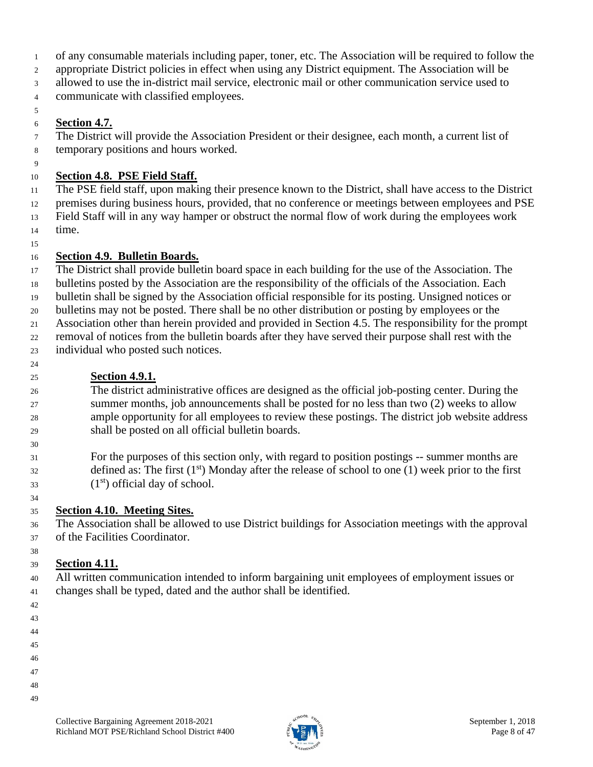- of any consumable materials including paper, toner, etc. The Association will be required to follow the
- appropriate District policies in effect when using any District equipment. The Association will be
- allowed to use the in-district mail service, electronic mail or other communication service used to
- communicate with classified employees.

#### **Section 4.7.**

- The District will provide the Association President or their designee, each month, a current list of temporary positions and hours worked.
- $\mathbf{Q}$

### **Section 4.8. PSE Field Staff.**

- The PSE field staff, upon making their presence known to the District, shall have access to the District
- premises during business hours, provided, that no conference or meetings between employees and PSE
- Field Staff will in any way hamper or obstruct the normal flow of work during the employees work time.
- 

### **Section 4.9. Bulletin Boards.**

The District shall provide bulletin board space in each building for the use of the Association. The

- bulletins posted by the Association are the responsibility of the officials of the Association. Each
- bulletin shall be signed by the Association official responsible for its posting. Unsigned notices or bulletins may not be posted. There shall be no other distribution or posting by employees or the
- Association other than herein provided and provided in Section 4.5. The responsibility for the prompt
- removal of notices from the bulletin boards after they have served their purpose shall rest with the
- individual who posted such notices.
	-

### **Section 4.9.1.**

 The district administrative offices are designed as the official job-posting center. During the summer months, job announcements shall be posted for no less than two (2) weeks to allow ample opportunity for all employees to review these postings. The district job website address shall be posted on all official bulletin boards.

 For the purposes of this section only, with regard to position postings -- summer months are defined as: The first  $(1<sup>st</sup>)$  Monday after the release of school to one  $(1)$  week prior to the first  $(1<sup>st</sup>)$  official day of school.

### **Section 4.10. Meeting Sites.**

 The Association shall be allowed to use District buildings for Association meetings with the approval of the Facilities Coordinator.

#### **Section 4.11.**

 All written communication intended to inform bargaining unit employees of employment issues or changes shall be typed, dated and the author shall be identified.

- 
- 
- 
- 
- 
- 
- 
- 
- 

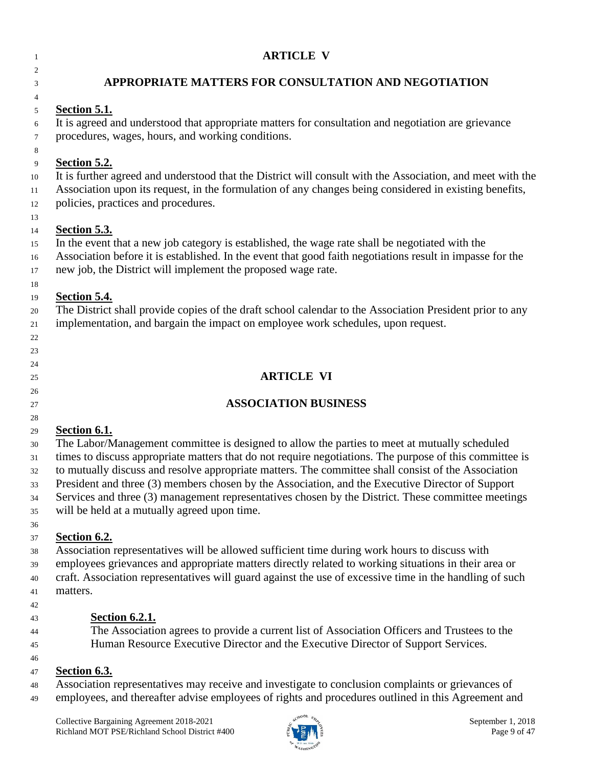### **ARTICLE V**

### **APPROPRIATE MATTERS FOR CONSULTATION AND NEGOTIATION**

### **Section 5.1.**

 It is agreed and understood that appropriate matters for consultation and negotiation are grievance procedures, wages, hours, and working conditions.

#### **Section 5.2.**

 It is further agreed and understood that the District will consult with the Association, and meet with the Association upon its request, in the formulation of any changes being considered in existing benefits,

policies, practices and procedures.

### **Section 5.3.**

In the event that a new job category is established, the wage rate shall be negotiated with the

Association before it is established. In the event that good faith negotiations result in impasse for the

new job, the District will implement the proposed wage rate.

#### **Section 5.4.**

 The District shall provide copies of the draft school calendar to the Association President prior to any implementation, and bargain the impact on employee work schedules, upon request.

### 

### 

### **ARTICLE VI**

### 

# 

### **ASSOCIATION BUSINESS**

## **Section 6.1.**

 The Labor/Management committee is designed to allow the parties to meet at mutually scheduled times to discuss appropriate matters that do not require negotiations. The purpose of this committee is to mutually discuss and resolve appropriate matters. The committee shall consist of the Association President and three (3) members chosen by the Association, and the Executive Director of Support Services and three (3) management representatives chosen by the District. These committee meetings

will be held at a mutually agreed upon time.

### **Section 6.2.**

 Association representatives will be allowed sufficient time during work hours to discuss with employees grievances and appropriate matters directly related to working situations in their area or craft. Association representatives will guard against the use of excessive time in the handling of such matters.

### **Section 6.2.1.**

 The Association agrees to provide a current list of Association Officers and Trustees to the Human Resource Executive Director and the Executive Director of Support Services.

### **Section 6.3.**

Association representatives may receive and investigate to conclusion complaints or grievances of

employees, and thereafter advise employees of rights and procedures outlined in this Agreement and

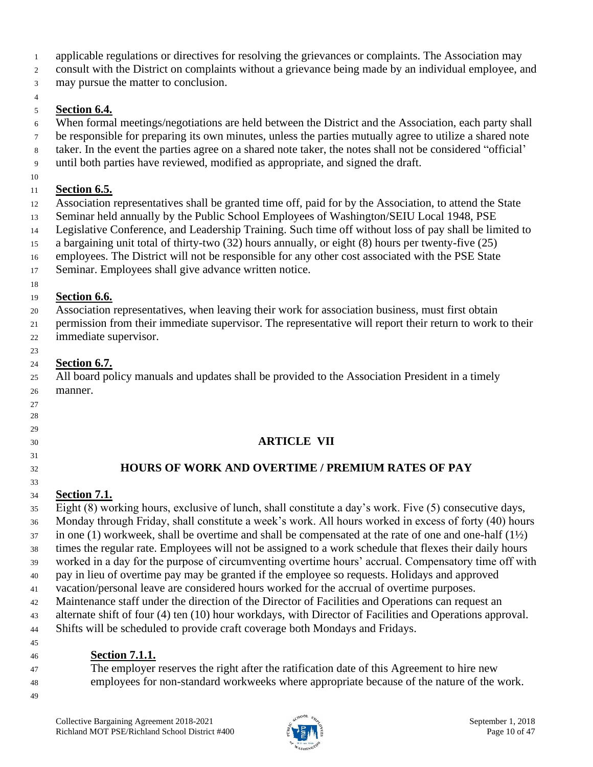applicable regulations or directives for resolving the grievances or complaints. The Association may

consult with the District on complaints without a grievance being made by an individual employee, and

may pursue the matter to conclusion.

#### **Section 6.4.**

When formal meetings/negotiations are held between the District and the Association, each party shall

be responsible for preparing its own minutes, unless the parties mutually agree to utilize a shared note

- taker. In the event the parties agree on a shared note taker, the notes shall not be considered "official'
- until both parties have reviewed, modified as appropriate, and signed the draft.

#### **Section 6.5.**

Association representatives shall be granted time off, paid for by the Association, to attend the State

Seminar held annually by the Public School Employees of Washington/SEIU Local 1948, PSE

Legislative Conference, and Leadership Training. Such time off without loss of pay shall be limited to

a bargaining unit total of thirty-two (32) hours annually, or eight (8) hours per twenty-five (25)

employees. The District will not be responsible for any other cost associated with the PSE State

Seminar. Employees shall give advance written notice.

#### **Section 6.6.**

 Association representatives, when leaving their work for association business, must first obtain permission from their immediate supervisor. The representative will report their return to work to their immediate supervisor.

 

### **Section 6.7.**

 All board policy manuals and updates shall be provided to the Association President in a timely manner.

### **ARTICLE VII**

### **HOURS OF WORK AND OVERTIME / PREMIUM RATES OF PAY**

#### **Section 7.1.**

 Eight (8) working hours, exclusive of lunch, shall constitute a day's work. Five (5) consecutive days, Monday through Friday, shall constitute a week's work. All hours worked in excess of forty (40) hours in one (1) workweek, shall be overtime and shall be compensated at the rate of one and one-half (1½) times the regular rate. Employees will not be assigned to a work schedule that flexes their daily hours worked in a day for the purpose of circumventing overtime hours' accrual. Compensatory time off with pay in lieu of overtime pay may be granted if the employee so requests. Holidays and approved vacation/personal leave are considered hours worked for the accrual of overtime purposes. Maintenance staff under the direction of the Director of Facilities and Operations can request an alternate shift of four (4) ten (10) hour workdays, with Director of Facilities and Operations approval. Shifts will be scheduled to provide craft coverage both Mondays and Fridays.

### **Section 7.1.1.**

 The employer reserves the right after the ratification date of this Agreement to hire new employees for non-standard workweeks where appropriate because of the nature of the work.

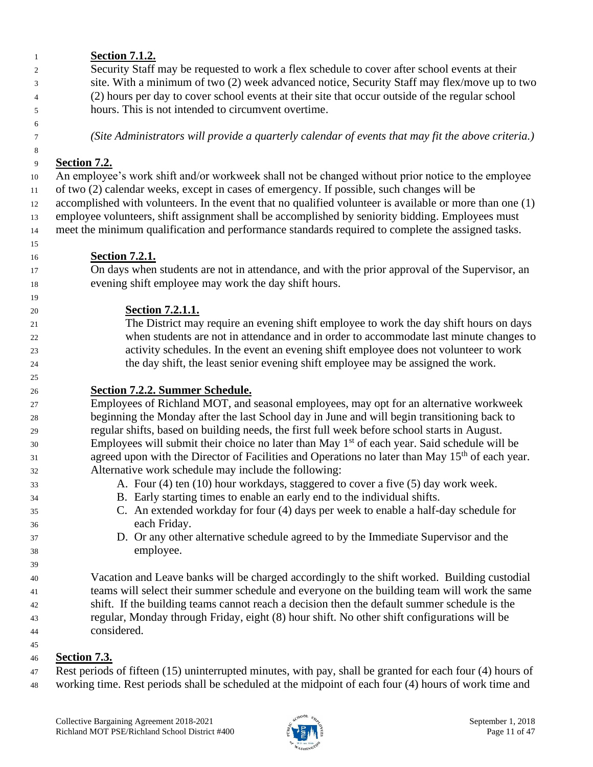#### Security Staff may be requested to work a flex schedule to cover after school events at their site. With a minimum of two (2) week advanced notice, Security Staff may flex/move up to two (2) hours per day to cover school events at their site that occur outside of the regular school hours. This is not intended to circumvent overtime. *(Site Administrators will provide a quarterly calendar of events that may fit the above criteria.)* **Section 7.2.** An employee's work shift and/or workweek shall not be changed without prior notice to the employee of two (2) calendar weeks, except in cases of emergency. If possible, such changes will be accomplished with volunteers. In the event that no qualified volunteer is available or more than one (1) employee volunteers, shift assignment shall be accomplished by seniority bidding. Employees must meet the minimum qualification and performance standards required to complete the assigned tasks. **Section 7.2.1.** On days when students are not in attendance, and with the prior approval of the Supervisor, an evening shift employee may work the day shift hours. **Section 7.2.1.1.** The District may require an evening shift employee to work the day shift hours on days when students are not in attendance and in order to accommodate last minute changes to activity schedules. In the event an evening shift employee does not volunteer to work the day shift, the least senior evening shift employee may be assigned the work. **Section 7.2.2. Summer Schedule.** Employees of Richland MOT, and seasonal employees, may opt for an alternative workweek beginning the Monday after the last School day in June and will begin transitioning back to regular shifts, based on building needs, the first full week before school starts in August.  $\mathbb{E}_{\text{m}}$  Employees will submit their choice no later than May 1<sup>st</sup> of each year. Said schedule will be agreed upon with the Director of Facilities and Operations no later than May 15<sup>th</sup> of each year. Alternative work schedule may include the following: A. Four (4) ten (10) hour workdays, staggered to cover a five (5) day work week. B. Early starting times to enable an early end to the individual shifts. C. An extended workday for four (4) days per week to enable a half-day schedule for each Friday. D. Or any other alternative schedule agreed to by the Immediate Supervisor and the employee. Vacation and Leave banks will be charged accordingly to the shift worked. Building custodial teams will select their summer schedule and everyone on the building team will work the same shift. If the building teams cannot reach a decision then the default summer schedule is the regular, Monday through Friday, eight (8) hour shift. No other shift configurations will be considered.

### **Section 7.3.**

**Section 7.1.2.**

Rest periods of fifteen (15) uninterrupted minutes, with pay, shall be granted for each four (4) hours of

working time. Rest periods shall be scheduled at the midpoint of each four (4) hours of work time and

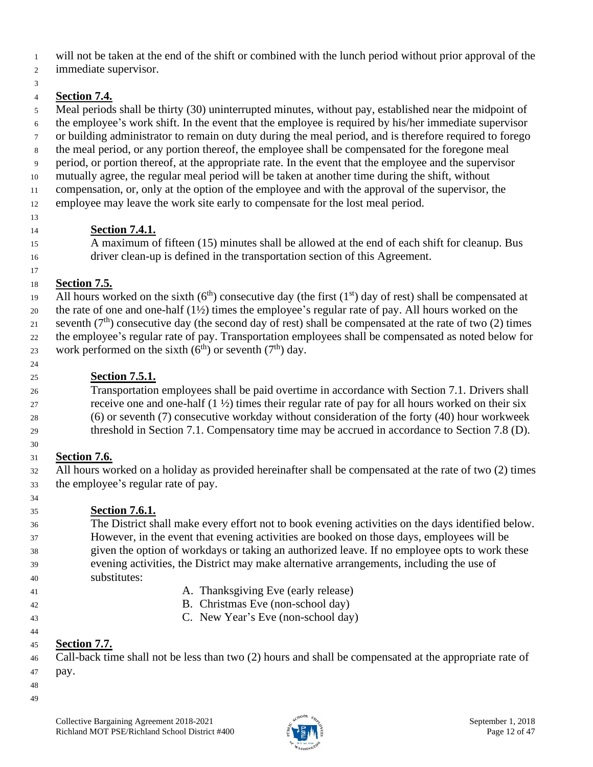will not be taken at the end of the shift or combined with the lunch period without prior approval of the

immediate supervisor.

### **Section 7.4.**

 Meal periods shall be thirty (30) uninterrupted minutes, without pay, established near the midpoint of the employee's work shift. In the event that the employee is required by his/her immediate supervisor or building administrator to remain on duty during the meal period, and is therefore required to forego the meal period, or any portion thereof, the employee shall be compensated for the foregone meal period, or portion thereof, at the appropriate rate. In the event that the employee and the supervisor mutually agree, the regular meal period will be taken at another time during the shift, without compensation, or, only at the option of the employee and with the approval of the supervisor, the employee may leave the work site early to compensate for the lost meal period. 

### **Section 7.4.1.**

 A maximum of fifteen (15) minutes shall be allowed at the end of each shift for cleanup. Bus driver clean-up is defined in the transportation section of this Agreement.

#### **Section 7.5.**

All hours worked on the sixth  $(6<sup>th</sup>)$  consecutive day (the first  $(1<sup>st</sup>)$  day of rest) shall be compensated at the rate of one and one-half (1½) times the employee's regular rate of pay. All hours worked on the seventh  $(7<sup>th</sup>)$  consecutive day (the second day of rest) shall be compensated at the rate of two (2) times the employee's regular rate of pay. Transportation employees shall be compensated as noted below for 23 work performed on the sixth  $(6<sup>th</sup>)$  or seventh  $(7<sup>th</sup>)$  day.

### **Section 7.5.1.**

 Transportation employees shall be paid overtime in accordance with Section 7.1. Drivers shall 27 receive one and one-half  $(1 \frac{1}{2})$  times their regular rate of pay for all hours worked on their six (6) or seventh (7) consecutive workday without consideration of the forty (40) hour workweek threshold in Section 7.1. Compensatory time may be accrued in accordance to Section 7.8 (D).

### **Section 7.6.**

 All hours worked on a holiday as provided hereinafter shall be compensated at the rate of two (2) times the employee's regular rate of pay.

### **Section 7.6.1.**

- The District shall make every effort not to book evening activities on the days identified below. However, in the event that evening activities are booked on those days, employees will be given the option of workdays or taking an authorized leave. If no employee opts to work these evening activities, the District may make alternative arrangements, including the use of substitutes:
- 

- 41 A. Thanksgiving Eve (early release)
- B. Christmas Eve (non-school day)
- C. New Year's Eve (non-school day)

### **Section 7.7.**

 Call-back time shall not be less than two (2) hours and shall be compensated at the appropriate rate of pay.

- 
- Collective Bargaining Agreement 2018-2021  $\frac{1}{2}$   $\frac{1}{2}$   $\frac{1}{2}$  September 1, 2018 Richland MOT PSE/Richland School District #400  $\frac{3}{2}$  Ps  $\frac{1}{2}$   $\frac{5}{2}$  Page 12 of 47

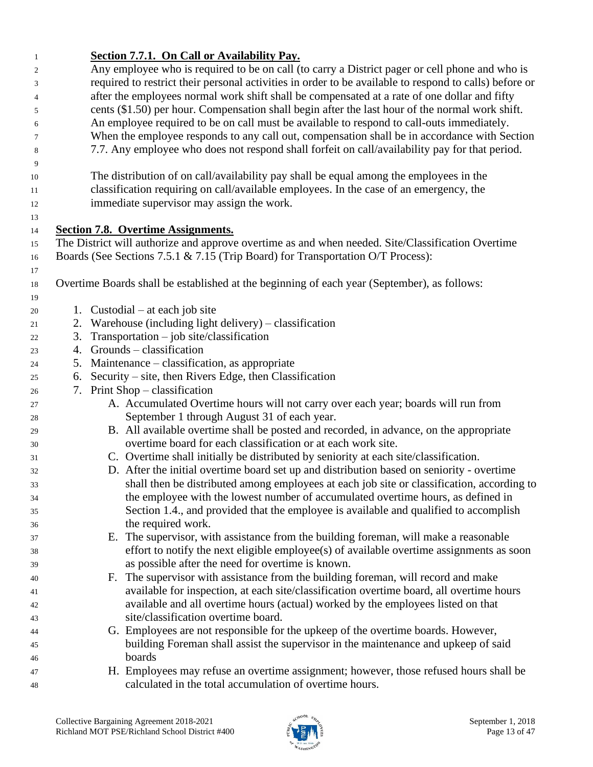| $\mathbf{1}$ | Section 7.7.1. On Call or Availability Pay.                                                            |
|--------------|--------------------------------------------------------------------------------------------------------|
| 2            | Any employee who is required to be on call (to carry a District pager or cell phone and who is         |
| 3            | required to restrict their personal activities in order to be available to respond to calls) before or |
| 4            | after the employees normal work shift shall be compensated at a rate of one dollar and fifty           |
| 5            | cents (\$1.50) per hour. Compensation shall begin after the last hour of the normal work shift.        |
| 6            | An employee required to be on call must be available to respond to call-outs immediately.              |
| 7            | When the employee responds to any call out, compensation shall be in accordance with Section           |
| 8            | 7.7. Any employee who does not respond shall forfeit on call/availability pay for that period.         |
| 9            |                                                                                                        |
| 10           | The distribution of on call/availability pay shall be equal among the employees in the                 |
| 11           | classification requiring on call/available employees. In the case of an emergency, the                 |
| 12           | immediate supervisor may assign the work.                                                              |
| 13           |                                                                                                        |
| 14           | <b>Section 7.8. Overtime Assignments.</b>                                                              |
| 15           | The District will authorize and approve overtime as and when needed. Site/Classification Overtime      |
| 16           | Boards (See Sections 7.5.1 & 7.15 (Trip Board) for Transportation O/T Process):                        |
| 17           |                                                                                                        |
| 18           | Overtime Boards shall be established at the beginning of each year (September), as follows:            |
| 19           |                                                                                                        |
| 20           | 1. Custodial – at each job site                                                                        |
| 21           | 2. Warehouse (including light delivery) – classification                                               |
| 22           | $Transportation - job site/classification$<br>3.                                                       |
| 23           | 4. Grounds – classification                                                                            |
| 24           | 5. Maintenance – classification, as appropriate                                                        |
| 25           | Security – site, then Rivers Edge, then Classification<br>6.                                           |
| 26           | 7. Print Shop – classification                                                                         |
| 27           | A. Accumulated Overtime hours will not carry over each year; boards will run from                      |
| 28           | September 1 through August 31 of each year.                                                            |
| 29           | B. All available overtime shall be posted and recorded, in advance, on the appropriate                 |
| 30           | overtime board for each classification or at each work site.                                           |
| 31           | C. Overtime shall initially be distributed by seniority at each site/classification.                   |
| 32           | D. After the initial overtime board set up and distribution based on seniority - overtime              |
| 33           | shall then be distributed among employees at each job site or classification, according to             |
| 34           | the employee with the lowest number of accumulated overtime hours, as defined in                       |
| 35           | Section 1.4., and provided that the employee is available and qualified to accomplish                  |
| 36           | the required work.                                                                                     |
| 37           | E. The supervisor, with assistance from the building foreman, will make a reasonable                   |
| 38           | effort to notify the next eligible employee(s) of available overtime assignments as soon               |
| 39           | as possible after the need for overtime is known.                                                      |
| 40           | F. The supervisor with assistance from the building foreman, will record and make                      |
| 41           | available for inspection, at each site/classification overtime board, all overtime hours               |
| 42           | available and all overtime hours (actual) worked by the employees listed on that                       |
| 43           | site/classification overtime board.                                                                    |
| 44           | G. Employees are not responsible for the upkeep of the overtime boards. However,                       |
| 45           | building Foreman shall assist the supervisor in the maintenance and upkeep of said                     |
| 46           | boards                                                                                                 |
| 47           | H. Employees may refuse an overtime assignment; however, those refused hours shall be                  |
| 48           | calculated in the total accumulation of overtime hours.                                                |

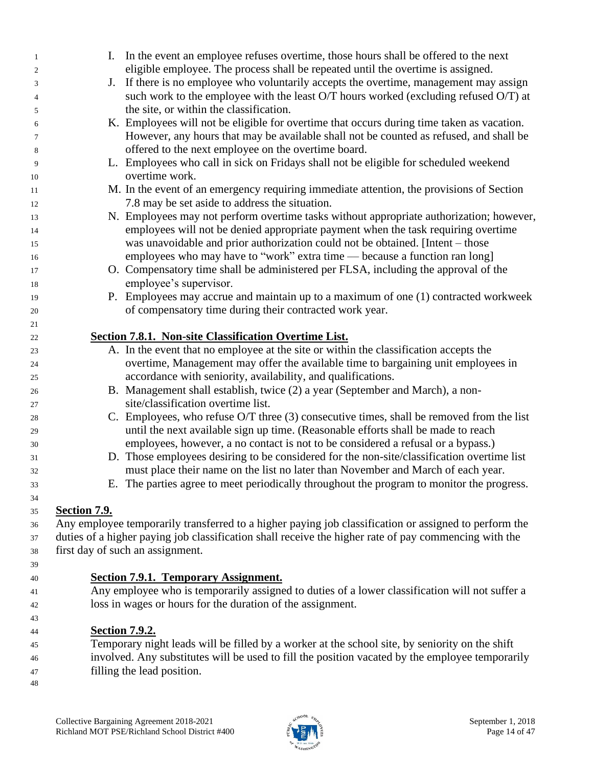| $\mathbf{1}$             |                     | I. In the event an employee refuses over time, those hours shall be offered to the next               |
|--------------------------|---------------------|-------------------------------------------------------------------------------------------------------|
| $\boldsymbol{2}$         |                     | eligible employee. The process shall be repeated until the overtime is assigned.                      |
| 3                        | J.                  | If there is no employee who voluntarily accepts the overtime, management may assign                   |
| $\overline{\mathcal{L}}$ |                     | such work to the employee with the least O/T hours worked (excluding refused O/T) at                  |
| 5                        |                     | the site, or within the classification.                                                               |
| 6                        |                     | K. Employees will not be eligible for overtime that occurs during time taken as vacation.             |
| 7                        |                     | However, any hours that may be available shall not be counted as refused, and shall be                |
| 8                        |                     | offered to the next employee on the overtime board.                                                   |
| 9                        |                     | L. Employees who call in sick on Fridays shall not be eligible for scheduled weekend                  |
| 10                       |                     | overtime work.                                                                                        |
| 11                       |                     | M. In the event of an emergency requiring immediate attention, the provisions of Section              |
| 12                       |                     | 7.8 may be set aside to address the situation.                                                        |
| 13                       |                     | N. Employees may not perform overtime tasks without appropriate authorization; however,               |
| 14                       |                     | employees will not be denied appropriate payment when the task requiring overtime                     |
| 15                       |                     | was unavoidable and prior authorization could not be obtained. [Intent – those                        |
| 16                       |                     | employees who may have to "work" extra time — because a function ran long]                            |
| 17                       |                     | O. Compensatory time shall be administered per FLSA, including the approval of the                    |
| 18                       |                     | employee's supervisor.                                                                                |
| 19                       |                     | P. Employees may accrue and maintain up to a maximum of one (1) contracted workweek                   |
| 20                       |                     | of compensatory time during their contracted work year.                                               |
| 21                       |                     |                                                                                                       |
| 22                       |                     | <b>Section 7.8.1. Non-site Classification Overtime List.</b>                                          |
| 23                       |                     | A. In the event that no employee at the site or within the classification accepts the                 |
| 24                       |                     | overtime, Management may offer the available time to bargaining unit employees in                     |
| 25                       |                     | accordance with seniority, availability, and qualifications.                                          |
| 26                       |                     | B. Management shall establish, twice (2) a year (September and March), a non-                         |
| 27                       |                     | site/classification overtime list.                                                                    |
| 28                       |                     | C. Employees, who refuse O/T three (3) consecutive times, shall be removed from the list              |
| 29                       |                     | until the next available sign up time. (Reasonable efforts shall be made to reach                     |
| 30                       |                     | employees, however, a no contact is not to be considered a refusal or a bypass.)                      |
| 31                       |                     | D. Those employees desiring to be considered for the non-site/classification overtime list            |
| 32                       |                     | must place their name on the list no later than November and March of each year.                      |
| 33                       |                     | E. The parties agree to meet periodically throughout the program to monitor the progress.             |
| 34                       |                     |                                                                                                       |
| 35                       | <b>Section 7.9.</b> |                                                                                                       |
| 36                       |                     | Any employee temporarily transferred to a higher paying job classification or assigned to perform the |
| 37                       |                     | duties of a higher paying job classification shall receive the higher rate of pay commencing with the |
| 38                       |                     | first day of such an assignment.                                                                      |
| 39                       |                     |                                                                                                       |
| 40                       |                     | Section 7.9.1. Temporary Assignment.                                                                  |
| 41                       |                     | Any employee who is temporarily assigned to duties of a lower classification will not suffer a        |
| 42                       |                     | loss in wages or hours for the duration of the assignment.                                            |
| 43                       |                     |                                                                                                       |
| 44                       |                     | <b>Section 7.9.2.</b>                                                                                 |

#### Temporary night leads will be filled by a worker at the school site, by seniority on the shift involved. Any substitutes will be used to fill the position vacated by the employee temporarily filling the lead position.

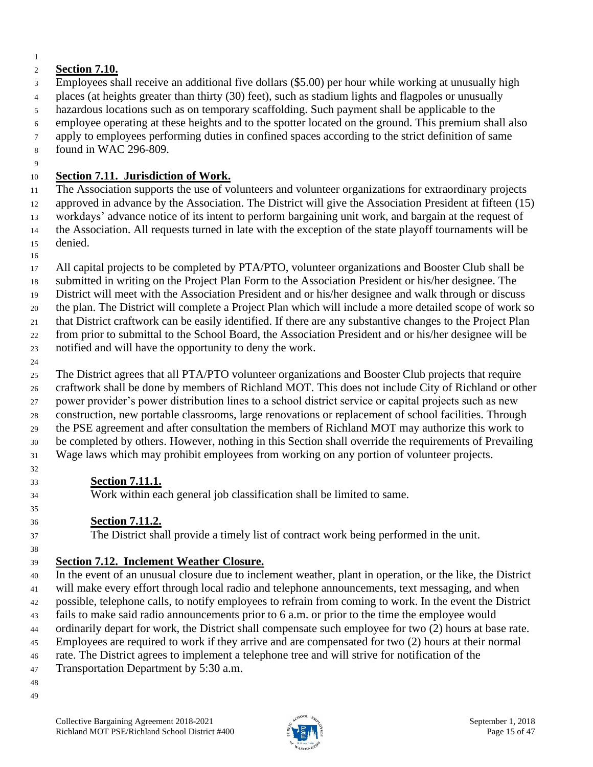#### **Section 7.10.**

Employees shall receive an additional five dollars (\$5.00) per hour while working at unusually high

places (at heights greater than thirty (30) feet), such as stadium lights and flagpoles or unusually

hazardous locations such as on temporary scaffolding. Such payment shall be applicable to the

 employee operating at these heights and to the spotter located on the ground. This premium shall also apply to employees performing duties in confined spaces according to the strict definition of same

found in WAC 296-809.

### **Section 7.11. Jurisdiction of Work.**

 The Association supports the use of volunteers and volunteer organizations for extraordinary projects approved in advance by the Association. The District will give the Association President at fifteen (15) workdays' advance notice of its intent to perform bargaining unit work, and bargain at the request of the Association. All requests turned in late with the exception of the state playoff tournaments will be denied.

 All capital projects to be completed by PTA/PTO, volunteer organizations and Booster Club shall be submitted in writing on the Project Plan Form to the Association President or his/her designee. The

District will meet with the Association President and or his/her designee and walk through or discuss

the plan. The District will complete a Project Plan which will include a more detailed scope of work so

that District craftwork can be easily identified. If there are any substantive changes to the Project Plan

from prior to submittal to the School Board, the Association President and or his/her designee will be

notified and will have the opportunity to deny the work.

 The District agrees that all PTA/PTO volunteer organizations and Booster Club projects that require craftwork shall be done by members of Richland MOT. This does not include City of Richland or other power provider's power distribution lines to a school district service or capital projects such as new construction, new portable classrooms, large renovations or replacement of school facilities. Through the PSE agreement and after consultation the members of Richland MOT may authorize this work to be completed by others. However, nothing in this Section shall override the requirements of Prevailing Wage laws which may prohibit employees from working on any portion of volunteer projects.

**Section 7.11.1.**

Work within each general job classification shall be limited to same.

### **Section 7.11.2.**

The District shall provide a timely list of contract work being performed in the unit.

### **Section 7.12. Inclement Weather Closure.**

 In the event of an unusual closure due to inclement weather, plant in operation, or the like, the District will make every effort through local radio and telephone announcements, text messaging, and when possible, telephone calls, to notify employees to refrain from coming to work. In the event the District fails to make said radio announcements prior to 6 a.m. or prior to the time the employee would ordinarily depart for work, the District shall compensate such employee for two (2) hours at base rate. Employees are required to work if they arrive and are compensated for two (2) hours at their normal rate. The District agrees to implement a telephone tree and will strive for notification of the Transportation Department by 5:30 a.m. 

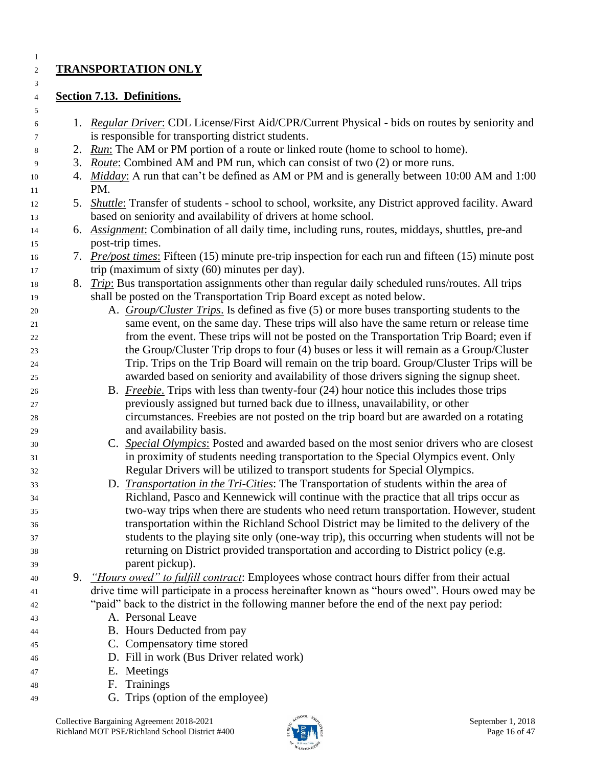### **TRANSPORTATION ONLY**

### **Section 7.13. Definitions.**

- 1. *Regular Driver*: CDL License/First Aid/CPR/Current Physical bids on routes by seniority and is responsible for transporting district students.
- 2. *Run*: The AM or PM portion of a route or linked route (home to school to home).
- 3. *Route*: Combined AM and PM run, which can consist of two (2) or more runs.
- 4. *Midday*: A run that can't be defined as AM or PM and is generally between 10:00 AM and 1:00 PM.
- 5. *Shuttle*: Transfer of students school to school, worksite, any District approved facility. Award based on seniority and availability of drivers at home school.
- 6. *Assignment*: Combination of all daily time, including runs, routes, middays, shuttles, pre-and post-trip times.
- 7. *Pre/post times*: Fifteen (15) minute pre-trip inspection for each run and fifteen (15) minute post 17 trip (maximum of sixty (60) minutes per day).
- 8. *Trip*: Bus transportation assignments other than regular daily scheduled runs/routes. All trips shall be posted on the Transportation Trip Board except as noted below.
- A. *Group/Cluster Trips*. Is defined as five (5) or more buses transporting students to the same event, on the same day. These trips will also have the same return or release time from the event. These trips will not be posted on the Transportation Trip Board; even if the Group/Cluster Trip drops to four (4) buses or less it will remain as a Group/Cluster Trip. Trips on the Trip Board will remain on the trip board. Group/Cluster Trips will be awarded based on seniority and availability of those drivers signing the signup sheet.
- B. *Freebie*. Trips with less than twenty-four (24) hour notice this includes those trips previously assigned but turned back due to illness, unavailability, or other circumstances. Freebies are not posted on the trip board but are awarded on a rotating and availability basis.
- C. *Special Olympics*: Posted and awarded based on the most senior drivers who are closest in proximity of students needing transportation to the Special Olympics event. Only Regular Drivers will be utilized to transport students for Special Olympics.
- D. *Transportation in the Tri-Cities*: The Transportation of students within the area of Richland, Pasco and Kennewick will continue with the practice that all trips occur as two-way trips when there are students who need return transportation. However, student transportation within the Richland School District may be limited to the delivery of the students to the playing site only (one-way trip), this occurring when students will not be returning on District provided transportation and according to District policy (e.g. parent pickup).
- 9. *"Hours owed" to fulfill contract*: Employees whose contract hours differ from their actual drive time will participate in a process hereinafter known as "hours owed". Hours owed may be "paid" back to the district in the following manner before the end of the next pay period:
- A. Personal Leave
- B. Hours Deducted from pay
- C. Compensatory time stored
- D. Fill in work (Bus Driver related work)
- E. Meetings
- F. Trainings
- G. Trips (option of the employee)

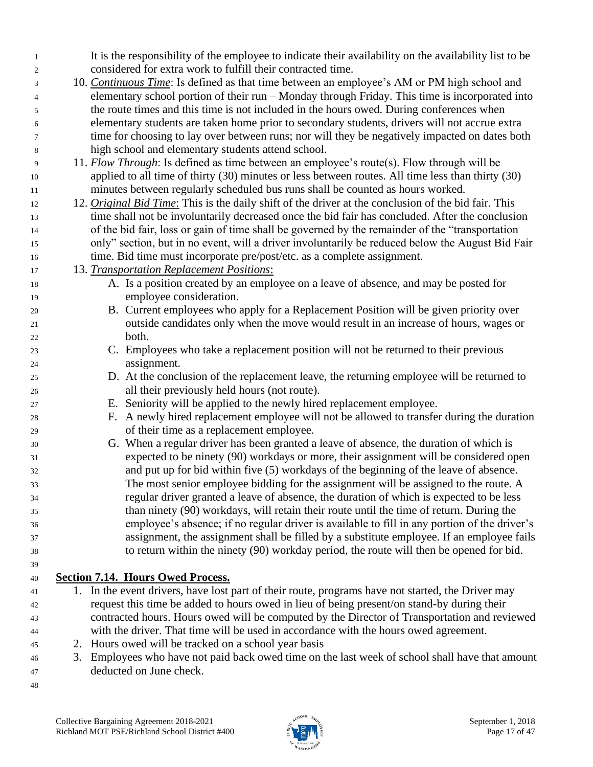| -1 | It is the responsibility of the employee to indicate their availability on the availability list to be      |
|----|-------------------------------------------------------------------------------------------------------------|
| 2  | considered for extra work to fulfill their contracted time.                                                 |
| 3  | 10. Continuous Time: Is defined as that time between an employee's AM or PM high school and                 |
| 4  | elementary school portion of their run – Monday through Friday. This time is incorporated into              |
| 5  | the route times and this time is not included in the hours owed. During conferences when                    |
| 6  | elementary students are taken home prior to secondary students, drivers will not accrue extra               |
| 7  | time for choosing to lay over between runs; nor will they be negatively impacted on dates both              |
| 8  | high school and elementary students attend school.                                                          |
| 9  | 11. <i>Flow Through</i> : Is defined as time between an employee's route(s). Flow through will be           |
| 10 | applied to all time of thirty (30) minutes or less between routes. All time less than thirty (30)           |
| 11 | minutes between regularly scheduled bus runs shall be counted as hours worked.                              |
| 12 | 12. <i>Original Bid Time:</i> This is the daily shift of the driver at the conclusion of the bid fair. This |
| 13 | time shall not be involuntarily decreased once the bid fair has concluded. After the conclusion             |
| 14 | of the bid fair, loss or gain of time shall be governed by the remainder of the "transportation"            |
| 15 | only" section, but in no event, will a driver involuntarily be reduced below the August Bid Fair            |
| 16 | time. Bid time must incorporate pre/post/etc. as a complete assignment.                                     |
| 17 | 13. Transportation Replacement Positions:                                                                   |
| 18 | A. Is a position created by an employee on a leave of absence, and may be posted for                        |
| 19 | employee consideration.                                                                                     |
| 20 | B. Current employees who apply for a Replacement Position will be given priority over                       |
| 21 | outside candidates only when the move would result in an increase of hours, wages or                        |
| 22 | both.                                                                                                       |
| 23 | C. Employees who take a replacement position will not be returned to their previous                         |
| 24 | assignment.                                                                                                 |
| 25 | D. At the conclusion of the replacement leave, the returning employee will be returned to                   |
| 26 | all their previously held hours (not route).                                                                |
| 27 | E. Seniority will be applied to the newly hired replacement employee.                                       |
| 28 | F. A newly hired replacement employee will not be allowed to transfer during the duration                   |
| 29 | of their time as a replacement employee.                                                                    |
| 30 | G. When a regular driver has been granted a leave of absence, the duration of which is                      |
| 31 | expected to be ninety (90) workdays or more, their assignment will be considered open                       |
| 32 | and put up for bid within five (5) workdays of the beginning of the leave of absence.                       |
| 33 | The most senior employee bidding for the assignment will be assigned to the route. A                        |
| 34 | regular driver granted a leave of absence, the duration of which is expected to be less                     |
| 35 | than ninety (90) workdays, will retain their route until the time of return. During the                     |
| 36 | employee's absence; if no regular driver is available to fill in any portion of the driver's                |
| 37 | assignment, the assignment shall be filled by a substitute employee. If an employee fails                   |
| 38 | to return within the ninety (90) workday period, the route will then be opened for bid.                     |
| 39 |                                                                                                             |
| 40 | <b>Section 7.14. Hours Owed Process.</b>                                                                    |
| 41 | 1. In the event drivers, have lost part of their route, programs have not started, the Driver may           |
| 42 | request this time be added to hours owed in lieu of being present/on stand-by during their                  |
| 43 | contracted hours. Hours owed will be computed by the Director of Transportation and reviewed                |
| 44 | with the driver. That time will be used in accordance with the hours owed agreement.                        |
| 45 | 2. Hours owed will be tracked on a school year basis                                                        |
| 46 | 3. Employees who have not paid back owed time on the last week of school shall have that amount             |

- deducted on June check.
- 

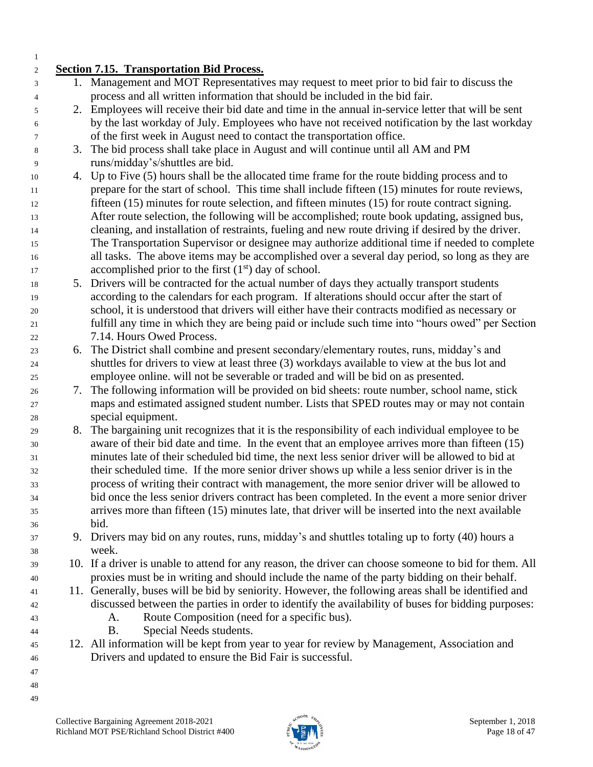#### **Section 7.15. Transportation Bid Process.** 1. Management and MOT Representatives may request to meet prior to bid fair to discuss the process and all written information that should be included in the bid fair. 2. Employees will receive their bid date and time in the annual in-service letter that will be sent by the last workday of July. Employees who have not received notification by the last workday of the first week in August need to contact the transportation office. 3. The bid process shall take place in August and will continue until all AM and PM runs/midday's/shuttles are bid. 4. Up to Five (5) hours shall be the allocated time frame for the route bidding process and to prepare for the start of school. This time shall include fifteen (15) minutes for route reviews, fifteen (15) minutes for route selection, and fifteen minutes (15) for route contract signing. After route selection, the following will be accomplished; route book updating, assigned bus, cleaning, and installation of restraints, fueling and new route driving if desired by the driver. The Transportation Supervisor or designee may authorize additional time if needed to complete all tasks. The above items may be accomplished over a several day period, so long as they are accomplished prior to the first  $(1<sup>st</sup>)$  day of school. 5. Drivers will be contracted for the actual number of days they actually transport students according to the calendars for each program. If alterations should occur after the start of school, it is understood that drivers will either have their contracts modified as necessary or fulfill any time in which they are being paid or include such time into "hours owed" per Section 7.14. Hours Owed Process. 6. The District shall combine and present secondary/elementary routes, runs, midday's and shuttles for drivers to view at least three (3) workdays available to view at the bus lot and employee online. will not be severable or traded and will be bid on as presented. 7. The following information will be provided on bid sheets: route number, school name, stick maps and estimated assigned student number. Lists that SPED routes may or may not contain special equipment. 8. The bargaining unit recognizes that it is the responsibility of each individual employee to be aware of their bid date and time. In the event that an employee arrives more than fifteen (15) minutes late of their scheduled bid time, the next less senior driver will be allowed to bid at their scheduled time. If the more senior driver shows up while a less senior driver is in the process of writing their contract with management, the more senior driver will be allowed to bid once the less senior drivers contract has been completed. In the event a more senior driver arrives more than fifteen (15) minutes late, that driver will be inserted into the next available bid. 9. Drivers may bid on any routes, runs, midday's and shuttles totaling up to forty (40) hours a week. 10. If a driver is unable to attend for any reason, the driver can choose someone to bid for them. All proxies must be in writing and should include the name of the party bidding on their behalf. 11. Generally, buses will be bid by seniority. However, the following areas shall be identified and discussed between the parties in order to identify the availability of buses for bidding purposes: A. Route Composition (need for a specific bus). B. Special Needs students. 12. All information will be kept from year to year for review by Management, Association and Drivers and updated to ensure the Bid Fair is successful.

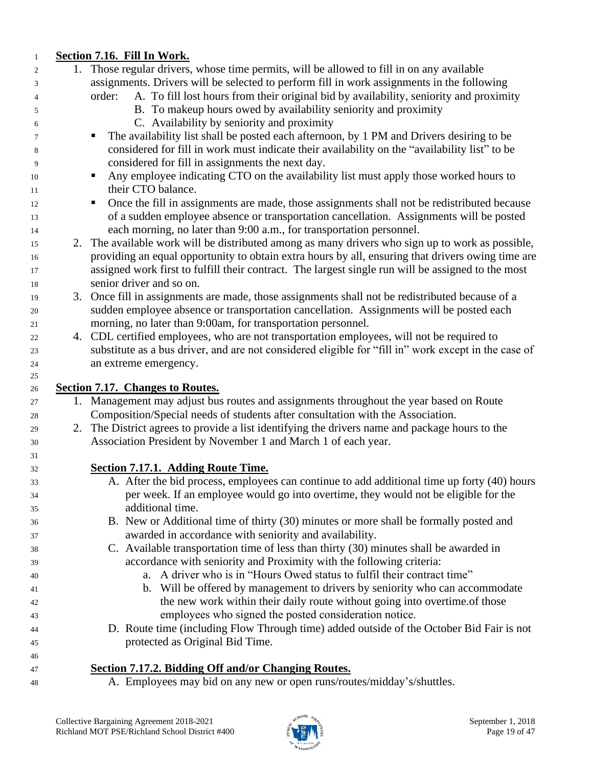| $\mathbf{1}$ | Section 7.16. Fill In Work.                                                                          |
|--------------|------------------------------------------------------------------------------------------------------|
| 2            | 1. Those regular drivers, whose time permits, will be allowed to fill in on any available            |
| 3            | assignments. Drivers will be selected to perform fill in work assignments in the following           |
| 4            | A. To fill lost hours from their original bid by availability, seniority and proximity<br>order:     |
| 5            | B. To makeup hours owed by availability seniority and proximity                                      |
| 6            | C. Availability by seniority and proximity                                                           |
| 7            | The availability list shall be posted each afternoon, by 1 PM and Drivers desiring to be             |
| 8            | considered for fill in work must indicate their availability on the "availability list" to be        |
| 9            | considered for fill in assignments the next day.                                                     |
| 10           | Any employee indicating CTO on the availability list must apply those worked hours to<br>п           |
| 11           | their CTO balance.                                                                                   |
| 12           | Once the fill in assignments are made, those assignments shall not be redistributed because<br>п     |
| 13           | of a sudden employee absence or transportation cancellation. Assignments will be posted              |
| 14           | each morning, no later than 9:00 a.m., for transportation personnel.                                 |
| 15           | 2. The available work will be distributed among as many drivers who sign up to work as possible,     |
| 16           | providing an equal opportunity to obtain extra hours by all, ensuring that drivers owing time are    |
|              | assigned work first to fulfill their contract. The largest single run will be assigned to the most   |
|              | senior driver and so on.                                                                             |
| 19           | 3. Once fill in assignments are made, those assignments shall not be redistributed because of a      |
|              | sudden employee absence or transportation cancellation. Assignments will be posted each              |
|              | morning, no later than 9:00am, for transportation personnel.                                         |
|              | 4. CDL certified employees, who are not transportation employees, will not be required to            |
|              | substitute as a bus driver, and are not considered eligible for "fill in" work except in the case of |
|              | an extreme emergency.                                                                                |
| 26           | <b>Section 7.17. Changes to Routes.</b>                                                              |
| 27           | 1. Management may adjust bus routes and assignments throughout the year based on Route               |
| 28           | Composition/Special needs of students after consultation with the Association.                       |
|              | 2. The District agrees to provide a list identifying the drivers name and package hours to the       |
|              | Association President by November 1 and March 1 of each year.                                        |
|              |                                                                                                      |
|              | <b>Section 7.17.1. Adding Route Time.</b>                                                            |
|              | A. After the bid process, employees can continue to add additional time up forty (40) hours          |
|              | per week. If an employee would go into overtime, they would not be eligible for the                  |
|              | additional time.                                                                                     |
|              | B. New or Additional time of thirty (30) minutes or more shall be formally posted and                |
|              | awarded in accordance with seniority and availability.                                               |
|              | C. Available transportation time of less than thirty (30) minutes shall be awarded in                |
|              | accordance with seniority and Proximity with the following criteria:                                 |
|              | a. A driver who is in "Hours Owed status to fulfil their contract time"                              |
|              | b. Will be offered by management to drivers by seniority who can accommodate                         |
|              | the new work within their daily route without going into overtime of those                           |
|              | employees who signed the posted consideration notice.                                                |
|              | D. Route time (including Flow Through time) added outside of the October Bid Fair is not             |
| 45           | protected as Original Bid Time.                                                                      |
|              |                                                                                                      |
|              | Section 7.17.2. Bidding Off and/or Changing Routes.                                                  |
| 48           | A. Employees may bid on any new or open runs/routes/midday's/shuttles.                               |

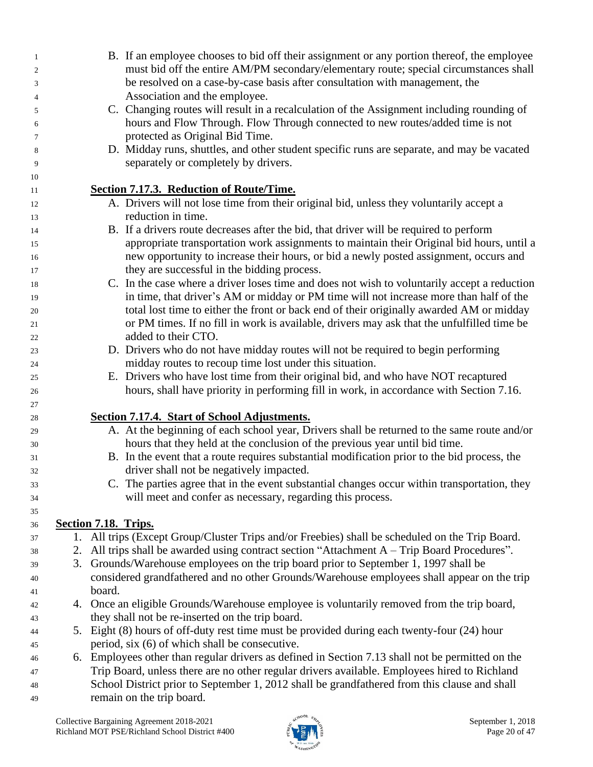| $\mathbf{1}$   |                               | B. If an employee chooses to bid off their assignment or any portion thereof, the employee       |  |  |
|----------------|-------------------------------|--------------------------------------------------------------------------------------------------|--|--|
| $\overline{c}$ |                               | must bid off the entire AM/PM secondary/elementary route; special circumstances shall            |  |  |
| 3              |                               | be resolved on a case-by-case basis after consultation with management, the                      |  |  |
| $\overline{4}$ | Association and the employee. |                                                                                                  |  |  |
| 5              |                               | C. Changing routes will result in a recalculation of the Assignment including rounding of        |  |  |
| 6              |                               | hours and Flow Through. Flow Through connected to new routes/added time is not                   |  |  |
| $\tau$         |                               | protected as Original Bid Time.                                                                  |  |  |
| 8              |                               | D. Midday runs, shuttles, and other student specific runs are separate, and may be vacated       |  |  |
| 9              |                               | separately or completely by drivers.                                                             |  |  |
| 10             |                               |                                                                                                  |  |  |
| 11             |                               | <b>Section 7.17.3. Reduction of Route/Time.</b>                                                  |  |  |
| 12             |                               | A. Drivers will not lose time from their original bid, unless they voluntarily accept a          |  |  |
| 13             |                               | reduction in time.                                                                               |  |  |
| 14             |                               | B. If a drivers route decreases after the bid, that driver will be required to perform           |  |  |
| 15             |                               | appropriate transportation work assignments to maintain their Original bid hours, until a        |  |  |
| 16             |                               | new opportunity to increase their hours, or bid a newly posted assignment, occurs and            |  |  |
| 17             |                               | they are successful in the bidding process.                                                      |  |  |
| 18             |                               | C. In the case where a driver loses time and does not wish to voluntarily accept a reduction     |  |  |
| 19             |                               | in time, that driver's AM or midday or PM time will not increase more than half of the           |  |  |
| 20             |                               | total lost time to either the front or back end of their originally awarded AM or midday         |  |  |
| 21             |                               | or PM times. If no fill in work is available, drivers may ask that the unfulfilled time be       |  |  |
| 22             |                               | added to their CTO.                                                                              |  |  |
| 23             |                               | D. Drivers who do not have midday routes will not be required to begin performing                |  |  |
| 24             |                               | midday routes to recoup time lost under this situation.                                          |  |  |
| 25             |                               | E. Drivers who have lost time from their original bid, and who have NOT recaptured               |  |  |
| 26<br>27       |                               | hours, shall have priority in performing fill in work, in accordance with Section 7.16.          |  |  |
| 28             |                               | Section 7.17.4. Start of School Adjustments.                                                     |  |  |
| 29             |                               | A. At the beginning of each school year, Drivers shall be returned to the same route and/or      |  |  |
| 30             |                               | hours that they held at the conclusion of the previous year until bid time.                      |  |  |
| 31             |                               | B. In the event that a route requires substantial modification prior to the bid process, the     |  |  |
| 32             |                               | driver shall not be negatively impacted.                                                         |  |  |
| 33             |                               | C. The parties agree that in the event substantial changes occur within transportation, they     |  |  |
| 34             |                               | will meet and confer as necessary, regarding this process.                                       |  |  |
| 35             |                               |                                                                                                  |  |  |
| 36             |                               | Section 7.18. Trips.                                                                             |  |  |
| 37             |                               | 1. All trips (Except Group/Cluster Trips and/or Freebies) shall be scheduled on the Trip Board.  |  |  |
| 38             |                               | 2. All trips shall be awarded using contract section "Attachment A – Trip Board Procedures".     |  |  |
| 39             |                               | 3. Grounds/Warehouse employees on the trip board prior to September 1, 1997 shall be             |  |  |
| 40             |                               | considered grandfathered and no other Grounds/Warehouse employees shall appear on the trip       |  |  |
| 41             |                               | board.                                                                                           |  |  |
| 42             |                               | 4. Once an eligible Grounds/Warehouse employee is voluntarily removed from the trip board,       |  |  |
| 43             |                               | they shall not be re-inserted on the trip board.                                                 |  |  |
| 44             |                               | 5. Eight (8) hours of off-duty rest time must be provided during each twenty-four (24) hour      |  |  |
| 45             |                               | period, six (6) of which shall be consecutive.                                                   |  |  |
| 46             |                               | 6. Employees other than regular drivers as defined in Section 7.13 shall not be permitted on the |  |  |
| 47             |                               | Trip Board, unless there are no other regular drivers available. Employees hired to Richland     |  |  |
| 48             |                               | School District prior to September 1, 2012 shall be grandfathered from this clause and shall     |  |  |
| 49             |                               | remain on the trip board.                                                                        |  |  |

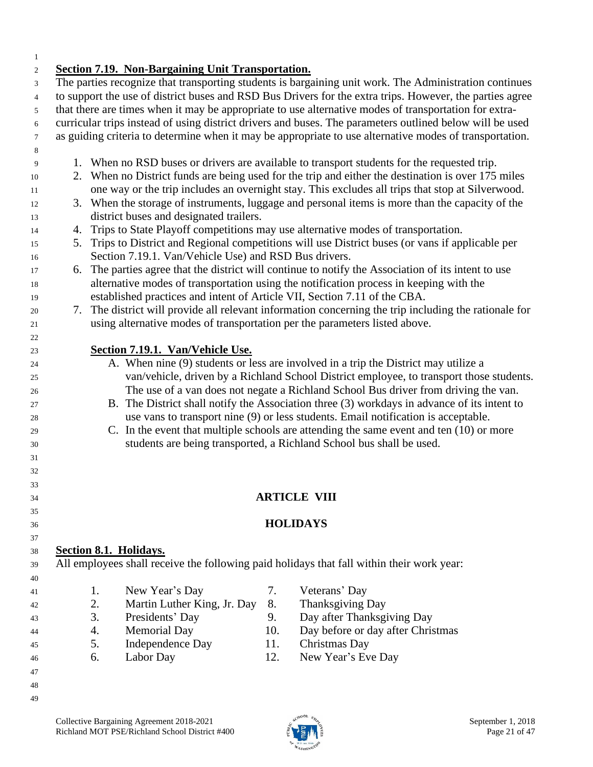#### **Section 7.19. Non-Bargaining Unit Transportation.**

 The parties recognize that transporting students is bargaining unit work. The Administration continues to support the use of district buses and RSD Bus Drivers for the extra trips. However, the parties agree that there are times when it may be appropriate to use alternative modes of transportation for extra- curricular trips instead of using district drivers and buses. The parameters outlined below will be used as guiding criteria to determine when it may be appropriate to use alternative modes of transportation. 1. When no RSD buses or drivers are available to transport students for the requested trip. 2. When no District funds are being used for the trip and either the destination is over 175 miles one way or the trip includes an overnight stay. This excludes all trips that stop at Silverwood. 3. When the storage of instruments, luggage and personal items is more than the capacity of the district buses and designated trailers. 4. Trips to State Playoff competitions may use alternative modes of transportation. 5. Trips to District and Regional competitions will use District buses (or vans if applicable per Section 7.19.1. Van/Vehicle Use) and RSD Bus drivers. 6. The parties agree that the district will continue to notify the Association of its intent to use alternative modes of transportation using the notification process in keeping with the established practices and intent of Article VII, Section 7.11 of the CBA. 7. The district will provide all relevant information concerning the trip including the rationale for using alternative modes of transportation per the parameters listed above. **Section 7.19.1. Van/Vehicle Use.** A. When nine (9) students or less are involved in a trip the District may utilize a van/vehicle, driven by a Richland School District employee, to transport those students. The use of a van does not negate a Richland School Bus driver from driving the van. B. The District shall notify the Association three (3) workdays in advance of its intent to use vans to transport nine (9) or less students. Email notification is acceptable. C. In the event that multiple schools are attending the same event and ten (10) or more students are being transported, a Richland School bus shall be used. **ARTICLE VIII HOLIDAYS Section 8.1. Holidays.** All employees shall receive the following paid holidays that fall within their work year: 1. New Year's Day 7. Veterans' Day 2. Martin Luther King, Jr. Day 8. Thanksgiving Day 3. Presidents' Day 9. Day after Thanksgiving Day 4. Memorial Day 10. Day before or day after Christmas 5. Independence Day 11. Christmas Day 6. Labor Day 12. New Year's Eve Day 

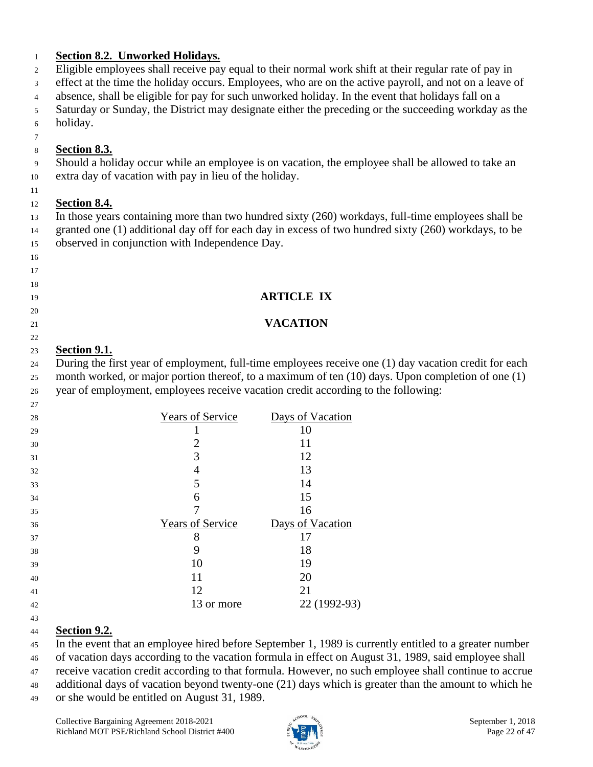| 2              | <b>Section 8.2. Unworked Holidays.</b>                                            | Eligible employees shall receive pay equal to their normal work shift at their regular rate of pay in  |
|----------------|-----------------------------------------------------------------------------------|--------------------------------------------------------------------------------------------------------|
| 3              |                                                                                   | effect at the time the holiday occurs. Employees, who are on the active payroll, and not on a leave of |
| $\overline{4}$ |                                                                                   | absence, shall be eligible for pay for such unworked holiday. In the event that holidays fall on a     |
|                |                                                                                   | Saturday or Sunday, the District may designate either the preceding or the succeeding workday as the   |
|                | holiday.                                                                          |                                                                                                        |
|                |                                                                                   |                                                                                                        |
|                | <b>Section 8.3.</b>                                                               |                                                                                                        |
|                |                                                                                   | Should a holiday occur while an employee is on vacation, the employee shall be allowed to take an      |
|                | extra day of vacation with pay in lieu of the holiday.                            |                                                                                                        |
|                |                                                                                   |                                                                                                        |
|                | Section 8.4.                                                                      |                                                                                                        |
|                |                                                                                   | In those years containing more than two hundred sixty (260) workdays, full-time employees shall be     |
|                |                                                                                   | granted one (1) additional day off for each day in excess of two hundred sixty (260) workdays, to be   |
|                | observed in conjunction with Independence Day.                                    |                                                                                                        |
|                |                                                                                   |                                                                                                        |
|                |                                                                                   |                                                                                                        |
|                |                                                                                   |                                                                                                        |
|                |                                                                                   | <b>ARTICLE IX</b>                                                                                      |
|                |                                                                                   |                                                                                                        |
|                |                                                                                   | <b>VACATION</b>                                                                                        |
|                |                                                                                   |                                                                                                        |
|                | Section 9.1.                                                                      |                                                                                                        |
|                |                                                                                   | During the first year of employment, full-time employees receive one (1) day vacation credit for each  |
|                |                                                                                   | month worked, or major portion thereof, to a maximum of ten (10) days. Upon completion of one (1)      |
|                | year of employment, employees receive vacation credit according to the following: |                                                                                                        |
|                |                                                                                   |                                                                                                        |
|                | <b>Years of Service</b>                                                           | Days of Vacation<br>10                                                                                 |
|                | $\mathbf{1}$                                                                      | 11                                                                                                     |
|                | $\overline{\mathbf{c}}$<br>$\overline{3}$                                         | 12                                                                                                     |
|                | $\overline{4}$                                                                    | 13                                                                                                     |
|                |                                                                                   | 14                                                                                                     |
|                | 6                                                                                 | 15                                                                                                     |
|                | 7                                                                                 | 16                                                                                                     |
|                | <b>Years of Service</b>                                                           | Days of Vacation                                                                                       |
|                | 8                                                                                 | 17                                                                                                     |
|                | 9                                                                                 | 18                                                                                                     |
|                | 10                                                                                | 19                                                                                                     |
|                | 11                                                                                | 20                                                                                                     |
|                | 12                                                                                | 21                                                                                                     |
|                |                                                                                   |                                                                                                        |
|                | 13 or more                                                                        | 22 (1992-93)                                                                                           |

 of vacation days according to the vacation formula in effect on August 31, 1989, said employee shall receive vacation credit according to that formula. However, no such employee shall continue to accrue

 additional days of vacation beyond twenty-one (21) days which is greater than the amount to which he or she would be entitled on August 31, 1989.

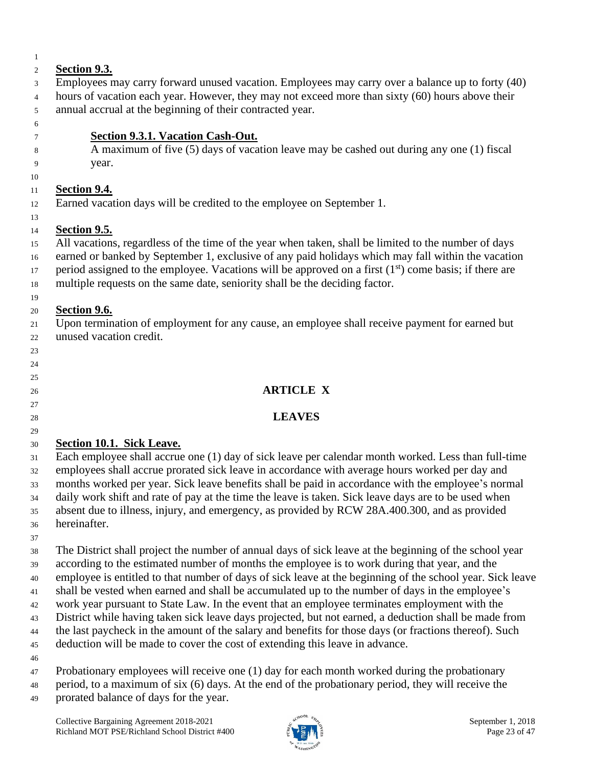| $\mathbf{1}$ |                                                                                                           |
|--------------|-----------------------------------------------------------------------------------------------------------|
| 2            | <b>Section 9.3.</b>                                                                                       |
| 3            | Employees may carry forward unused vacation. Employees may carry over a balance up to forty (40)          |
| 4            | hours of vacation each year. However, they may not exceed more than sixty (60) hours above their          |
| 5            | annual accrual at the beginning of their contracted year.                                                 |
| 6            |                                                                                                           |
| 7            | <b>Section 9.3.1. Vacation Cash-Out.</b>                                                                  |
| 8            | A maximum of five (5) days of vacation leave may be cashed out during any one (1) fiscal                  |
| 9            | year.                                                                                                     |
| 10           |                                                                                                           |
| 11           | <b>Section 9.4.</b>                                                                                       |
| 12           | Earned vacation days will be credited to the employee on September 1.                                     |
| 13           |                                                                                                           |
| 14           | <b>Section 9.5.</b>                                                                                       |
| 15           | All vacations, regardless of the time of the year when taken, shall be limited to the number of days      |
| 16           | earned or banked by September 1, exclusive of any paid holidays which may fall within the vacation        |
| 17           | period assigned to the employee. Vacations will be approved on a first $(1st)$ come basis; if there are   |
| 18           | multiple requests on the same date, seniority shall be the deciding factor.                               |
| 19           |                                                                                                           |
| 20           | Section 9.6.                                                                                              |
| 21           | Upon termination of employment for any cause, an employee shall receive payment for earned but            |
| 22           | unused vacation credit.                                                                                   |
| 23           |                                                                                                           |
| 24           |                                                                                                           |
| 25           |                                                                                                           |
| 26           | <b>ARTICLE X</b>                                                                                          |
| 27           |                                                                                                           |
| 28           | <b>LEAVES</b>                                                                                             |
| 29           |                                                                                                           |
| 30           | Section 10.1. Sick Leave.                                                                                 |
| 31           | Each employee shall accrue one (1) day of sick leave per calendar month worked. Less than full-time       |
| 32           | employees shall accrue prorated sick leave in accordance with average hours worked per day and            |
| 33           | months worked per year. Sick leave benefits shall be paid in accordance with the employee's normal        |
| 34           | daily work shift and rate of pay at the time the leave is taken. Sick leave days are to be used when      |
| 35           | absent due to illness, injury, and emergency, as provided by RCW 28A.400.300, and as provided             |
| 36           | hereinafter.                                                                                              |
| 37           |                                                                                                           |
| 38           | The District shall project the number of annual days of sick leave at the beginning of the school year    |
| 39           | according to the estimated number of months the employee is to work during that year, and the             |
| 40           | employee is entitled to that number of days of sick leave at the beginning of the school year. Sick leave |
| 41           | shall be vested when earned and shall be accumulated up to the number of days in the employee's           |

work year pursuant to State Law. In the event that an employee terminates employment with the

 District while having taken sick leave days projected, but not earned, a deduction shall be made from the last paycheck in the amount of the salary and benefits for those days (or fractions thereof). Such

deduction will be made to cover the cost of extending this leave in advance.

Probationary employees will receive one (1) day for each month worked during the probationary

 period, to a maximum of six (6) days. At the end of the probationary period, they will receive the prorated balance of days for the year.

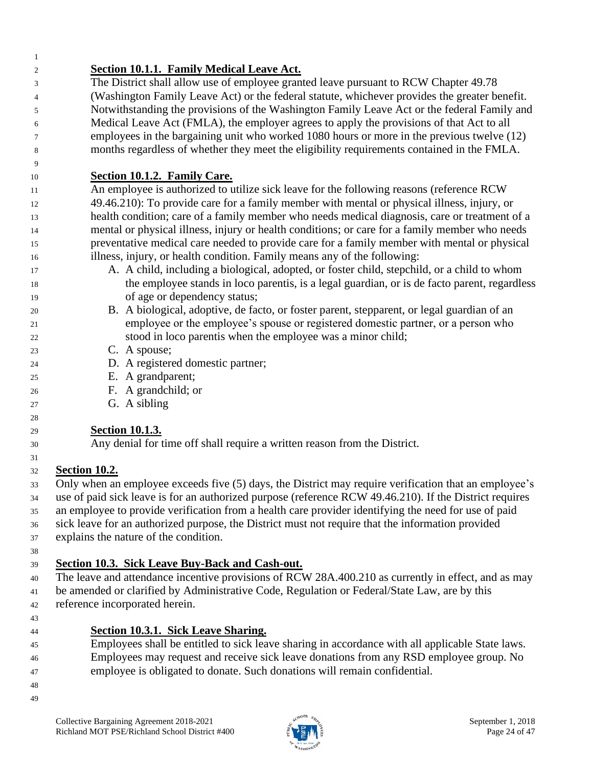| $\mathbf{1}$ |                                                                                                         |
|--------------|---------------------------------------------------------------------------------------------------------|
| 2            | <b>Section 10.1.1. Family Medical Leave Act.</b>                                                        |
| 3            | The District shall allow use of employee granted leave pursuant to RCW Chapter 49.78                    |
| 4            | (Washington Family Leave Act) or the federal statute, whichever provides the greater benefit.           |
| 5            | Notwithstanding the provisions of the Washington Family Leave Act or the federal Family and             |
| 6            | Medical Leave Act (FMLA), the employer agrees to apply the provisions of that Act to all                |
| 7            | employees in the bargaining unit who worked 1080 hours or more in the previous twelve (12)              |
| 8            | months regardless of whether they meet the eligibility requirements contained in the FMLA.              |
| 9            |                                                                                                         |
| 10           | Section 10.1.2. Family Care.                                                                            |
| 11           | An employee is authorized to utilize sick leave for the following reasons (reference RCW)               |
| 12           | 49.46.210): To provide care for a family member with mental or physical illness, injury, or             |
| 13           | health condition; care of a family member who needs medical diagnosis, care or treatment of a           |
| 14           | mental or physical illness, injury or health conditions; or care for a family member who needs          |
| 15           | preventative medical care needed to provide care for a family member with mental or physical            |
| 16           | illness, injury, or health condition. Family means any of the following:                                |
| 17           | A. A child, including a biological, adopted, or foster child, stepchild, or a child to whom             |
| 18           | the employee stands in loco parentis, is a legal guardian, or is de facto parent, regardless            |
| 19           | of age or dependency status;                                                                            |
| 20           | B. A biological, adoptive, de facto, or foster parent, stepparent, or legal guardian of an              |
| 21           | employee or the employee's spouse or registered domestic partner, or a person who                       |
| 22           | stood in loco parentis when the employee was a minor child;                                             |
| 23           | C. A spouse;                                                                                            |
| 24           | D. A registered domestic partner;                                                                       |
| 25           | E. A grandparent;                                                                                       |
| 26           | F. A grandchild; or                                                                                     |
| 27           | G. A sibling                                                                                            |
| 28           |                                                                                                         |
| 29           | <b>Section 10.1.3.</b>                                                                                  |
| 30           | Any denial for time off shall require a written reason from the District.                               |
| 31           |                                                                                                         |
| 32           | <b>Section 10.2.</b>                                                                                    |
| 33           | Only when an employee exceeds five (5) days, the District may require verification that an employee's   |
| 34           | use of paid sick leave is for an authorized purpose (reference RCW 49.46.210). If the District requires |
| 35           | an employee to provide verification from a health care provider identifying the need for use of paid    |
| 36           | sick leave for an authorized purpose, the District must not require that the information provided       |
| 37           | explains the nature of the condition.                                                                   |
| 38           |                                                                                                         |
| 39           | Section 10.3. Sick Leave Buy-Back and Cash-out.                                                         |
| 40           | The leave and attendance incentive provisions of RCW 28A.400.210 as currently in effect, and as may     |
| 41           | be amended or clarified by Administrative Code, Regulation or Federal/State Law, are by this            |
| 42           | reference incorporated herein.                                                                          |
| 43           |                                                                                                         |
| 44           | <b>Section 10.3.1. Sick Leave Sharing.</b>                                                              |
| 45           | Employees shall be entitled to sick leave sharing in accordance with all applicable State laws.         |
| 46           | Employees may request and receive sick leave donations from any RSD employee group. No                  |
| 47           | employee is obligated to donate. Such donations will remain confidential.                               |
| 48           |                                                                                                         |
| 49           |                                                                                                         |

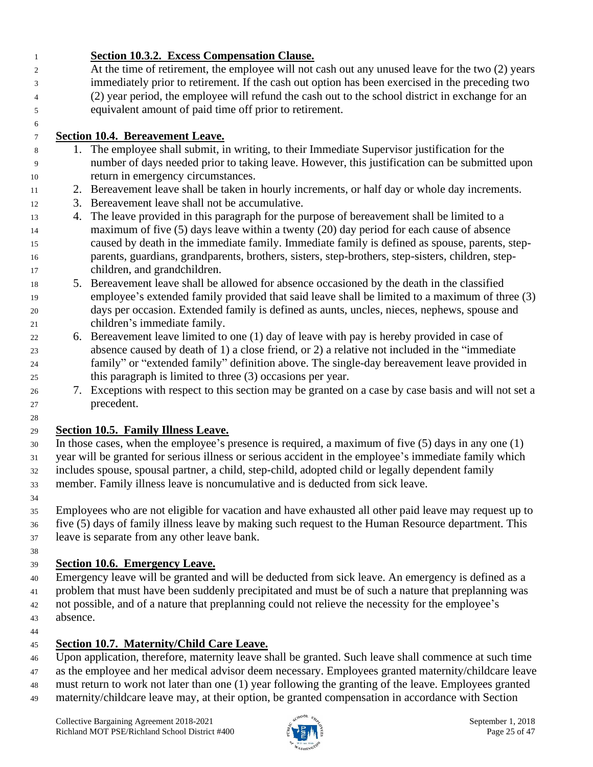**Section 10.3.2. Excess Compensation Clause.** At the time of retirement, the employee will not cash out any unused leave for the two (2) years immediately prior to retirement. If the cash out option has been exercised in the preceding two (2) year period, the employee will refund the cash out to the school district in exchange for an equivalent amount of paid time off prior to retirement.

### **Section 10.4. Bereavement Leave.**

- 1. The employee shall submit, in writing, to their Immediate Supervisor justification for the number of days needed prior to taking leave. However, this justification can be submitted upon return in emergency circumstances.
- 2. Bereavement leave shall be taken in hourly increments, or half day or whole day increments.
- 3. Bereavement leave shall not be accumulative.
- 4. The leave provided in this paragraph for the purpose of bereavement shall be limited to a maximum of five (5) days leave within a twenty (20) day period for each cause of absence caused by death in the immediate family. Immediate family is defined as spouse, parents, step- parents, guardians, grandparents, brothers, sisters, step-brothers, step-sisters, children, step-children, and grandchildren.
- 5. Bereavement leave shall be allowed for absence occasioned by the death in the classified employee's extended family provided that said leave shall be limited to a maximum of three (3) days per occasion. Extended family is defined as aunts, uncles, nieces, nephews, spouse and children's immediate family.
- 6. Bereavement leave limited to one (1) day of leave with pay is hereby provided in case of absence caused by death of 1) a close friend, or 2) a relative not included in the "immediate family" or "extended family" definition above. The single-day bereavement leave provided in this paragraph is limited to three (3) occasions per year.
- 7. Exceptions with respect to this section may be granted on a case by case basis and will not set a precedent.

### **Section 10.5. Family Illness Leave.**

- In those cases, when the employee's presence is required, a maximum of five (5) days in any one (1) year will be granted for serious illness or serious accident in the employee's immediate family which includes spouse, spousal partner, a child, step-child, adopted child or legally dependent family
- member. Family illness leave is noncumulative and is deducted from sick leave.
- 

 Employees who are not eligible for vacation and have exhausted all other paid leave may request up to five (5) days of family illness leave by making such request to the Human Resource department. This

leave is separate from any other leave bank.

#### **Section 10.6. Emergency Leave.**

- Emergency leave will be granted and will be deducted from sick leave. An emergency is defined as a problem that must have been suddenly precipitated and must be of such a nature that preplanning was 42 not possible, and of a nature that preplanning could not relieve the necessity for the employee's absence.
- 

### **Section 10.7. Maternity/Child Care Leave.**

Upon application, therefore, maternity leave shall be granted. Such leave shall commence at such time

- as the employee and her medical advisor deem necessary. Employees granted maternity/childcare leave
- must return to work not later than one (1) year following the granting of the leave. Employees granted
- maternity/childcare leave may, at their option, be granted compensation in accordance with Section

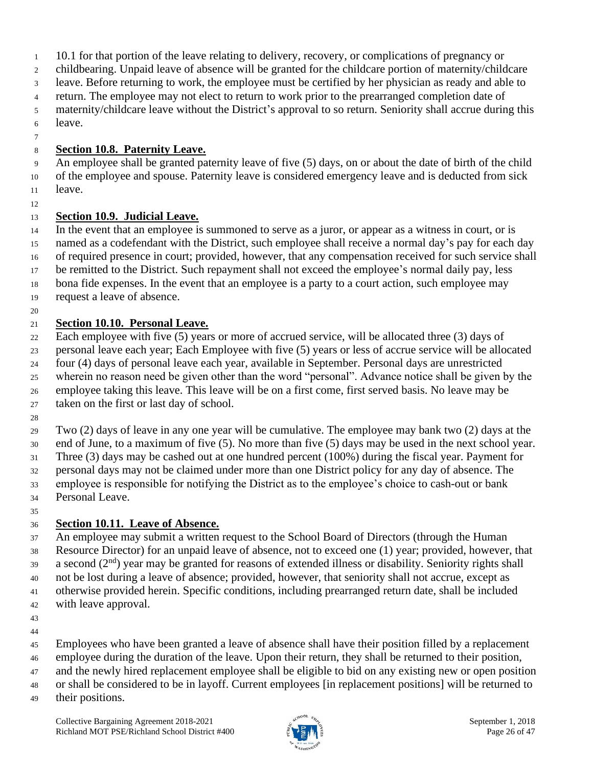- 10.1 for that portion of the leave relating to delivery, recovery, or complications of pregnancy or
- childbearing. Unpaid leave of absence will be granted for the childcare portion of maternity/childcare
- leave. Before returning to work, the employee must be certified by her physician as ready and able to
- return. The employee may not elect to return to work prior to the prearranged completion date of
- maternity/childcare leave without the District's approval to so return. Seniority shall accrue during this leave.
- 

### **Section 10.8. Paternity Leave.**

 An employee shall be granted paternity leave of five (5) days, on or about the date of birth of the child of the employee and spouse. Paternity leave is considered emergency leave and is deducted from sick leave.

### **Section 10.9. Judicial Leave.**

 In the event that an employee is summoned to serve as a juror, or appear as a witness in court, or is named as a codefendant with the District, such employee shall receive a normal day's pay for each day of required presence in court; provided, however, that any compensation received for such service shall be remitted to the District. Such repayment shall not exceed the employee's normal daily pay, less bona fide expenses. In the event that an employee is a party to a court action, such employee may request a leave of absence.

### **Section 10.10. Personal Leave.**

 Each employee with five (5) years or more of accrued service, will be allocated three (3) days of personal leave each year; Each Employee with five (5) years or less of accrue service will be allocated four (4) days of personal leave each year, available in September. Personal days are unrestricted wherein no reason need be given other than the word "personal". Advance notice shall be given by the employee taking this leave. This leave will be on a first come, first served basis. No leave may be taken on the first or last day of school. 

 Two (2) days of leave in any one year will be cumulative. The employee may bank two (2) days at the end of June, to a maximum of five (5). No more than five (5) days may be used in the next school year. Three (3) days may be cashed out at one hundred percent (100%) during the fiscal year. Payment for personal days may not be claimed under more than one District policy for any day of absence. The employee is responsible for notifying the District as to the employee's choice to cash-out or bank Personal Leave.

### **Section 10.11. Leave of Absence.**

 An employee may submit a written request to the School Board of Directors (through the Human Resource Director) for an unpaid leave of absence, not to exceed one (1) year; provided, however, that a second  $(2<sup>nd</sup>)$  year may be granted for reasons of extended illness or disability. Seniority rights shall not be lost during a leave of absence; provided, however, that seniority shall not accrue, except as otherwise provided herein. Specific conditions, including prearranged return date, shall be included with leave approval.

 

Employees who have been granted a leave of absence shall have their position filled by a replacement

- employee during the duration of the leave. Upon their return, they shall be returned to their position,
- and the newly hired replacement employee shall be eligible to bid on any existing new or open position
- or shall be considered to be in layoff. Current employees [in replacement positions] will be returned to
- their positions.

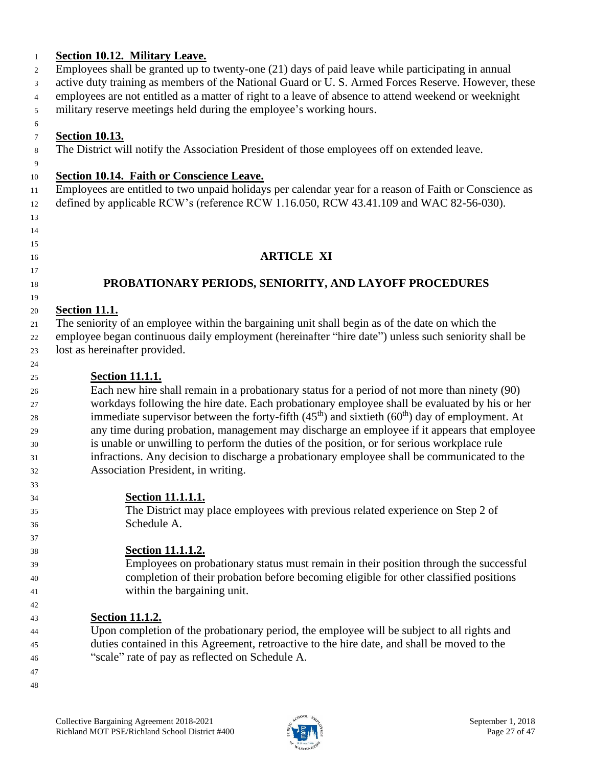#### **Section 10.12. Military Leave.** Employees shall be granted up to twenty-one (21) days of paid leave while participating in annual active duty training as members of the National Guard or U. S. Armed Forces Reserve. However, these employees are not entitled as a matter of right to a leave of absence to attend weekend or weeknight military reserve meetings held during the employee's working hours. **Section 10.13.** The District will notify the Association President of those employees off on extended leave. **Section 10.14. Faith or Conscience Leave.** Employees are entitled to two unpaid holidays per calendar year for a reason of Faith or Conscience as defined by applicable RCW's (reference RCW 1.16.050, RCW 43.41.109 and WAC 82-56-030). **ARTICLE XI PROBATIONARY PERIODS, SENIORITY, AND LAYOFF PROCEDURES Section 11.1.** The seniority of an employee within the bargaining unit shall begin as of the date on which the employee began continuous daily employment (hereinafter "hire date") unless such seniority shall be lost as hereinafter provided. **Section 11.1.1.** Each new hire shall remain in a probationary status for a period of not more than ninety (90) workdays following the hire date. Each probationary employee shall be evaluated by his or her immediate supervisor between the forty-fifth  $(45<sup>th</sup>)$  and sixtieth  $(60<sup>th</sup>)$  day of employment. At any time during probation, management may discharge an employee if it appears that employee is unable or unwilling to perform the duties of the position, or for serious workplace rule infractions. Any decision to discharge a probationary employee shall be communicated to the Association President, in writing. **Section 11.1.1.1.** The District may place employees with previous related experience on Step 2 of Schedule A. **Section 11.1.1.2.** Employees on probationary status must remain in their position through the successful completion of their probation before becoming eligible for other classified positions within the bargaining unit. **Section 11.1.2.** Upon completion of the probationary period, the employee will be subject to all rights and duties contained in this Agreement, retroactive to the hire date, and shall be moved to the "scale" rate of pay as reflected on Schedule A.

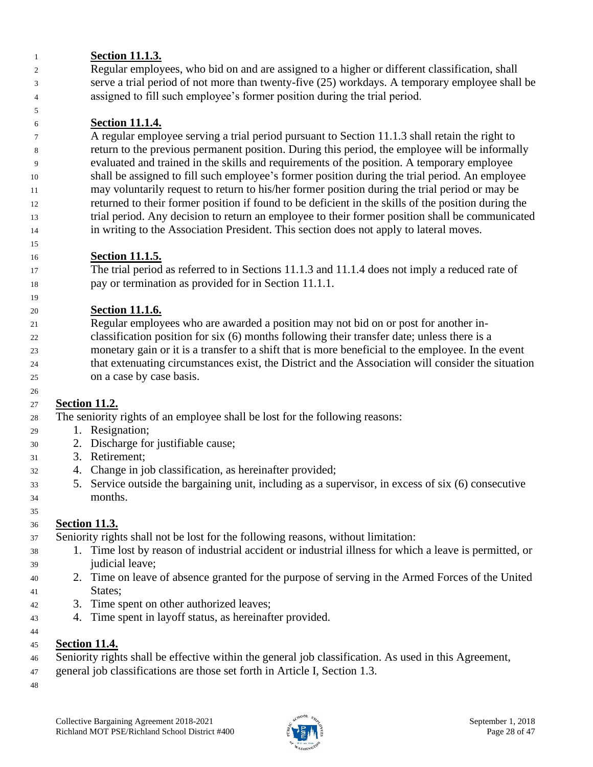### **Section 11.1.3.**

 Regular employees, who bid on and are assigned to a higher or different classification, shall serve a trial period of not more than twenty-five (25) workdays. A temporary employee shall be assigned to fill such employee's former position during the trial period.

### **Section 11.1.4.**

 A regular employee serving a trial period pursuant to Section 11.1.3 shall retain the right to return to the previous permanent position. During this period, the employee will be informally evaluated and trained in the skills and requirements of the position. A temporary employee shall be assigned to fill such employee's former position during the trial period. An employee may voluntarily request to return to his/her former position during the trial period or may be returned to their former position if found to be deficient in the skills of the position during the trial period. Any decision to return an employee to their former position shall be communicated in writing to the Association President. This section does not apply to lateral moves.

### **Section 11.1.5.**

 The trial period as referred to in Sections 11.1.3 and 11.1.4 does not imply a reduced rate of pay or termination as provided for in Section 11.1.1.

### **Section 11.1.6.**

 Regular employees who are awarded a position may not bid on or post for another in- classification position for six (6) months following their transfer date; unless there is a monetary gain or it is a transfer to a shift that is more beneficial to the employee. In the event that extenuating circumstances exist, the District and the Association will consider the situation on a case by case basis.

### **Section 11.2.**

The seniority rights of an employee shall be lost for the following reasons:

- 1. Resignation;
- 2. Discharge for justifiable cause;
- 3. Retirement;
- 4. Change in job classification, as hereinafter provided;
- 5. Service outside the bargaining unit, including as a supervisor, in excess of six (6) consecutive months.

### **Section 11.3.**

Seniority rights shall not be lost for the following reasons, without limitation:

- 1. Time lost by reason of industrial accident or industrial illness for which a leave is permitted, or judicial leave;
- 2. Time on leave of absence granted for the purpose of serving in the Armed Forces of the United States;
- 3. Time spent on other authorized leaves;
- 4. Time spent in layoff status, as hereinafter provided.
- 

### **Section 11.4.**

- Seniority rights shall be effective within the general job classification. As used in this Agreement,
- general job classifications are those set forth in Article I, Section 1.3.
- 

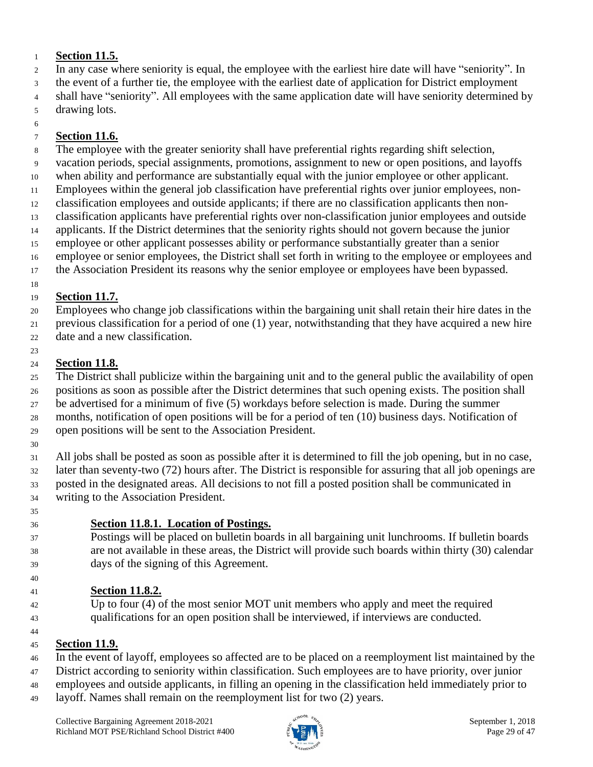### **Section 11.5.**

- In any case where seniority is equal, the employee with the earliest hire date will have "seniority". In
- the event of a further tie, the employee with the earliest date of application for District employment
- shall have "seniority". All employees with the same application date will have seniority determined by
- drawing lots.

#### **Section 11.6.**

- The employee with the greater seniority shall have preferential rights regarding shift selection,
- vacation periods, special assignments, promotions, assignment to new or open positions, and layoffs
- when ability and performance are substantially equal with the junior employee or other applicant.
- Employees within the general job classification have preferential rights over junior employees, non-
- classification employees and outside applicants; if there are no classification applicants then non-classification applicants have preferential rights over non-classification junior employees and outside
- applicants. If the District determines that the seniority rights should not govern because the junior
- employee or other applicant possesses ability or performance substantially greater than a senior
- employee or senior employees, the District shall set forth in writing to the employee or employees and
- the Association President its reasons why the senior employee or employees have been bypassed.
- 

### **Section 11.7.**

- Employees who change job classifications within the bargaining unit shall retain their hire dates in the previous classification for a period of one (1) year, notwithstanding that they have acquired a new hire
- date and a new classification.

#### **Section 11.8.**

- The District shall publicize within the bargaining unit and to the general public the availability of open
- positions as soon as possible after the District determines that such opening exists. The position shall
- be advertised for a minimum of five (5) workdays before selection is made. During the summer months, notification of open positions will be for a period of ten (10) business days. Notification of
- open positions will be sent to the Association President.
- All jobs shall be posted as soon as possible after it is determined to fill the job opening, but in no case,
- later than seventy-two (72) hours after. The District is responsible for assuring that all job openings are posted in the designated areas. All decisions to not fill a posted position shall be communicated in
- writing to the Association President.
- 

### **Section 11.8.1. Location of Postings.**

 Postings will be placed on bulletin boards in all bargaining unit lunchrooms. If bulletin boards are not available in these areas, the District will provide such boards within thirty (30) calendar days of the signing of this Agreement.

### **Section 11.8.2.**

 Up to four (4) of the most senior MOT unit members who apply and meet the required qualifications for an open position shall be interviewed, if interviews are conducted.

### **Section 11.9.**

- In the event of layoff, employees so affected are to be placed on a reemployment list maintained by the
- District according to seniority within classification. Such employees are to have priority, over junior
- employees and outside applicants, in filling an opening in the classification held immediately prior to
- layoff. Names shall remain on the reemployment list for two (2) years.

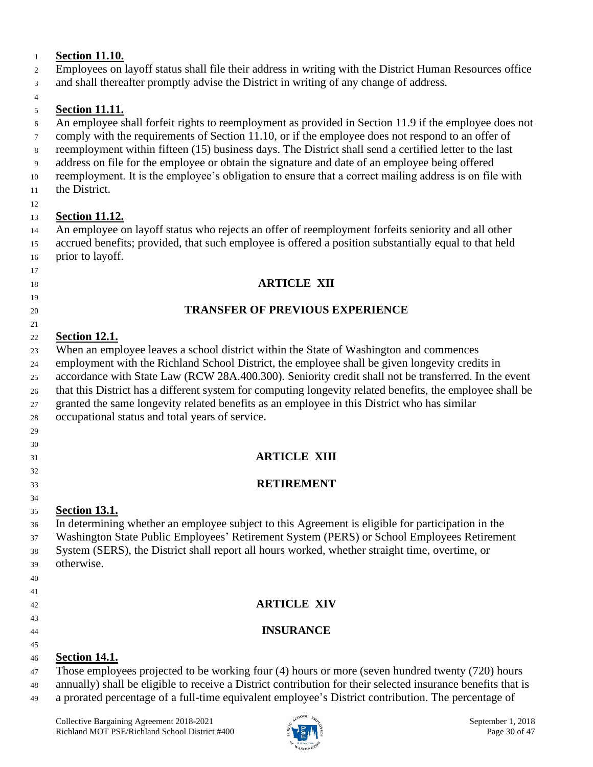### **Section 11.10.**

- Employees on layoff status shall file their address in writing with the District Human Resources office
- and shall thereafter promptly advise the District in writing of any change of address.

#### **Section 11.11.**

- An employee shall forfeit rights to reemployment as provided in Section 11.9 if the employee does not
- comply with the requirements of Section 11.10, or if the employee does not respond to an offer of
- reemployment within fifteen (15) business days. The District shall send a certified letter to the last
- address on file for the employee or obtain the signature and date of an employee being offered
- reemployment. It is the employee's obligation to ensure that a correct mailing address is on file with the District.
- 

### **Section 11.12.**

 An employee on layoff status who rejects an offer of reemployment forfeits seniority and all other accrued benefits; provided, that such employee is offered a position substantially equal to that held prior to layoff.

### **ARTICLE XII**

### **TRANSFER OF PREVIOUS EXPERIENCE**

#### **Section 12.1.**

- When an employee leaves a school district within the State of Washington and commences
- employment with the Richland School District, the employee shall be given longevity credits in
- accordance with State Law (RCW 28A.400.300). Seniority credit shall not be transferred. In the event
- that this District has a different system for computing longevity related benefits, the employee shall be
- granted the same longevity related benefits as an employee in this District who has similar
- occupational status and total years of service.
- 

### **ARTICLE XIII**

### **RETIREMENT**

### **Section 13.1.**

- In determining whether an employee subject to this Agreement is eligible for participation in the
- Washington State Public Employees' Retirement System (PERS) or School Employees Retirement System (SERS), the District shall report all hours worked, whether straight time, overtime, or
- otherwise.
- 
- 
- **ARTICLE XIV**
- **INSURANCE**
- 

### **Section 14.1.**

- Those employees projected to be working four (4) hours or more (seven hundred twenty (720) hours
- annually) shall be eligible to receive a District contribution for their selected insurance benefits that is a prorated percentage of a full-time equivalent employee's District contribution. The percentage of

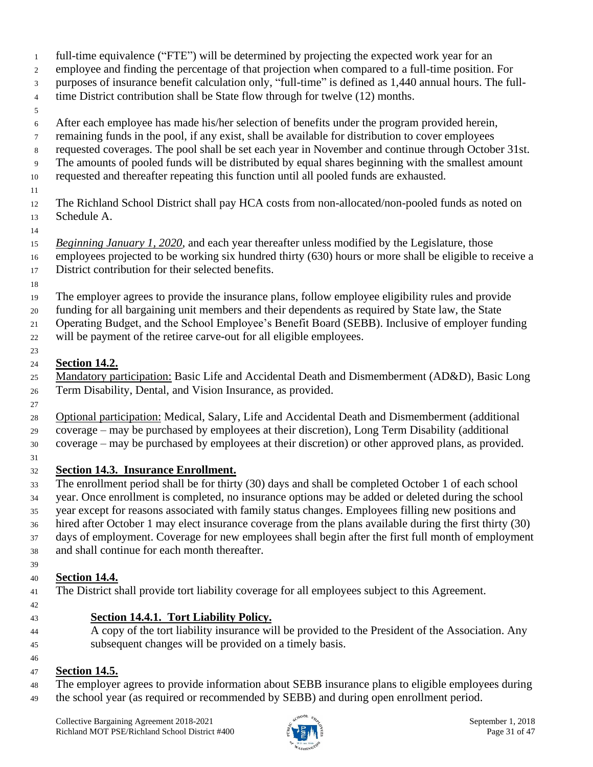- full-time equivalence ("FTE") will be determined by projecting the expected work year for an
- employee and finding the percentage of that projection when compared to a full-time position. For
- purposes of insurance benefit calculation only, "full-time" is defined as 1,440 annual hours. The full-
- 4 time District contribution shall be State flow through for twelve (12) months.
- 
- After each employee has made his/her selection of benefits under the program provided herein,
- remaining funds in the pool, if any exist, shall be available for distribution to cover employees
- requested coverages. The pool shall be set each year in November and continue through October 31st.
- The amounts of pooled funds will be distributed by equal shares beginning with the smallest amount
- requested and thereafter repeating this function until all pooled funds are exhausted.
- 
- The Richland School District shall pay HCA costs from non-allocated/non-pooled funds as noted on Schedule A.
- 
- *Beginning January 1, 2020*, and each year thereafter unless modified by the Legislature, those employees projected to be working six hundred thirty (630) hours or more shall be eligible to receive a
- District contribution for their selected benefits.
- 
- The employer agrees to provide the insurance plans, follow employee eligibility rules and provide
- funding for all bargaining unit members and their dependents as required by State law, the State
- Operating Budget, and the School Employee's Benefit Board (SEBB). Inclusive of employer funding
- will be payment of the retiree carve-out for all eligible employees.

#### **Section 14.2.**

- Mandatory participation: Basic Life and Accidental Death and Dismemberment (AD&D), Basic Long Term Disability, Dental, and Vision Insurance, as provided.
- 
- Optional participation: Medical, Salary, Life and Accidental Death and Dismemberment (additional
- coverage may be purchased by employees at their discretion), Long Term Disability (additional coverage – may be purchased by employees at their discretion) or other approved plans, as provided.
- 

### **Section 14.3. Insurance Enrollment.**

- The enrollment period shall be for thirty (30) days and shall be completed October 1 of each school year. Once enrollment is completed, no insurance options may be added or deleted during the school year except for reasons associated with family status changes. Employees filling new positions and hired after October 1 may elect insurance coverage from the plans available during the first thirty (30) days of employment. Coverage for new employees shall begin after the first full month of employment
- and shall continue for each month thereafter.
- 

### **Section 14.4.**

- The District shall provide tort liability coverage for all employees subject to this Agreement.
- 

### **Section 14.4.1. Tort Liability Policy.**

- 
- A copy of the tort liability insurance will be provided to the President of the Association. Any subsequent changes will be provided on a timely basis.

#### **Section 14.5.**

- The employer agrees to provide information about SEBB insurance plans to eligible employees during
- the school year (as required or recommended by SEBB) and during open enrollment period.

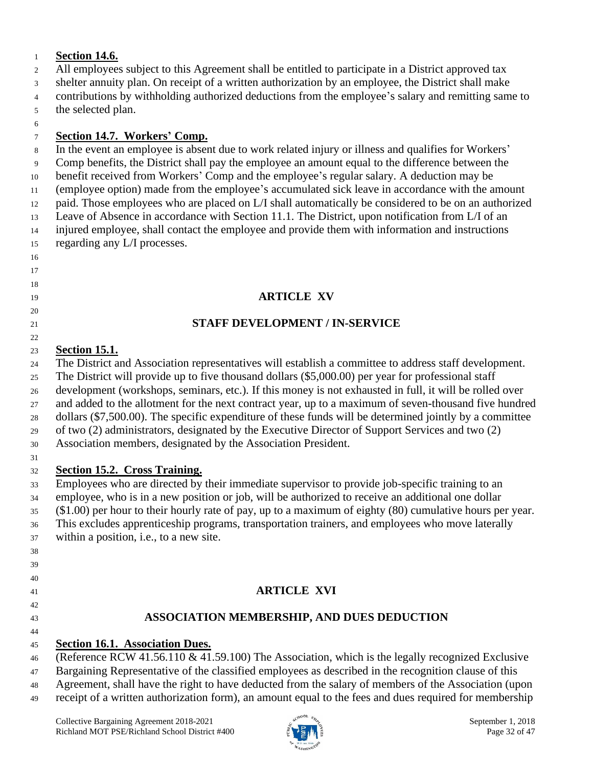### **Section 14.6.**

- All employees subject to this Agreement shall be entitled to participate in a District approved tax
- shelter annuity plan. On receipt of a written authorization by an employee, the District shall make
- contributions by withholding authorized deductions from the employee's salary and remitting same to
- the selected plan.

#### **Section 14.7. Workers' Comp.**

- In the event an employee is absent due to work related injury or illness and qualifies for Workers'
- Comp benefits, the District shall pay the employee an amount equal to the difference between the
- benefit received from Workers' Comp and the employee's regular salary. A deduction may be
- (employee option) made from the employee's accumulated sick leave in accordance with the amount
- paid. Those employees who are placed on L/I shall automatically be considered to be on an authorized
- Leave of Absence in accordance with Section 11.1. The District, upon notification from L/I of an
- injured employee, shall contact the employee and provide them with information and instructions regarding any L/I processes.

### **ARTICLE XV**

### **STAFF DEVELOPMENT / IN-SERVICE**

### **Section 15.1.**

The District and Association representatives will establish a committee to address staff development.

- The District will provide up to five thousand dollars (\$5,000.00) per year for professional staff
- development (workshops, seminars, etc.). If this money is not exhausted in full, it will be rolled over
- and added to the allotment for the next contract year, up to a maximum of seven-thousand five hundred
- dollars (\$7,500.00). The specific expenditure of these funds will be determined jointly by a committee
- of two (2) administrators, designated by the Executive Director of Support Services and two (2)
- Association members, designated by the Association President.

#### **Section 15.2. Cross Training.**

 Employees who are directed by their immediate supervisor to provide job-specific training to an employee, who is in a new position or job, will be authorized to receive an additional one dollar (\$1.00) per hour to their hourly rate of pay, up to a maximum of eighty (80) cumulative hours per year. This excludes apprenticeship programs, transportation trainers, and employees who move laterally

- within a position, i.e., to a new site.
- 

 

- 
- 
- **ARTICLE XVI**

### 

### **ASSOCIATION MEMBERSHIP, AND DUES DEDUCTION**

### **Section 16.1. Association Dues.**

(Reference RCW 41.56.110 & 41.59.100) The Association, which is the legally recognized Exclusive

- Bargaining Representative of the classified employees as described in the recognition clause of this
- Agreement, shall have the right to have deducted from the salary of members of the Association (upon
- receipt of a written authorization form), an amount equal to the fees and dues required for membership

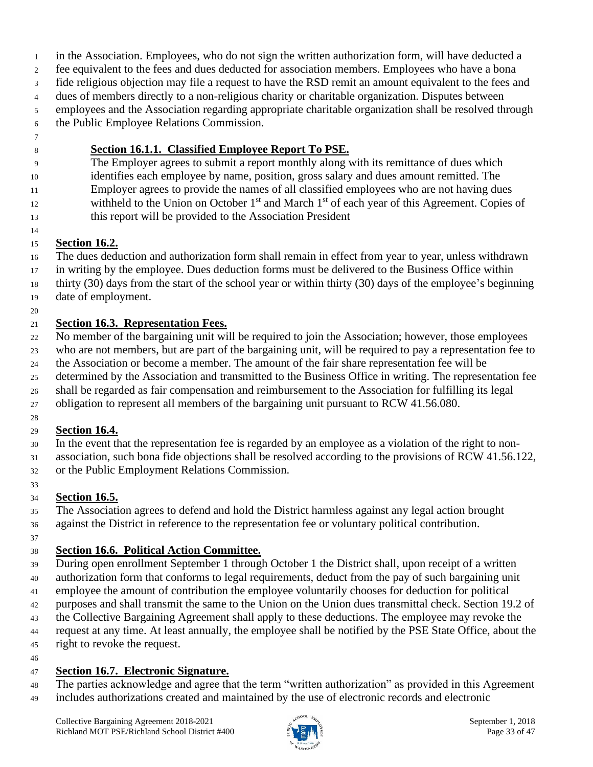in the Association. Employees, who do not sign the written authorization form, will have deducted a

fee equivalent to the fees and dues deducted for association members. Employees who have a bona

- fide religious objection may file a request to have the RSD remit an amount equivalent to the fees and dues of members directly to a non-religious charity or charitable organization. Disputes between
- employees and the Association regarding appropriate charitable organization shall be resolved through
- the Public Employee Relations Commission.
- 

### **Section 16.1.1. Classified Employee Report To PSE.**

- The Employer agrees to submit a report monthly along with its remittance of dues which identifies each employee by name, position, gross salary and dues amount remitted. The
- Employer agrees to provide the names of all classified employees who are not having dues
- 12 withheld to the Union on October 1<sup>st</sup> and March 1<sup>st</sup> of each year of this Agreement. Copies of
- this report will be provided to the Association President

### **Section 16.2.**

- The dues deduction and authorization form shall remain in effect from year to year, unless withdrawn
- in writing by the employee. Dues deduction forms must be delivered to the Business Office within
- thirty (30) days from the start of the school year or within thirty (30) days of the employee's beginning date of employment.
- 

### **Section 16.3. Representation Fees.**

 No member of the bargaining unit will be required to join the Association; however, those employees who are not members, but are part of the bargaining unit, will be required to pay a representation fee to

- the Association or become a member. The amount of the fair share representation fee will be
- determined by the Association and transmitted to the Business Office in writing. The representation fee
- shall be regarded as fair compensation and reimbursement to the Association for fulfilling its legal
- obligation to represent all members of the bargaining unit pursuant to RCW 41.56.080.

### **Section 16.4.**

- In the event that the representation fee is regarded by an employee as a violation of the right to non-
- association, such bona fide objections shall be resolved according to the provisions of RCW 41.56.122, or the Public Employment Relations Commission.
- 

### **Section 16.5.**

 The Association agrees to defend and hold the District harmless against any legal action brought against the District in reference to the representation fee or voluntary political contribution.

### **Section 16.6. Political Action Committee.**

- During open enrollment September 1 through October 1 the District shall, upon receipt of a written authorization form that conforms to legal requirements, deduct from the pay of such bargaining unit employee the amount of contribution the employee voluntarily chooses for deduction for political purposes and shall transmit the same to the Union on the Union dues transmittal check. Section 19.2 of the Collective Bargaining Agreement shall apply to these deductions. The employee may revoke the request at any time. At least annually, the employee shall be notified by the PSE State Office, about the right to revoke the request.
- 

### **Section 16.7. Electronic Signature.**

 The parties acknowledge and agree that the term "written authorization" as provided in this Agreement includes authorizations created and maintained by the use of electronic records and electronic

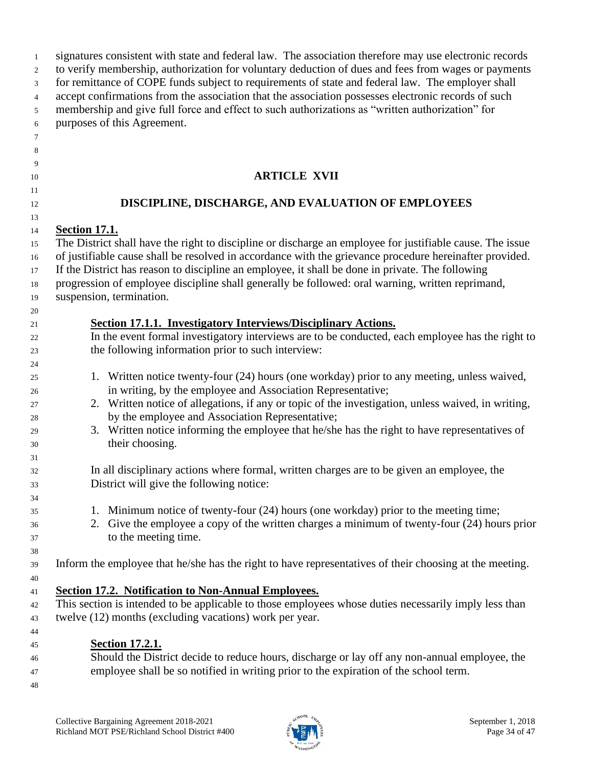| $\overline{1}$                 | signatures consistent with state and federal law. The association therefore may use electronic records                                                                                                                                                                                                                                                                                                                                                   |  |  |
|--------------------------------|----------------------------------------------------------------------------------------------------------------------------------------------------------------------------------------------------------------------------------------------------------------------------------------------------------------------------------------------------------------------------------------------------------------------------------------------------------|--|--|
| 2                              | to verify membership, authorization for voluntary deduction of dues and fees from wages or payments                                                                                                                                                                                                                                                                                                                                                      |  |  |
| $\mathbf{3}$                   | for remittance of COPE funds subject to requirements of state and federal law. The employer shall                                                                                                                                                                                                                                                                                                                                                        |  |  |
| $\overline{4}$                 | accept confirmations from the association that the association possesses electronic records of such                                                                                                                                                                                                                                                                                                                                                      |  |  |
| 5                              | membership and give full force and effect to such authorizations as "written authorization" for                                                                                                                                                                                                                                                                                                                                                          |  |  |
| 6                              | purposes of this Agreement.                                                                                                                                                                                                                                                                                                                                                                                                                              |  |  |
| $\tau$                         |                                                                                                                                                                                                                                                                                                                                                                                                                                                          |  |  |
| 8                              |                                                                                                                                                                                                                                                                                                                                                                                                                                                          |  |  |
| 9                              |                                                                                                                                                                                                                                                                                                                                                                                                                                                          |  |  |
| 10                             | <b>ARTICLE XVII</b>                                                                                                                                                                                                                                                                                                                                                                                                                                      |  |  |
| 11                             | DISCIPLINE, DISCHARGE, AND EVALUATION OF EMPLOYEES                                                                                                                                                                                                                                                                                                                                                                                                       |  |  |
| $12\,$<br>13                   |                                                                                                                                                                                                                                                                                                                                                                                                                                                          |  |  |
| 14                             | <b>Section 17.1.</b>                                                                                                                                                                                                                                                                                                                                                                                                                                     |  |  |
| 15<br>$16\,$<br>17<br>18<br>19 | The District shall have the right to discipline or discharge an employee for justifiable cause. The issue<br>of justifiable cause shall be resolved in accordance with the grievance procedure hereinafter provided.<br>If the District has reason to discipline an employee, it shall be done in private. The following<br>progression of employee discipline shall generally be followed: oral warning, written reprimand,<br>suspension, termination. |  |  |
| 20<br>21                       | <b>Section 17.1.1. Investigatory Interviews/Disciplinary Actions.</b>                                                                                                                                                                                                                                                                                                                                                                                    |  |  |
| 22                             | In the event formal investigatory interviews are to be conducted, each employee has the right to                                                                                                                                                                                                                                                                                                                                                         |  |  |
| 23                             | the following information prior to such interview:                                                                                                                                                                                                                                                                                                                                                                                                       |  |  |
| 24                             |                                                                                                                                                                                                                                                                                                                                                                                                                                                          |  |  |
| 25<br>26                       | 1. Written notice twenty-four (24) hours (one workday) prior to any meeting, unless waived,<br>in writing, by the employee and Association Representative;                                                                                                                                                                                                                                                                                               |  |  |
| 27                             | 2. Written notice of allegations, if any or topic of the investigation, unless waived, in writing,                                                                                                                                                                                                                                                                                                                                                       |  |  |
| 28                             | by the employee and Association Representative;                                                                                                                                                                                                                                                                                                                                                                                                          |  |  |
| 29                             | 3. Written notice informing the employee that he/she has the right to have representatives of                                                                                                                                                                                                                                                                                                                                                            |  |  |
| 30                             | their choosing.                                                                                                                                                                                                                                                                                                                                                                                                                                          |  |  |
| 31<br>32                       | In all disciplinary actions where formal, written charges are to be given an employee, the                                                                                                                                                                                                                                                                                                                                                               |  |  |
| 33                             | District will give the following notice:                                                                                                                                                                                                                                                                                                                                                                                                                 |  |  |
| 34                             |                                                                                                                                                                                                                                                                                                                                                                                                                                                          |  |  |
| 35                             | 1. Minimum notice of twenty-four (24) hours (one workday) prior to the meeting time;                                                                                                                                                                                                                                                                                                                                                                     |  |  |
| 36                             | 2. Give the employee a copy of the written charges a minimum of twenty-four (24) hours prior                                                                                                                                                                                                                                                                                                                                                             |  |  |
| 37                             | to the meeting time.                                                                                                                                                                                                                                                                                                                                                                                                                                     |  |  |
| 38                             |                                                                                                                                                                                                                                                                                                                                                                                                                                                          |  |  |
| 39                             | Inform the employee that he/she has the right to have representatives of their choosing at the meeting.                                                                                                                                                                                                                                                                                                                                                  |  |  |
| 40                             |                                                                                                                                                                                                                                                                                                                                                                                                                                                          |  |  |
| 41                             | Section 17.2. Notification to Non-Annual Employees.                                                                                                                                                                                                                                                                                                                                                                                                      |  |  |
|                                | This section is intended to be applicable to those employees whose duties necessarily imply less than                                                                                                                                                                                                                                                                                                                                                    |  |  |
| 42                             | twelve (12) months (excluding vacations) work per year.                                                                                                                                                                                                                                                                                                                                                                                                  |  |  |
| 43                             |                                                                                                                                                                                                                                                                                                                                                                                                                                                          |  |  |
| 44                             |                                                                                                                                                                                                                                                                                                                                                                                                                                                          |  |  |
| 45                             | <b>Section 17.2.1.</b>                                                                                                                                                                                                                                                                                                                                                                                                                                   |  |  |
| 46                             | Should the District decide to reduce hours, discharge or lay off any non-annual employee, the                                                                                                                                                                                                                                                                                                                                                            |  |  |
| 47                             | employee shall be so notified in writing prior to the expiration of the school term.                                                                                                                                                                                                                                                                                                                                                                     |  |  |
| 48                             |                                                                                                                                                                                                                                                                                                                                                                                                                                                          |  |  |

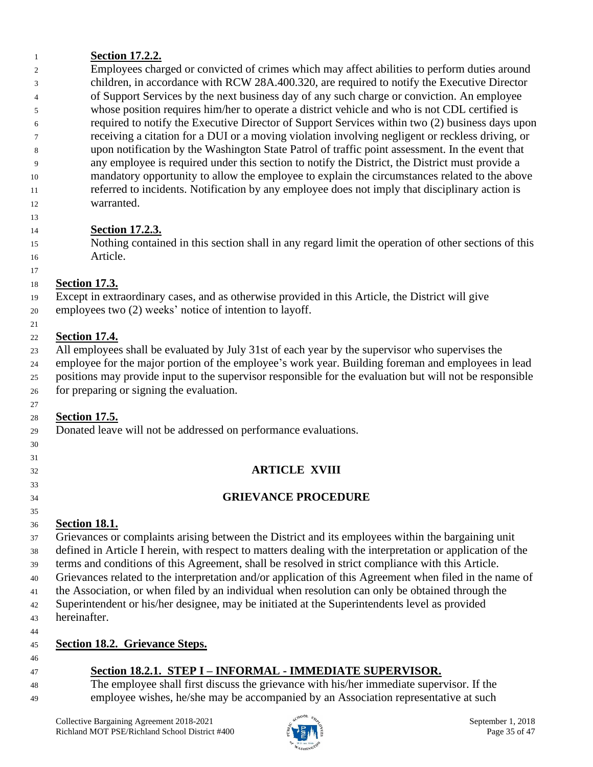### **Section 17.2.2.**

 Employees charged or convicted of crimes which may affect abilities to perform duties around children, in accordance with RCW 28A.400.320, are required to notify the Executive Director of Support Services by the next business day of any such charge or conviction. An employee whose position requires him/her to operate a district vehicle and who is not CDL certified is required to notify the Executive Director of Support Services within two (2) business days upon receiving a citation for a DUI or a moving violation involving negligent or reckless driving, or upon notification by the Washington State Patrol of traffic point assessment. In the event that any employee is required under this section to notify the District, the District must provide a mandatory opportunity to allow the employee to explain the circumstances related to the above referred to incidents. Notification by any employee does not imply that disciplinary action is warranted.

### **Section 17.2.3.**

 Nothing contained in this section shall in any regard limit the operation of other sections of this Article.

#### **Section 17.3.**

Except in extraordinary cases, and as otherwise provided in this Article, the District will give

employees two (2) weeks' notice of intention to layoff.

#### **Section 17.4.**

All employees shall be evaluated by July 31st of each year by the supervisor who supervises the

 employee for the major portion of the employee's work year. Building foreman and employees in lead positions may provide input to the supervisor responsible for the evaluation but will not be responsible for preparing or signing the evaluation.

#### **Section 17.5.**

Donated leave will not be addressed on performance evaluations.

### **ARTICLE XVIII**

### **GRIEVANCE PROCEDURE**

### **Section 18.1.**

 Grievances or complaints arising between the District and its employees within the bargaining unit defined in Article I herein, with respect to matters dealing with the interpretation or application of the terms and conditions of this Agreement, shall be resolved in strict compliance with this Article. Grievances related to the interpretation and/or application of this Agreement when filed in the name of the Association, or when filed by an individual when resolution can only be obtained through the Superintendent or his/her designee, may be initiated at the Superintendents level as provided hereinafter.

 

### **Section 18.2. Grievance Steps.**

### **Section 18.2.1. STEP I – INFORMAL - IMMEDIATE SUPERVISOR.**

 The employee shall first discuss the grievance with his/her immediate supervisor. If the employee wishes, he/she may be accompanied by an Association representative at such

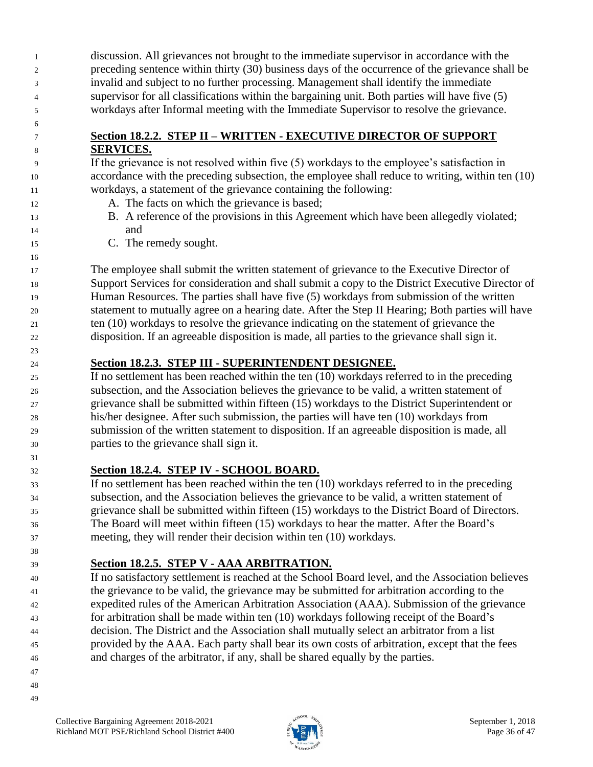discussion. All grievances not brought to the immediate supervisor in accordance with the preceding sentence within thirty (30) business days of the occurrence of the grievance shall be invalid and subject to no further processing. Management shall identify the immediate supervisor for all classifications within the bargaining unit. Both parties will have five (5) workdays after Informal meeting with the Immediate Supervisor to resolve the grievance.

#### **Section 18.2.2. STEP II – WRITTEN - EXECUTIVE DIRECTOR OF SUPPORT SERVICES.**

 If the grievance is not resolved within five (5) workdays to the employee's satisfaction in accordance with the preceding subsection, the employee shall reduce to writing, within ten (10) workdays, a statement of the grievance containing the following:

- 12 A. The facts on which the grievance is based;
- B. A reference of the provisions in this Agreement which have been allegedly violated; and
- C. The remedy sought.

 The employee shall submit the written statement of grievance to the Executive Director of Support Services for consideration and shall submit a copy to the District Executive Director of Human Resources. The parties shall have five (5) workdays from submission of the written statement to mutually agree on a hearing date. After the Step II Hearing; Both parties will have ten (10) workdays to resolve the grievance indicating on the statement of grievance the disposition. If an agreeable disposition is made, all parties to the grievance shall sign it.

### **Section 18.2.3. STEP III - SUPERINTENDENT DESIGNEE.**

 If no settlement has been reached within the ten (10) workdays referred to in the preceding subsection, and the Association believes the grievance to be valid, a written statement of grievance shall be submitted within fifteen (15) workdays to the District Superintendent or his/her designee. After such submission, the parties will have ten (10) workdays from submission of the written statement to disposition. If an agreeable disposition is made, all parties to the grievance shall sign it.

### **Section 18.2.4. STEP IV - SCHOOL BOARD.**

 If no settlement has been reached within the ten (10) workdays referred to in the preceding subsection, and the Association believes the grievance to be valid, a written statement of grievance shall be submitted within fifteen (15) workdays to the District Board of Directors. The Board will meet within fifteen (15) workdays to hear the matter. After the Board's meeting, they will render their decision within ten (10) workdays.

**Section 18.2.5. STEP V - AAA ARBITRATION.**

 If no satisfactory settlement is reached at the School Board level, and the Association believes the grievance to be valid, the grievance may be submitted for arbitration according to the expedited rules of the American Arbitration Association (AAA). Submission of the grievance for arbitration shall be made within ten (10) workdays following receipt of the Board's decision. The District and the Association shall mutually select an arbitrator from a list provided by the AAA. Each party shall bear its own costs of arbitration, except that the fees and charges of the arbitrator, if any, shall be shared equally by the parties.

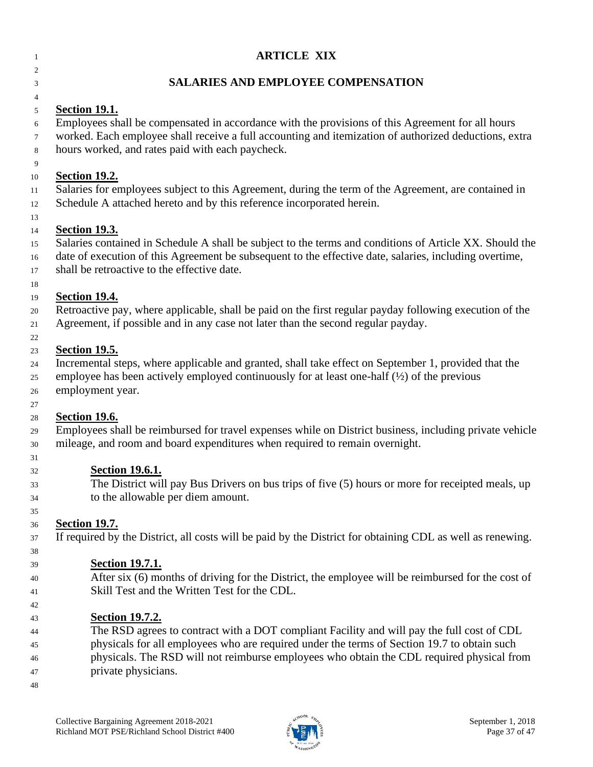| 1      | <b>ARTICLE XIX</b>                                                                                                                                        |
|--------|-----------------------------------------------------------------------------------------------------------------------------------------------------------|
| 2<br>3 | <b>SALARIES AND EMPLOYEE COMPENSATION</b>                                                                                                                 |
| 4      |                                                                                                                                                           |
| 5      | <b>Section 19.1.</b>                                                                                                                                      |
| 6      | Employees shall be compensated in accordance with the provisions of this Agreement for all hours                                                          |
| 7<br>8 | worked. Each employee shall receive a full accounting and itemization of authorized deductions, extra<br>hours worked, and rates paid with each paycheck. |
| 9      |                                                                                                                                                           |
| 10     | <b>Section 19.2.</b>                                                                                                                                      |
| 11     | Salaries for employees subject to this Agreement, during the term of the Agreement, are contained in                                                      |
| 12     | Schedule A attached hereto and by this reference incorporated herein.                                                                                     |
| 13     |                                                                                                                                                           |
| 14     | <b>Section 19.3.</b>                                                                                                                                      |
| 15     | Salaries contained in Schedule A shall be subject to the terms and conditions of Article XX. Should the                                                   |
| 16     | date of execution of this Agreement be subsequent to the effective date, salaries, including overtime,                                                    |
| 17     | shall be retroactive to the effective date.                                                                                                               |
| 18     |                                                                                                                                                           |
| 19     | <b>Section 19.4.</b>                                                                                                                                      |
| 20     | Retroactive pay, where applicable, shall be paid on the first regular payday following execution of the                                                   |
| 21     | Agreement, if possible and in any case not later than the second regular payday.                                                                          |
| 22     |                                                                                                                                                           |
| 23     | <b>Section 19.5.</b>                                                                                                                                      |
| 24     | Incremental steps, where applicable and granted, shall take effect on September 1, provided that the                                                      |
| 25     | employee has been actively employed continuously for at least one-half $(\frac{1}{2})$ of the previous                                                    |
| 26     | employment year.                                                                                                                                          |
| 27     |                                                                                                                                                           |
| 28     | <b>Section 19.6.</b>                                                                                                                                      |
| 29     | Employees shall be reimbursed for travel expenses while on District business, including private vehicle                                                   |
| 30     | mileage, and room and board expenditures when required to remain overnight.                                                                               |
| 31     |                                                                                                                                                           |
| 32     | <b>Section 19.6.1.</b>                                                                                                                                    |
| 33     | The District will pay Bus Drivers on bus trips of five (5) hours or more for receipted meals, up                                                          |
| 34     | to the allowable per diem amount.                                                                                                                         |
| 35     |                                                                                                                                                           |
| 36     | <b>Section 19.7.</b>                                                                                                                                      |
| 37     | If required by the District, all costs will be paid by the District for obtaining CDL as well as renewing.                                                |
| 38     |                                                                                                                                                           |
| 39     | <b>Section 19.7.1.</b>                                                                                                                                    |
| 40     | After six (6) months of driving for the District, the employee will be reimbursed for the cost of                                                         |
| 41     | Skill Test and the Written Test for the CDL.                                                                                                              |
| 42     |                                                                                                                                                           |
| 43     | <b>Section 19.7.2.</b>                                                                                                                                    |
| 44     | The RSD agrees to contract with a DOT compliant Facility and will pay the full cost of CDL                                                                |
| 45     | physicals for all employees who are required under the terms of Section 19.7 to obtain such                                                               |
| 46     | physicals. The RSD will not reimburse employees who obtain the CDL required physical from                                                                 |
| 47     | private physicians.                                                                                                                                       |
| 48     |                                                                                                                                                           |

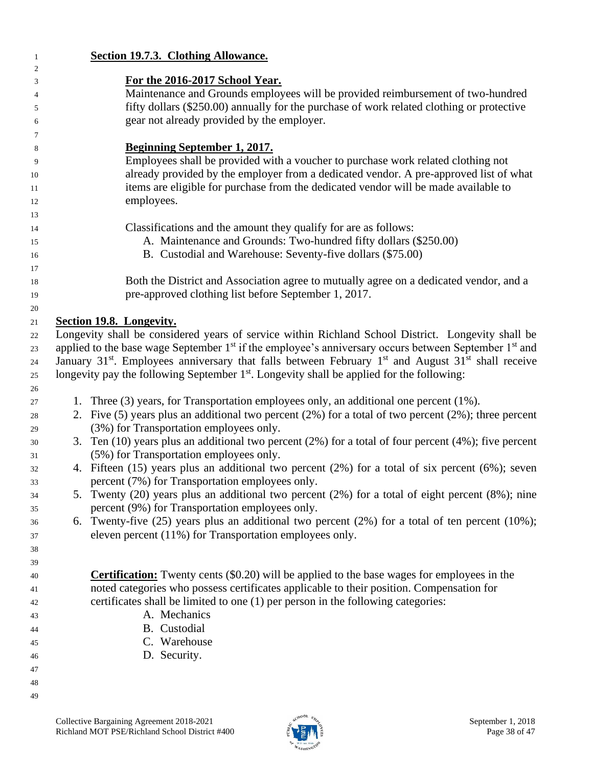| $\mathbf{1}$   |                                                                                 | Section 19.7.3. Clothing Allowance.                                                                                                                                          |  |
|----------------|---------------------------------------------------------------------------------|------------------------------------------------------------------------------------------------------------------------------------------------------------------------------|--|
| $\overline{c}$ |                                                                                 |                                                                                                                                                                              |  |
| 3              |                                                                                 | For the 2016-2017 School Year.                                                                                                                                               |  |
| 4              | Maintenance and Grounds employees will be provided reimbursement of two-hundred |                                                                                                                                                                              |  |
| 5              |                                                                                 | fifty dollars (\$250.00) annually for the purchase of work related clothing or protective                                                                                    |  |
| 6              | gear not already provided by the employer.                                      |                                                                                                                                                                              |  |
| 7              |                                                                                 |                                                                                                                                                                              |  |
| 8              |                                                                                 | <b>Beginning September 1, 2017.</b>                                                                                                                                          |  |
| 9              |                                                                                 | Employees shall be provided with a voucher to purchase work related clothing not                                                                                             |  |
| 10             |                                                                                 | already provided by the employer from a dedicated vendor. A pre-approved list of what<br>items are eligible for purchase from the dedicated vendor will be made available to |  |
| 11             |                                                                                 |                                                                                                                                                                              |  |
| 12             |                                                                                 | employees.                                                                                                                                                                   |  |
| 13             |                                                                                 |                                                                                                                                                                              |  |
| 14             |                                                                                 | Classifications and the amount they qualify for are as follows:<br>A. Maintenance and Grounds: Two-hundred fifty dollars (\$250.00)                                          |  |
| 15             |                                                                                 | B. Custodial and Warehouse: Seventy-five dollars (\$75.00)                                                                                                                   |  |
| 16             |                                                                                 |                                                                                                                                                                              |  |
| 17             |                                                                                 | Both the District and Association agree to mutually agree on a dedicated vendor, and a                                                                                       |  |
| 18             |                                                                                 | pre-approved clothing list before September 1, 2017.                                                                                                                         |  |
| 19             |                                                                                 |                                                                                                                                                                              |  |
| 20             |                                                                                 | Section 19.8. Longevity.                                                                                                                                                     |  |
| 21             |                                                                                 | Longevity shall be considered years of service within Richland School District. Longevity shall be                                                                           |  |
| 22<br>23       |                                                                                 | applied to the base wage September $1st$ if the employee's anniversary occurs between September $1st$ and                                                                    |  |
| 24             |                                                                                 | January 31 <sup>st</sup> . Employees anniversary that falls between February 1 <sup>st</sup> and August 31 <sup>st</sup> shall receive                                       |  |
| 25             |                                                                                 | longevity pay the following September 1 <sup>st</sup> . Longevity shall be applied for the following:                                                                        |  |
| 26             |                                                                                 |                                                                                                                                                                              |  |
| 27             |                                                                                 | 1. Three (3) years, for Transportation employees only, an additional one percent (1%).                                                                                       |  |
| 28             |                                                                                 | 2. Five (5) years plus an additional two percent $(2%)$ for a total of two percent $(2%)$ ; three percent                                                                    |  |
| 29             |                                                                                 | (3%) for Transportation employees only.                                                                                                                                      |  |
| 30             |                                                                                 | 3. Ten $(10)$ years plus an additional two percent $(2%)$ for a total of four percent $(4%)$ ; five percent                                                                  |  |
| 31             |                                                                                 | (5%) for Transportation employees only.                                                                                                                                      |  |
| 32             |                                                                                 | 4. Fifteen (15) years plus an additional two percent (2%) for a total of six percent (6%); seven                                                                             |  |
| 33             |                                                                                 | percent (7%) for Transportation employees only.                                                                                                                              |  |
| 34             |                                                                                 | 5. Twenty (20) years plus an additional two percent (2%) for a total of eight percent (8%); nine                                                                             |  |
| 35             |                                                                                 | percent (9%) for Transportation employees only.                                                                                                                              |  |
| 36             |                                                                                 | 6. Twenty-five $(25)$ years plus an additional two percent $(2\%)$ for a total of ten percent $(10\%)$ ;                                                                     |  |
| 37             |                                                                                 | eleven percent (11%) for Transportation employees only.                                                                                                                      |  |
| 38             |                                                                                 |                                                                                                                                                                              |  |
| 39             |                                                                                 |                                                                                                                                                                              |  |
| 40             |                                                                                 | <b>Certification:</b> Twenty cents (\$0.20) will be applied to the base wages for employees in the                                                                           |  |
| 41             |                                                                                 | noted categories who possess certificates applicable to their position. Compensation for                                                                                     |  |
| 42             |                                                                                 | certificates shall be limited to one (1) per person in the following categories:                                                                                             |  |
| 43             |                                                                                 | A. Mechanics                                                                                                                                                                 |  |
| 44             |                                                                                 | B. Custodial                                                                                                                                                                 |  |
| 45             |                                                                                 | C. Warehouse                                                                                                                                                                 |  |
| 46             |                                                                                 | D. Security.                                                                                                                                                                 |  |
| 47             |                                                                                 |                                                                                                                                                                              |  |
| 48             |                                                                                 |                                                                                                                                                                              |  |
| 49             |                                                                                 |                                                                                                                                                                              |  |

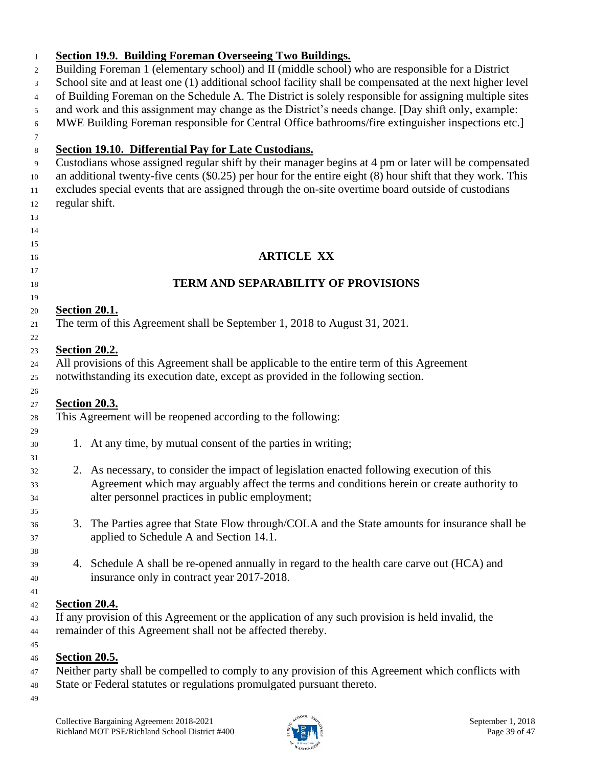| Building Foreman 1 (elementary school) and II (middle school) who are responsible for a District                                                                                                                                                                                                                             |  |  |
|------------------------------------------------------------------------------------------------------------------------------------------------------------------------------------------------------------------------------------------------------------------------------------------------------------------------------|--|--|
| School site and at least one (1) additional school facility shall be compensated at the next higher level                                                                                                                                                                                                                    |  |  |
| of Building Foreman on the Schedule A. The District is solely responsible for assigning multiple sites                                                                                                                                                                                                                       |  |  |
| and work and this assignment may change as the District's needs change. [Day shift only, example:                                                                                                                                                                                                                            |  |  |
| MWE Building Foreman responsible for Central Office bathrooms/fire extinguisher inspections etc.]                                                                                                                                                                                                                            |  |  |
|                                                                                                                                                                                                                                                                                                                              |  |  |
| Section 19.10. Differential Pay for Late Custodians.                                                                                                                                                                                                                                                                         |  |  |
| Custodians whose assigned regular shift by their manager begins at 4 pm or later will be compensated<br>an additional twenty-five cents $(\$0.25)$ per hour for the entire eight $(8)$ hour shift that they work. This<br>excludes special events that are assigned through the on-site overtime board outside of custodians |  |  |
| regular shift.                                                                                                                                                                                                                                                                                                               |  |  |
|                                                                                                                                                                                                                                                                                                                              |  |  |
|                                                                                                                                                                                                                                                                                                                              |  |  |
| <b>ARTICLE XX</b>                                                                                                                                                                                                                                                                                                            |  |  |
| <b>TERM AND SEPARABILITY OF PROVISIONS</b>                                                                                                                                                                                                                                                                                   |  |  |
|                                                                                                                                                                                                                                                                                                                              |  |  |
| <b>Section 20.1.</b>                                                                                                                                                                                                                                                                                                         |  |  |
| The term of this Agreement shall be September 1, 2018 to August 31, 2021.                                                                                                                                                                                                                                                    |  |  |
|                                                                                                                                                                                                                                                                                                                              |  |  |
| <b>Section 20.2.</b>                                                                                                                                                                                                                                                                                                         |  |  |
| All provisions of this Agreement shall be applicable to the entire term of this Agreement<br>notwithstanding its execution date, except as provided in the following section.                                                                                                                                                |  |  |
|                                                                                                                                                                                                                                                                                                                              |  |  |
|                                                                                                                                                                                                                                                                                                                              |  |  |
| <b>Section 20.3.</b><br>This Agreement will be reopened according to the following:                                                                                                                                                                                                                                          |  |  |
|                                                                                                                                                                                                                                                                                                                              |  |  |
| 1. At any time, by mutual consent of the parties in writing;                                                                                                                                                                                                                                                                 |  |  |
|                                                                                                                                                                                                                                                                                                                              |  |  |
| 2. As necessary, to consider the impact of legislation enacted following execution of this                                                                                                                                                                                                                                   |  |  |
| Agreement which may arguably affect the terms and conditions herein or create authority to                                                                                                                                                                                                                                   |  |  |
| alter personnel practices in public employment;                                                                                                                                                                                                                                                                              |  |  |
|                                                                                                                                                                                                                                                                                                                              |  |  |
|                                                                                                                                                                                                                                                                                                                              |  |  |
| 3. The Parties agree that State Flow through/COLA and the State amounts for insurance shall be<br>applied to Schedule A and Section 14.1.                                                                                                                                                                                    |  |  |
|                                                                                                                                                                                                                                                                                                                              |  |  |
| 4. Schedule A shall be re-opened annually in regard to the health care carve out (HCA) and<br>insurance only in contract year 2017-2018.                                                                                                                                                                                     |  |  |
|                                                                                                                                                                                                                                                                                                                              |  |  |
| <b>Section 20.4.</b>                                                                                                                                                                                                                                                                                                         |  |  |
| If any provision of this Agreement or the application of any such provision is held invalid, the<br>remainder of this Agreement shall not be affected thereby.                                                                                                                                                               |  |  |

- 47 Neither party shall be compelled to comply to any provision of this Agreement which conflicts with
- State or Federal statutes or regulations promulgated pursuant thereto.
- 

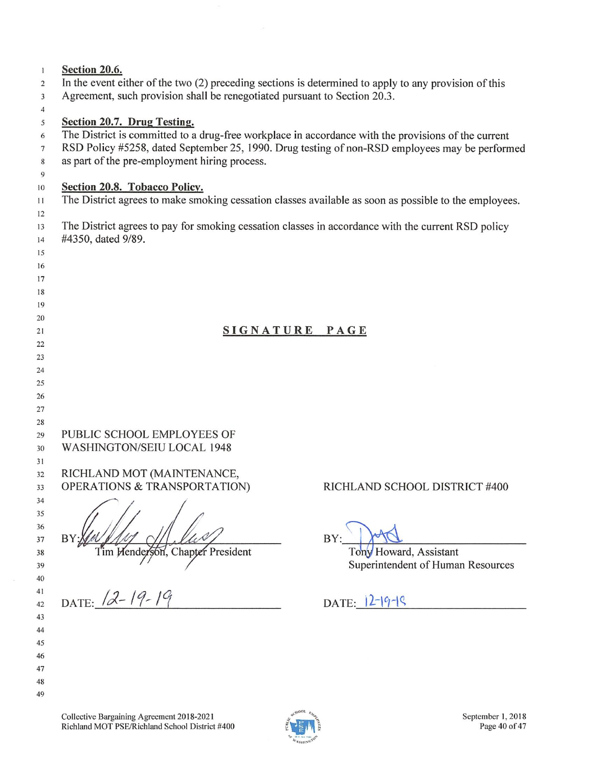| $\mathbf{1}$<br>2 | Section 20.6.                                                                                                                                                                      |                                   |  |  |  |
|-------------------|------------------------------------------------------------------------------------------------------------------------------------------------------------------------------------|-----------------------------------|--|--|--|
|                   | In the event either of the two (2) preceding sections is determined to apply to any provision of this<br>Agreement, such provision shall be renegotiated pursuant to Section 20.3. |                                   |  |  |  |
| 3                 |                                                                                                                                                                                    |                                   |  |  |  |
| 4                 |                                                                                                                                                                                    |                                   |  |  |  |
| 5                 | Section 20.7. Drug Testing.                                                                                                                                                        |                                   |  |  |  |
| 6                 | The District is committed to a drug-free workplace in accordance with the provisions of the current                                                                                |                                   |  |  |  |
| $7\phantom{.0}$   | RSD Policy #5258, dated September 25, 1990. Drug testing of non-RSD employees may be performed                                                                                     |                                   |  |  |  |
| 8                 | as part of the pre-employment hiring process.                                                                                                                                      |                                   |  |  |  |
| 9                 |                                                                                                                                                                                    |                                   |  |  |  |
| 10                | Section 20.8. Tobacco Policy.                                                                                                                                                      |                                   |  |  |  |
| 11                | The District agrees to make smoking cessation classes available as soon as possible to the employees.                                                                              |                                   |  |  |  |
| 12                |                                                                                                                                                                                    |                                   |  |  |  |
| 13                | The District agrees to pay for smoking cessation classes in accordance with the current RSD policy                                                                                 |                                   |  |  |  |
| 14                | #4350, dated 9/89.                                                                                                                                                                 |                                   |  |  |  |
| 15                |                                                                                                                                                                                    |                                   |  |  |  |
| 16                |                                                                                                                                                                                    |                                   |  |  |  |
| 17                |                                                                                                                                                                                    |                                   |  |  |  |
| 18                |                                                                                                                                                                                    |                                   |  |  |  |
| 19                |                                                                                                                                                                                    |                                   |  |  |  |
| 20                |                                                                                                                                                                                    |                                   |  |  |  |
| 21                | SIGNATURE PAGE                                                                                                                                                                     |                                   |  |  |  |
| 22                |                                                                                                                                                                                    |                                   |  |  |  |
| 23                |                                                                                                                                                                                    |                                   |  |  |  |
| 24                |                                                                                                                                                                                    |                                   |  |  |  |
| 25                |                                                                                                                                                                                    |                                   |  |  |  |
| 26                |                                                                                                                                                                                    |                                   |  |  |  |
| 27                |                                                                                                                                                                                    |                                   |  |  |  |
| 28                |                                                                                                                                                                                    |                                   |  |  |  |
| 29                | PUBLIC SCHOOL EMPLOYEES OF                                                                                                                                                         |                                   |  |  |  |
| 30                | WASHINGTON/SEIU LOCAL 1948                                                                                                                                                         |                                   |  |  |  |
| 31                |                                                                                                                                                                                    |                                   |  |  |  |
| 32                | RICHLAND MOT (MAINTENANCE,                                                                                                                                                         |                                   |  |  |  |
| 33                | OPERATIONS & TRANSPORTATION)                                                                                                                                                       | RICHLAND SCHOOL DISTRICT #400     |  |  |  |
| 34                |                                                                                                                                                                                    |                                   |  |  |  |
| 35                |                                                                                                                                                                                    |                                   |  |  |  |
| 36                |                                                                                                                                                                                    |                                   |  |  |  |
| 37                | BY                                                                                                                                                                                 | BY:                               |  |  |  |
| 38                | Tim Henderson, Chapter President                                                                                                                                                   | Tony Howard, Assistant            |  |  |  |
| 39                |                                                                                                                                                                                    | Superintendent of Human Resources |  |  |  |
| 40                |                                                                                                                                                                                    |                                   |  |  |  |
| 41                | DATE: 12-19-19                                                                                                                                                                     |                                   |  |  |  |
| 42                |                                                                                                                                                                                    | DATE: $12-19-19$                  |  |  |  |
| 43                |                                                                                                                                                                                    |                                   |  |  |  |
| 44                |                                                                                                                                                                                    |                                   |  |  |  |
| 45                |                                                                                                                                                                                    |                                   |  |  |  |
| 46                |                                                                                                                                                                                    |                                   |  |  |  |
| 47                |                                                                                                                                                                                    |                                   |  |  |  |
| 48                |                                                                                                                                                                                    |                                   |  |  |  |
| 49                |                                                                                                                                                                                    |                                   |  |  |  |

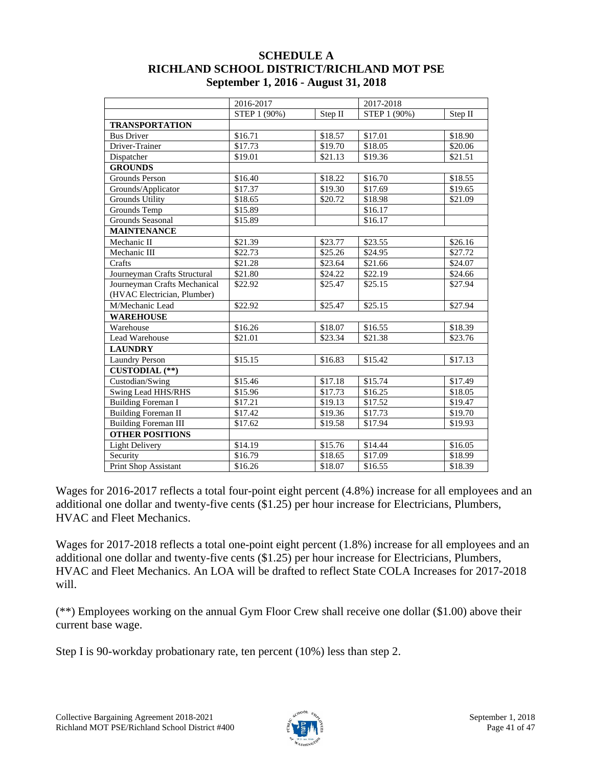#### **SCHEDULE A RICHLAND SCHOOL DISTRICT/RICHLAND MOT PSE September 1, 2016 - August 31, 2018**

|                              | 2016-2017    |         | 2017-2018    |         |
|------------------------------|--------------|---------|--------------|---------|
|                              | STEP 1 (90%) | Step II | STEP 1 (90%) | Step II |
| <b>TRANSPORTATION</b>        |              |         |              |         |
| <b>Bus Driver</b>            | \$16.71      | \$18.57 | \$17.01      | \$18.90 |
| Driver-Trainer               | \$17.73      | \$19.70 | \$18.05      | \$20.06 |
| Dispatcher                   | \$19.01      | \$21.13 | \$19.36      | \$21.51 |
| <b>GROUNDS</b>               |              |         |              |         |
| Grounds Person               | \$16.40      | \$18.22 | \$16.70      | \$18.55 |
| Grounds/Applicator           | \$17.37      | \$19.30 | \$17.69      | \$19.65 |
| <b>Grounds Utility</b>       | \$18.65      | \$20.72 | \$18.98      | \$21.09 |
| Grounds Temp                 | \$15.89      |         | \$16.17      |         |
| Grounds Seasonal             | \$15.89      |         | \$16.17      |         |
| <b>MAINTENANCE</b>           |              |         |              |         |
| Mechanic II                  | \$21.39      | \$23.77 | \$23.55      | \$26.16 |
| Mechanic III                 | \$22.73      | \$25.26 | \$24.95      | \$27.72 |
| Crafts                       | \$21.28      | \$23.64 | \$21.66      | \$24.07 |
| Journeyman Crafts Structural | \$21.80      | \$24.22 | \$22.19      | \$24.66 |
| Journeyman Crafts Mechanical | \$22.92      | \$25.47 | \$25.15      | \$27.94 |
| (HVAC Electrician, Plumber)  |              |         |              |         |
| M/Mechanic Lead              | \$22.92      | \$25.47 | \$25.15      | \$27.94 |
| <b>WAREHOUSE</b>             |              |         |              |         |
| Warehouse                    | \$16.26      | \$18.07 | \$16.55      | \$18.39 |
| Lead Warehouse               | \$21.01      | \$23.34 | \$21.38      | \$23.76 |
| <b>LAUNDRY</b>               |              |         |              |         |
| <b>Laundry Person</b>        | \$15.15      | \$16.83 | \$15.42      | \$17.13 |
| <b>CUSTODIAL</b> (**)        |              |         |              |         |
| Custodian/Swing              | \$15.46      | \$17.18 | \$15.74      | \$17.49 |
| Swing Lead HHS/RHS           | \$15.96      | \$17.73 | \$16.25      | \$18.05 |
| <b>Building Foreman I</b>    | \$17.21      | \$19.13 | \$17.52      | \$19.47 |
| <b>Building Foreman II</b>   | \$17.42      | \$19.36 | \$17.73      | \$19.70 |
| <b>Building Foreman III</b>  | \$17.62      | \$19.58 | \$17.94      | \$19.93 |
| <b>OTHER POSITIONS</b>       |              |         |              |         |
| <b>Light Delivery</b>        | \$14.19      | \$15.76 | \$14.44      | \$16.05 |
| Security                     | \$16.79      | \$18.65 | \$17.09      | \$18.99 |
| Print Shop Assistant         | \$16.26      | \$18.07 | \$16.55      | \$18.39 |

Wages for 2016-2017 reflects a total four-point eight percent (4.8%) increase for all employees and an additional one dollar and twenty-five cents (\$1.25) per hour increase for Electricians, Plumbers, HVAC and Fleet Mechanics.

Wages for 2017-2018 reflects a total one-point eight percent (1.8%) increase for all employees and an additional one dollar and twenty-five cents (\$1.25) per hour increase for Electricians, Plumbers, HVAC and Fleet Mechanics. An LOA will be drafted to reflect State COLA Increases for 2017-2018 will.

(\*\*) Employees working on the annual Gym Floor Crew shall receive one dollar (\$1.00) above their current base wage.

Step I is 90-workday probationary rate, ten percent (10%) less than step 2.

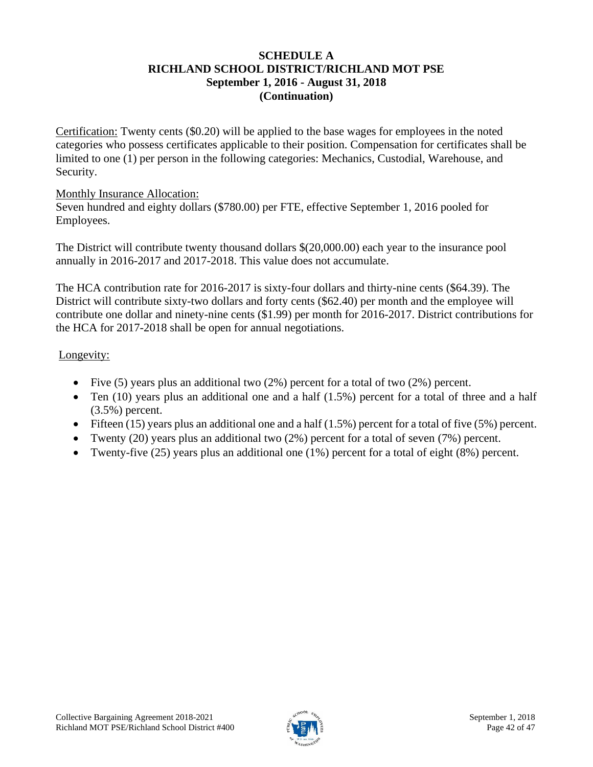#### **SCHEDULE A RICHLAND SCHOOL DISTRICT/RICHLAND MOT PSE September 1, 2016 - August 31, 2018 (Continuation)**

Certification: Twenty cents (\$0.20) will be applied to the base wages for employees in the noted categories who possess certificates applicable to their position. Compensation for certificates shall be limited to one (1) per person in the following categories: Mechanics, Custodial, Warehouse, and Security.

#### Monthly Insurance Allocation:

Seven hundred and eighty dollars (\$780.00) per FTE, effective September 1, 2016 pooled for Employees.

The District will contribute twenty thousand dollars \$(20,000.00) each year to the insurance pool annually in 2016-2017 and 2017-2018. This value does not accumulate.

The HCA contribution rate for 2016-2017 is sixty-four dollars and thirty-nine cents (\$64.39). The District will contribute sixty-two dollars and forty cents (\$62.40) per month and the employee will contribute one dollar and ninety-nine cents (\$1.99) per month for 2016-2017. District contributions for the HCA for 2017-2018 shall be open for annual negotiations.

### Longevity:

- Five (5) years plus an additional two (2%) percent for a total of two (2%) percent.
- Ten  $(10)$  years plus an additional one and a half  $(1.5%)$  percent for a total of three and a half (3.5%) percent.
- Fifteen (15) years plus an additional one and a half (1.5%) percent for a total of five (5%) percent.
- Twenty (20) years plus an additional two (2%) percent for a total of seven (7%) percent.
- Twenty-five  $(25)$  years plus an additional one  $(1\%)$  percent for a total of eight  $(8\%)$  percent.

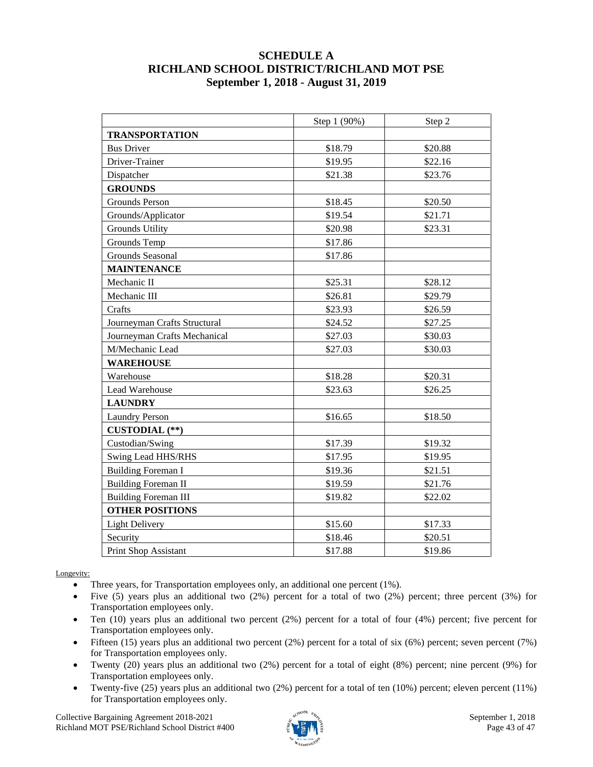#### **SCHEDULE A RICHLAND SCHOOL DISTRICT/RICHLAND MOT PSE September 1, 2018 - August 31, 2019**

|                              | Step 1 (90%) | Step 2  |
|------------------------------|--------------|---------|
| <b>TRANSPORTATION</b>        |              |         |
| <b>Bus Driver</b>            | \$18.79      | \$20.88 |
| Driver-Trainer               | \$19.95      | \$22.16 |
| Dispatcher                   | \$21.38      | \$23.76 |
| <b>GROUNDS</b>               |              |         |
| Grounds Person               | \$18.45      | \$20.50 |
| Grounds/Applicator           | \$19.54      | \$21.71 |
| <b>Grounds Utility</b>       | \$20.98      | \$23.31 |
| Grounds Temp                 | \$17.86      |         |
| Grounds Seasonal             | \$17.86      |         |
| <b>MAINTENANCE</b>           |              |         |
| Mechanic II                  | \$25.31      | \$28.12 |
| Mechanic III                 | \$26.81      | \$29.79 |
| Crafts                       | \$23.93      | \$26.59 |
| Journeyman Crafts Structural | \$24.52      | \$27.25 |
| Journeyman Crafts Mechanical | \$27.03      | \$30.03 |
| M/Mechanic Lead              | \$27.03      | \$30.03 |
| <b>WAREHOUSE</b>             |              |         |
| Warehouse                    | \$18.28      | \$20.31 |
| Lead Warehouse               | \$23.63      | \$26.25 |
| <b>LAUNDRY</b>               |              |         |
| <b>Laundry Person</b>        | \$16.65      | \$18.50 |
| <b>CUSTODIAL</b> (**)        |              |         |
| Custodian/Swing              | \$17.39      | \$19.32 |
| Swing Lead HHS/RHS           | \$17.95      | \$19.95 |
| <b>Building Foreman I</b>    | \$19.36      | \$21.51 |
| <b>Building Foreman II</b>   | \$19.59      | \$21.76 |
| <b>Building Foreman III</b>  | \$19.82      | \$22.02 |
| <b>OTHER POSITIONS</b>       |              |         |
| <b>Light Delivery</b>        | \$15.60      | \$17.33 |
| Security                     | \$18.46      | \$20.51 |
| Print Shop Assistant         | \$17.88      | \$19.86 |

Longevity:

- Three years, for Transportation employees only, an additional one percent (1%).
- Five (5) years plus an additional two (2%) percent for a total of two (2%) percent; three percent (3%) for Transportation employees only.
- Ten (10) years plus an additional two percent (2%) percent for a total of four (4%) percent; five percent for Transportation employees only.
- Fifteen (15) years plus an additional two percent (2%) percent for a total of six (6%) percent; seven percent (7%) for Transportation employees only.
- Twenty (20) years plus an additional two (2%) percent for a total of eight (8%) percent; nine percent (9%) for Transportation employees only.
- Twenty-five (25) years plus an additional two (2%) percent for a total of ten (10%) percent; eleven percent (11%) for Transportation employees only.

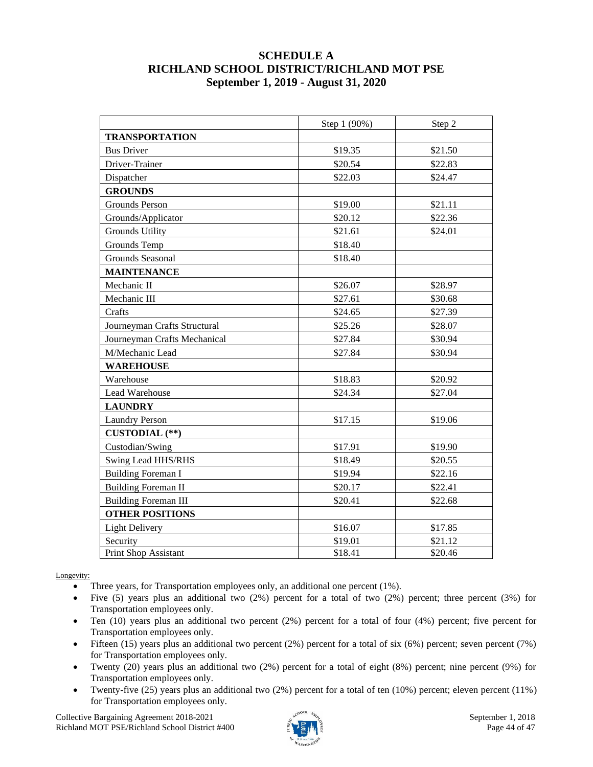#### **SCHEDULE A RICHLAND SCHOOL DISTRICT/RICHLAND MOT PSE September 1, 2019 - August 31, 2020**

|                              | Step 1 (90%) | Step 2  |
|------------------------------|--------------|---------|
| <b>TRANSPORTATION</b>        |              |         |
| <b>Bus Driver</b>            | \$19.35      | \$21.50 |
| Driver-Trainer               | \$20.54      | \$22.83 |
| Dispatcher                   | \$22.03      | \$24.47 |
| <b>GROUNDS</b>               |              |         |
| <b>Grounds Person</b>        | \$19.00      | \$21.11 |
| Grounds/Applicator           | \$20.12      | \$22.36 |
| <b>Grounds Utility</b>       | \$21.61      | \$24.01 |
| Grounds Temp                 | \$18.40      |         |
| Grounds Seasonal             | \$18.40      |         |
| <b>MAINTENANCE</b>           |              |         |
| Mechanic II                  | \$26.07      | \$28.97 |
| Mechanic III                 | \$27.61      | \$30.68 |
| Crafts                       | \$24.65      | \$27.39 |
| Journeyman Crafts Structural | \$25.26      | \$28.07 |
| Journeyman Crafts Mechanical | \$27.84      | \$30.94 |
| M/Mechanic Lead              | \$27.84      | \$30.94 |
| <b>WAREHOUSE</b>             |              |         |
| Warehouse                    | \$18.83      | \$20.92 |
| Lead Warehouse               | \$24.34      | \$27.04 |
| <b>LAUNDRY</b>               |              |         |
| <b>Laundry Person</b>        | \$17.15      | \$19.06 |
| <b>CUSTODIAL</b> (**)        |              |         |
| Custodian/Swing              | \$17.91      | \$19.90 |
| Swing Lead HHS/RHS           | \$18.49      | \$20.55 |
| <b>Building Foreman I</b>    | \$19.94      | \$22.16 |
| <b>Building Foreman II</b>   | \$20.17      | \$22.41 |
| <b>Building Foreman III</b>  | \$20.41      | \$22.68 |
| <b>OTHER POSITIONS</b>       |              |         |
| <b>Light Delivery</b>        | \$16.07      | \$17.85 |
| Security                     | \$19.01      | \$21.12 |
| <b>Print Shop Assistant</b>  | \$18.41      | \$20.46 |

Longevity:

- Three years, for Transportation employees only, an additional one percent (1%).
- Five (5) years plus an additional two  $(2%)$  percent for a total of two  $(2%)$  percent; three percent  $(3%)$  for Transportation employees only.
- Ten (10) years plus an additional two percent (2%) percent for a total of four (4%) percent; five percent for Transportation employees only.
- Fifteen (15) years plus an additional two percent (2%) percent for a total of six (6%) percent; seven percent (7%) for Transportation employees only.
- Twenty (20) years plus an additional two (2%) percent for a total of eight (8%) percent; nine percent (9%) for Transportation employees only.
- Twenty-five (25) years plus an additional two (2%) percent for a total of ten (10%) percent; eleven percent (11%) for Transportation employees only.

Collective Bargaining Agreement 2018-2021 September 1, 2018 Richland MOT PSE/Richland School District #400  $\frac{3}{2}$  Page 44 of 47

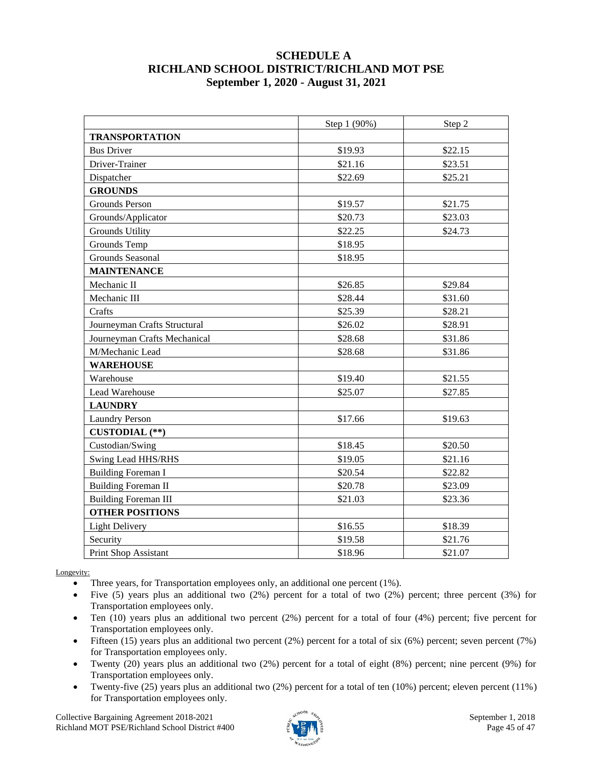#### **SCHEDULE A RICHLAND SCHOOL DISTRICT/RICHLAND MOT PSE September 1, 2020 - August 31, 2021**

|                              | Step 1 (90%) | Step 2  |
|------------------------------|--------------|---------|
| <b>TRANSPORTATION</b>        |              |         |
| <b>Bus Driver</b>            | \$19.93      | \$22.15 |
| Driver-Trainer               | \$21.16      | \$23.51 |
| Dispatcher                   | \$22.69      | \$25.21 |
| <b>GROUNDS</b>               |              |         |
| Grounds Person               | \$19.57      | \$21.75 |
| Grounds/Applicator           | \$20.73      | \$23.03 |
| <b>Grounds Utility</b>       | \$22.25      | \$24.73 |
| Grounds Temp                 | \$18.95      |         |
| Grounds Seasonal             | \$18.95      |         |
| <b>MAINTENANCE</b>           |              |         |
| Mechanic II                  | \$26.85      | \$29.84 |
| Mechanic III                 | \$28.44      | \$31.60 |
| Crafts                       | \$25.39      | \$28.21 |
| Journeyman Crafts Structural | \$26.02      | \$28.91 |
| Journeyman Crafts Mechanical | \$28.68      | \$31.86 |
| M/Mechanic Lead              | \$28.68      | \$31.86 |
| <b>WAREHOUSE</b>             |              |         |
| Warehouse                    | \$19.40      | \$21.55 |
| Lead Warehouse               | \$25.07      | \$27.85 |
| <b>LAUNDRY</b>               |              |         |
| <b>Laundry Person</b>        | \$17.66      | \$19.63 |
| <b>CUSTODIAL</b> (**)        |              |         |
| Custodian/Swing              | \$18.45      | \$20.50 |
| Swing Lead HHS/RHS           | \$19.05      | \$21.16 |
| <b>Building Foreman I</b>    | \$20.54      | \$22.82 |
| <b>Building Foreman II</b>   | \$20.78      | \$23.09 |
| <b>Building Foreman III</b>  | \$21.03      | \$23.36 |
| <b>OTHER POSITIONS</b>       |              |         |
| <b>Light Delivery</b>        | \$16.55      | \$18.39 |
| Security                     | \$19.58      | \$21.76 |
| Print Shop Assistant         | \$18.96      | \$21.07 |

Longevity:

- Three years, for Transportation employees only, an additional one percent (1%).
- Five  $(5)$  years plus an additional two  $(2%)$  percent for a total of two  $(2%)$  percent; three percent  $(3%)$  for Transportation employees only.
- Ten (10) years plus an additional two percent (2%) percent for a total of four (4%) percent; five percent for Transportation employees only.
- Fifteen (15) years plus an additional two percent (2%) percent for a total of six (6%) percent; seven percent (7%) for Transportation employees only.
- Twenty (20) years plus an additional two (2%) percent for a total of eight (8%) percent; nine percent (9%) for Transportation employees only.
- Twenty-five (25) years plus an additional two (2%) percent for a total of ten (10%) percent; eleven percent (11%) for Transportation employees only.

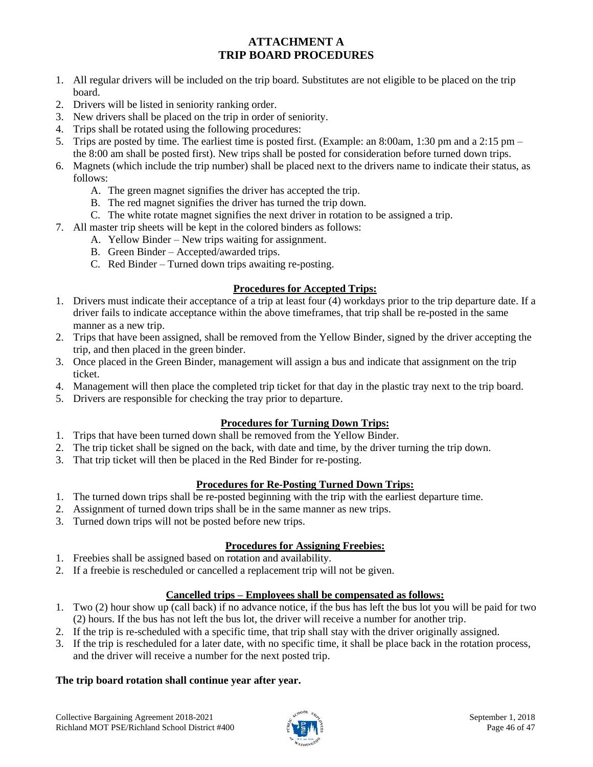### **ATTACHMENT A TRIP BOARD PROCEDURES**

- 1. All regular drivers will be included on the trip board. Substitutes are not eligible to be placed on the trip board.
- 2. Drivers will be listed in seniority ranking order.
- 3. New drivers shall be placed on the trip in order of seniority.
- 4. Trips shall be rotated using the following procedures:
- 5. Trips are posted by time. The earliest time is posted first. (Example: an 8:00am, 1:30 pm and a 2:15 pm the 8:00 am shall be posted first). New trips shall be posted for consideration before turned down trips.
- 6. Magnets (which include the trip number) shall be placed next to the drivers name to indicate their status, as follows:
	- A. The green magnet signifies the driver has accepted the trip.
	- B. The red magnet signifies the driver has turned the trip down.
	- C. The white rotate magnet signifies the next driver in rotation to be assigned a trip.
- 7. All master trip sheets will be kept in the colored binders as follows:
	- A. Yellow Binder New trips waiting for assignment.
	- B. Green Binder Accepted/awarded trips.
	- C. Red Binder Turned down trips awaiting re-posting.

#### **Procedures for Accepted Trips:**

- 1. Drivers must indicate their acceptance of a trip at least four (4) workdays prior to the trip departure date. If a driver fails to indicate acceptance within the above timeframes, that trip shall be re-posted in the same manner as a new trip.
- 2. Trips that have been assigned, shall be removed from the Yellow Binder, signed by the driver accepting the trip, and then placed in the green binder.
- 3. Once placed in the Green Binder, management will assign a bus and indicate that assignment on the trip ticket.
- 4. Management will then place the completed trip ticket for that day in the plastic tray next to the trip board.
- 5. Drivers are responsible for checking the tray prior to departure.

#### **Procedures for Turning Down Trips:**

- 1. Trips that have been turned down shall be removed from the Yellow Binder.
- 2. The trip ticket shall be signed on the back, with date and time, by the driver turning the trip down.
- 3. That trip ticket will then be placed in the Red Binder for re-posting.

#### **Procedures for Re-Posting Turned Down Trips:**

- 1. The turned down trips shall be re-posted beginning with the trip with the earliest departure time.
- 2. Assignment of turned down trips shall be in the same manner as new trips.
- 3. Turned down trips will not be posted before new trips.

#### **Procedures for Assigning Freebies:**

- 1. Freebies shall be assigned based on rotation and availability.
- 2. If a freebie is rescheduled or cancelled a replacement trip will not be given.

#### **Cancelled trips – Employees shall be compensated as follows:**

- 1. Two (2) hour show up (call back) if no advance notice, if the bus has left the bus lot you will be paid for two (2) hours. If the bus has not left the bus lot, the driver will receive a number for another trip.
- 2. If the trip is re-scheduled with a specific time, that trip shall stay with the driver originally assigned.
- 3. If the trip is rescheduled for a later date, with no specific time, it shall be place back in the rotation process, and the driver will receive a number for the next posted trip.

#### **The trip board rotation shall continue year after year.**